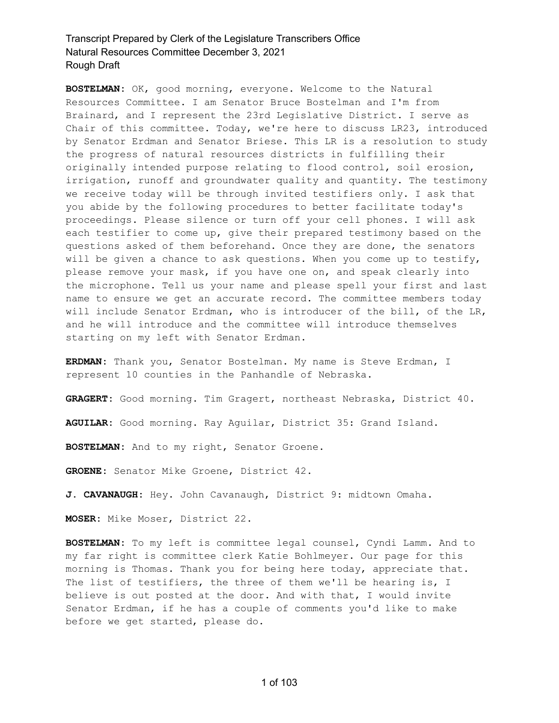**BOSTELMAN:** OK, good morning, everyone. Welcome to the Natural Resources Committee. I am Senator Bruce Bostelman and I'm from Brainard, and I represent the 23rd Legislative District. I serve as Chair of this committee. Today, we're here to discuss LR23, introduced by Senator Erdman and Senator Briese. This LR is a resolution to study the progress of natural resources districts in fulfilling their originally intended purpose relating to flood control, soil erosion, irrigation, runoff and groundwater quality and quantity. The testimony we receive today will be through invited testifiers only. I ask that you abide by the following procedures to better facilitate today's proceedings. Please silence or turn off your cell phones. I will ask each testifier to come up, give their prepared testimony based on the questions asked of them beforehand. Once they are done, the senators will be given a chance to ask questions. When you come up to testify, please remove your mask, if you have one on, and speak clearly into the microphone. Tell us your name and please spell your first and last name to ensure we get an accurate record. The committee members today will include Senator Erdman, who is introducer of the bill, of the LR, and he will introduce and the committee will introduce themselves starting on my left with Senator Erdman.

**ERDMAN:** Thank you, Senator Bostelman. My name is Steve Erdman, I represent 10 counties in the Panhandle of Nebraska.

**GRAGERT:** Good morning. Tim Gragert, northeast Nebraska, District 40.

**AGUILAR:** Good morning. Ray Aguilar, District 35: Grand Island.

**BOSTELMAN:** And to my right, Senator Groene.

**GROENE:** Senator Mike Groene, District 42.

**J. CAVANAUGH:** Hey. John Cavanaugh, District 9: midtown Omaha.

**MOSER:** Mike Moser, District 22.

**BOSTELMAN:** To my left is committee legal counsel, Cyndi Lamm. And to my far right is committee clerk Katie Bohlmeyer. Our page for this morning is Thomas. Thank you for being here today, appreciate that. The list of testifiers, the three of them we'll be hearing is, I believe is out posted at the door. And with that, I would invite Senator Erdman, if he has a couple of comments you'd like to make before we get started, please do.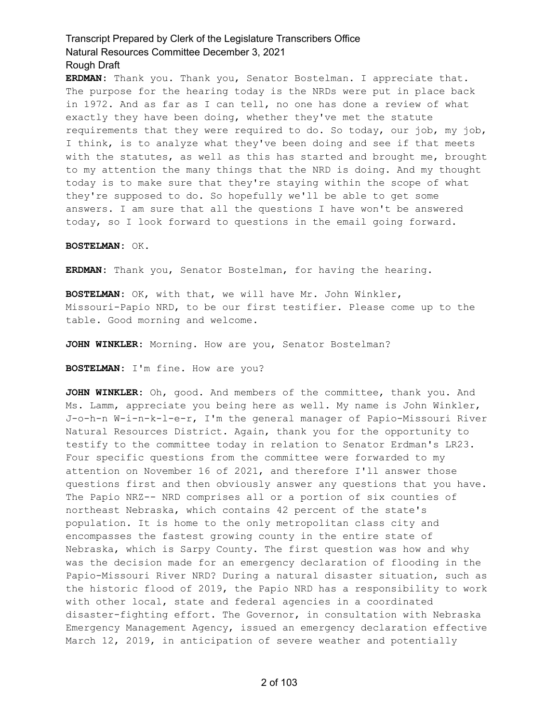**ERDMAN:** Thank you. Thank you, Senator Bostelman. I appreciate that. The purpose for the hearing today is the NRDs were put in place back in 1972. And as far as I can tell, no one has done a review of what exactly they have been doing, whether they've met the statute requirements that they were required to do. So today, our job, my job, I think, is to analyze what they've been doing and see if that meets with the statutes, as well as this has started and brought me, brought to my attention the many things that the NRD is doing. And my thought today is to make sure that they're staying within the scope of what they're supposed to do. So hopefully we'll be able to get some answers. I am sure that all the questions I have won't be answered today, so I look forward to questions in the email going forward.

#### **BOSTELMAN:** OK.

**ERDMAN:** Thank you, Senator Bostelman, for having the hearing.

**BOSTELMAN:** OK, with that, we will have Mr. John Winkler, Missouri-Papio NRD, to be our first testifier. Please come up to the table. Good morning and welcome.

JOHN WINKLER: Morning. How are you, Senator Bostelman?

**BOSTELMAN:** I'm fine. How are you?

**JOHN WINKLER:** Oh, good. And members of the committee, thank you. And Ms. Lamm, appreciate you being here as well. My name is John Winkler, J-o-h-n W-i-n-k-l-e-r, I'm the general manager of Papio-Missouri River Natural Resources District. Again, thank you for the opportunity to testify to the committee today in relation to Senator Erdman's LR23. Four specific questions from the committee were forwarded to my attention on November 16 of 2021, and therefore I'll answer those questions first and then obviously answer any questions that you have. The Papio NRZ-- NRD comprises all or a portion of six counties of northeast Nebraska, which contains 42 percent of the state's population. It is home to the only metropolitan class city and encompasses the fastest growing county in the entire state of Nebraska, which is Sarpy County. The first question was how and why was the decision made for an emergency declaration of flooding in the Papio-Missouri River NRD? During a natural disaster situation, such as the historic flood of 2019, the Papio NRD has a responsibility to work with other local, state and federal agencies in a coordinated disaster-fighting effort. The Governor, in consultation with Nebraska Emergency Management Agency, issued an emergency declaration effective March 12, 2019, in anticipation of severe weather and potentially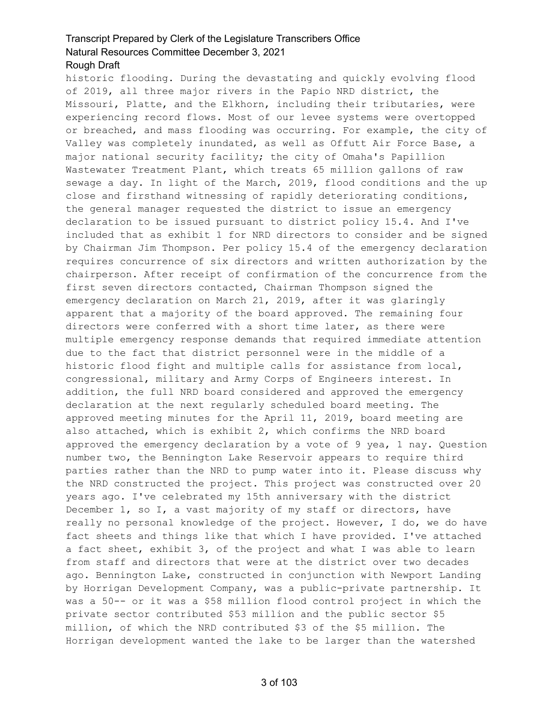historic flooding. During the devastating and quickly evolving flood of 2019, all three major rivers in the Papio NRD district, the

Missouri, Platte, and the Elkhorn, including their tributaries, were experiencing record flows. Most of our levee systems were overtopped or breached, and mass flooding was occurring. For example, the city of Valley was completely inundated, as well as Offutt Air Force Base, a major national security facility; the city of Omaha's Papillion Wastewater Treatment Plant, which treats 65 million gallons of raw sewage a day. In light of the March, 2019, flood conditions and the up close and firsthand witnessing of rapidly deteriorating conditions, the general manager requested the district to issue an emergency declaration to be issued pursuant to district policy 15.4. And I've included that as exhibit 1 for NRD directors to consider and be signed by Chairman Jim Thompson. Per policy 15.4 of the emergency declaration requires concurrence of six directors and written authorization by the chairperson. After receipt of confirmation of the concurrence from the first seven directors contacted, Chairman Thompson signed the emergency declaration on March 21, 2019, after it was glaringly apparent that a majority of the board approved. The remaining four directors were conferred with a short time later, as there were multiple emergency response demands that required immediate attention due to the fact that district personnel were in the middle of a historic flood fight and multiple calls for assistance from local, congressional, military and Army Corps of Engineers interest. In addition, the full NRD board considered and approved the emergency declaration at the next regularly scheduled board meeting. The approved meeting minutes for the April 11, 2019, board meeting are also attached, which is exhibit 2, which confirms the NRD board approved the emergency declaration by a vote of 9 yea, 1 nay. Question number two, the Bennington Lake Reservoir appears to require third parties rather than the NRD to pump water into it. Please discuss why the NRD constructed the project. This project was constructed over 20 years ago. I've celebrated my 15th anniversary with the district December 1, so I, a vast majority of my staff or directors, have really no personal knowledge of the project. However, I do, we do have fact sheets and things like that which I have provided. I've attached a fact sheet, exhibit 3, of the project and what I was able to learn from staff and directors that were at the district over two decades ago. Bennington Lake, constructed in conjunction with Newport Landing by Horrigan Development Company, was a public-private partnership. It was a 50-- or it was a \$58 million flood control project in which the private sector contributed \$53 million and the public sector \$5 million, of which the NRD contributed \$3 of the \$5 million. The Horrigan development wanted the lake to be larger than the watershed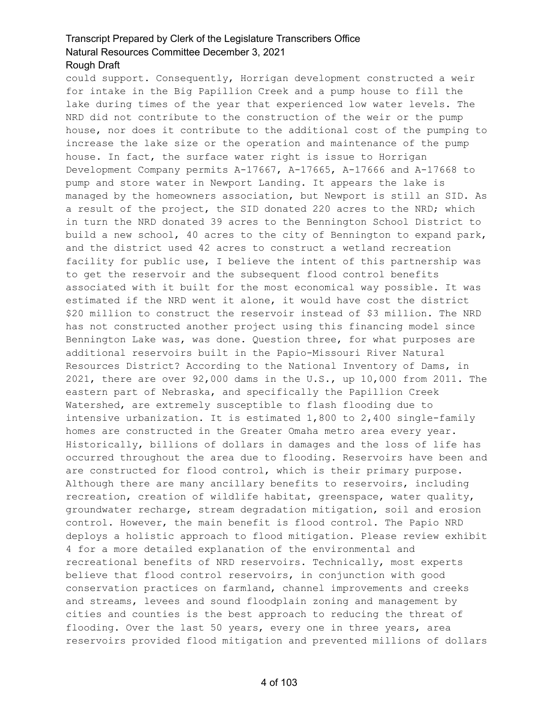Rough Draft

could support. Consequently, Horrigan development constructed a weir for intake in the Big Papillion Creek and a pump house to fill the lake during times of the year that experienced low water levels. The NRD did not contribute to the construction of the weir or the pump house, nor does it contribute to the additional cost of the pumping to increase the lake size or the operation and maintenance of the pump house. In fact, the surface water right is issue to Horrigan Development Company permits A-17667, A-17665, A-17666 and A-17668 to pump and store water in Newport Landing. It appears the lake is managed by the homeowners association, but Newport is still an SID. As a result of the project, the SID donated 220 acres to the NRD; which in turn the NRD donated 39 acres to the Bennington School District to build a new school, 40 acres to the city of Bennington to expand park, and the district used 42 acres to construct a wetland recreation facility for public use, I believe the intent of this partnership was to get the reservoir and the subsequent flood control benefits associated with it built for the most economical way possible. It was estimated if the NRD went it alone, it would have cost the district \$20 million to construct the reservoir instead of \$3 million. The NRD has not constructed another project using this financing model since Bennington Lake was, was done. Question three, for what purposes are additional reservoirs built in the Papio-Missouri River Natural Resources District? According to the National Inventory of Dams, in 2021, there are over 92,000 dams in the U.S., up 10,000 from 2011. The eastern part of Nebraska, and specifically the Papillion Creek Watershed, are extremely susceptible to flash flooding due to intensive urbanization. It is estimated 1,800 to 2,400 single-family homes are constructed in the Greater Omaha metro area every year. Historically, billions of dollars in damages and the loss of life has occurred throughout the area due to flooding. Reservoirs have been and are constructed for flood control, which is their primary purpose. Although there are many ancillary benefits to reservoirs, including recreation, creation of wildlife habitat, greenspace, water quality, groundwater recharge, stream degradation mitigation, soil and erosion control. However, the main benefit is flood control. The Papio NRD deploys a holistic approach to flood mitigation. Please review exhibit 4 for a more detailed explanation of the environmental and recreational benefits of NRD reservoirs. Technically, most experts believe that flood control reservoirs, in conjunction with good conservation practices on farmland, channel improvements and creeks and streams, levees and sound floodplain zoning and management by cities and counties is the best approach to reducing the threat of flooding. Over the last 50 years, every one in three years, area reservoirs provided flood mitigation and prevented millions of dollars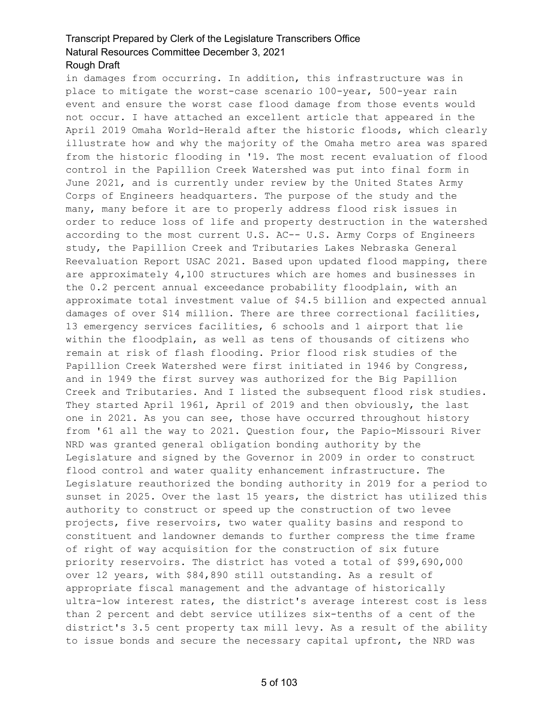in damages from occurring. In addition, this infrastructure was in place to mitigate the worst-case scenario 100-year, 500-year rain event and ensure the worst case flood damage from those events would not occur. I have attached an excellent article that appeared in the April 2019 Omaha World-Herald after the historic floods, which clearly illustrate how and why the majority of the Omaha metro area was spared from the historic flooding in '19. The most recent evaluation of flood control in the Papillion Creek Watershed was put into final form in June 2021, and is currently under review by the United States Army Corps of Engineers headquarters. The purpose of the study and the many, many before it are to properly address flood risk issues in order to reduce loss of life and property destruction in the watershed according to the most current U.S. AC-- U.S. Army Corps of Engineers study, the Papillion Creek and Tributaries Lakes Nebraska General Reevaluation Report USAC 2021. Based upon updated flood mapping, there are approximately 4,100 structures which are homes and businesses in the 0.2 percent annual exceedance probability floodplain, with an approximate total investment value of \$4.5 billion and expected annual damages of over \$14 million. There are three correctional facilities, 13 emergency services facilities, 6 schools and 1 airport that lie within the floodplain, as well as tens of thousands of citizens who remain at risk of flash flooding. Prior flood risk studies of the Papillion Creek Watershed were first initiated in 1946 by Congress, and in 1949 the first survey was authorized for the Big Papillion Creek and Tributaries. And I listed the subsequent flood risk studies. They started April 1961, April of 2019 and then obviously, the last one in 2021. As you can see, those have occurred throughout history from '61 all the way to 2021. Question four, the Papio-Missouri River NRD was granted general obligation bonding authority by the Legislature and signed by the Governor in 2009 in order to construct flood control and water quality enhancement infrastructure. The Legislature reauthorized the bonding authority in 2019 for a period to sunset in 2025. Over the last 15 years, the district has utilized this authority to construct or speed up the construction of two levee projects, five reservoirs, two water quality basins and respond to constituent and landowner demands to further compress the time frame of right of way acquisition for the construction of six future priority reservoirs. The district has voted a total of \$99,690,000 over 12 years, with \$84,890 still outstanding. As a result of appropriate fiscal management and the advantage of historically ultra-low interest rates, the district's average interest cost is less than 2 percent and debt service utilizes six-tenths of a cent of the district's 3.5 cent property tax mill levy. As a result of the ability to issue bonds and secure the necessary capital upfront, the NRD was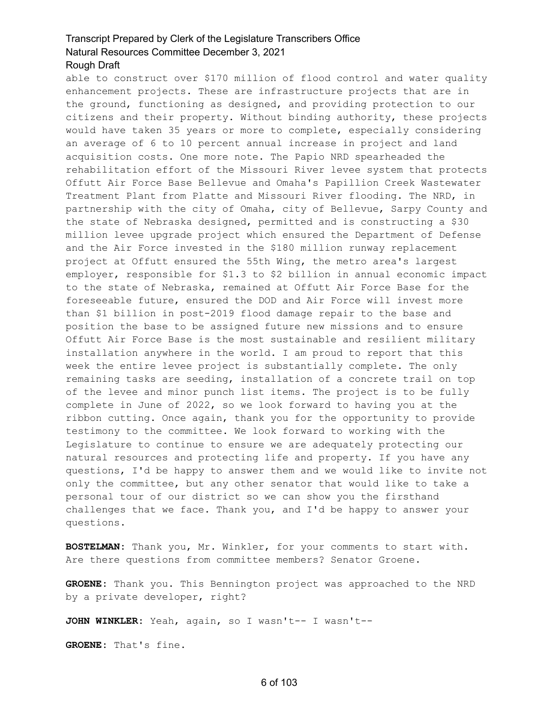#### Rough Draft

able to construct over \$170 million of flood control and water quality enhancement projects. These are infrastructure projects that are in the ground, functioning as designed, and providing protection to our citizens and their property. Without binding authority, these projects would have taken 35 years or more to complete, especially considering an average of 6 to 10 percent annual increase in project and land acquisition costs. One more note. The Papio NRD spearheaded the rehabilitation effort of the Missouri River levee system that protects Offutt Air Force Base Bellevue and Omaha's Papillion Creek Wastewater Treatment Plant from Platte and Missouri River flooding. The NRD, in partnership with the city of Omaha, city of Bellevue, Sarpy County and the state of Nebraska designed, permitted and is constructing a \$30 million levee upgrade project which ensured the Department of Defense and the Air Force invested in the \$180 million runway replacement project at Offutt ensured the 55th Wing, the metro area's largest employer, responsible for \$1.3 to \$2 billion in annual economic impact to the state of Nebraska, remained at Offutt Air Force Base for the foreseeable future, ensured the DOD and Air Force will invest more than \$1 billion in post-2019 flood damage repair to the base and position the base to be assigned future new missions and to ensure Offutt Air Force Base is the most sustainable and resilient military installation anywhere in the world. I am proud to report that this week the entire levee project is substantially complete. The only remaining tasks are seeding, installation of a concrete trail on top of the levee and minor punch list items. The project is to be fully complete in June of 2022, so we look forward to having you at the ribbon cutting. Once again, thank you for the opportunity to provide testimony to the committee. We look forward to working with the Legislature to continue to ensure we are adequately protecting our natural resources and protecting life and property. If you have any questions, I'd be happy to answer them and we would like to invite not only the committee, but any other senator that would like to take a personal tour of our district so we can show you the firsthand challenges that we face. Thank you, and I'd be happy to answer your questions.

**BOSTELMAN:** Thank you, Mr. Winkler, for your comments to start with. Are there questions from committee members? Senator Groene.

**GROENE:** Thank you. This Bennington project was approached to the NRD by a private developer, right?

**JOHN WINKLER:** Yeah, again, so I wasn't-- I wasn't--

**GROENE:** That's fine.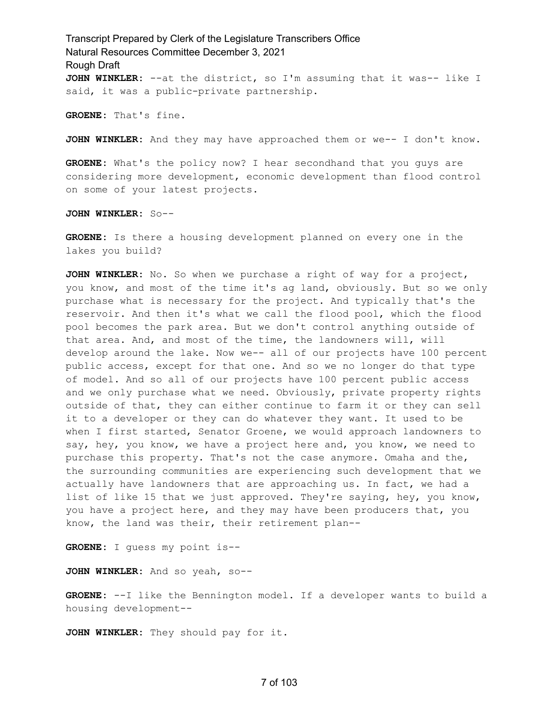Transcript Prepared by Clerk of the Legislature Transcribers Office Natural Resources Committee December 3, 2021 Rough Draft **JOHN WINKLER:** --at the district, so I'm assuming that it was-- like I said, it was a public-private partnership.

**GROENE:** That's fine.

**JOHN WINKLER:** And they may have approached them or we-- I don't know.

**GROENE:** What's the policy now? I hear secondhand that you guys are considering more development, economic development than flood control on some of your latest projects.

**JOHN WINKLER:** So--

**GROENE:** Is there a housing development planned on every one in the lakes you build?

**JOHN WINKLER:** No. So when we purchase a right of way for a project, you know, and most of the time it's ag land, obviously. But so we only purchase what is necessary for the project. And typically that's the reservoir. And then it's what we call the flood pool, which the flood pool becomes the park area. But we don't control anything outside of that area. And, and most of the time, the landowners will, will develop around the lake. Now we-- all of our projects have 100 percent public access, except for that one. And so we no longer do that type of model. And so all of our projects have 100 percent public access and we only purchase what we need. Obviously, private property rights outside of that, they can either continue to farm it or they can sell it to a developer or they can do whatever they want. It used to be when I first started, Senator Groene, we would approach landowners to say, hey, you know, we have a project here and, you know, we need to purchase this property. That's not the case anymore. Omaha and the, the surrounding communities are experiencing such development that we actually have landowners that are approaching us. In fact, we had a list of like 15 that we just approved. They're saying, hey, you know, you have a project here, and they may have been producers that, you know, the land was their, their retirement plan--

**GROENE:** I guess my point is--

**JOHN WINKLER:** And so yeah, so--

**GROENE:** --I like the Bennington model. If a developer wants to build a housing development--

**JOHN WINKLER:** They should pay for it.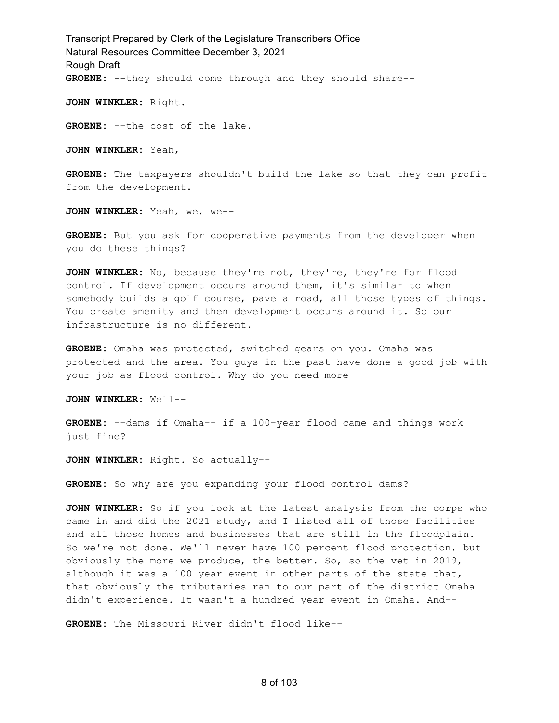Transcript Prepared by Clerk of the Legislature Transcribers Office Natural Resources Committee December 3, 2021 Rough Draft **GROENE:** --they should come through and they should share--

**JOHN WINKLER:** Right.

**GROENE:** --the cost of the lake.

**JOHN WINKLER:** Yeah,

**GROENE:** The taxpayers shouldn't build the lake so that they can profit from the development.

**JOHN WINKLER:** Yeah, we, we--

**GROENE:** But you ask for cooperative payments from the developer when you do these things?

**JOHN WINKLER:** No, because they're not, they're, they're for flood control. If development occurs around them, it's similar to when somebody builds a golf course, pave a road, all those types of things. You create amenity and then development occurs around it. So our infrastructure is no different.

**GROENE:** Omaha was protected, switched gears on you. Omaha was protected and the area. You guys in the past have done a good job with your job as flood control. Why do you need more--

**JOHN WINKLER:** Well--

**GROENE:** --dams if Omaha-- if a 100-year flood came and things work just fine?

**JOHN WINKLER:** Right. So actually--

**GROENE:** So why are you expanding your flood control dams?

**JOHN WINKLER:** So if you look at the latest analysis from the corps who came in and did the 2021 study, and I listed all of those facilities and all those homes and businesses that are still in the floodplain. So we're not done. We'll never have 100 percent flood protection, but obviously the more we produce, the better. So, so the vet in 2019, although it was a 100 year event in other parts of the state that, that obviously the tributaries ran to our part of the district Omaha didn't experience. It wasn't a hundred year event in Omaha. And--

**GROENE:** The Missouri River didn't flood like--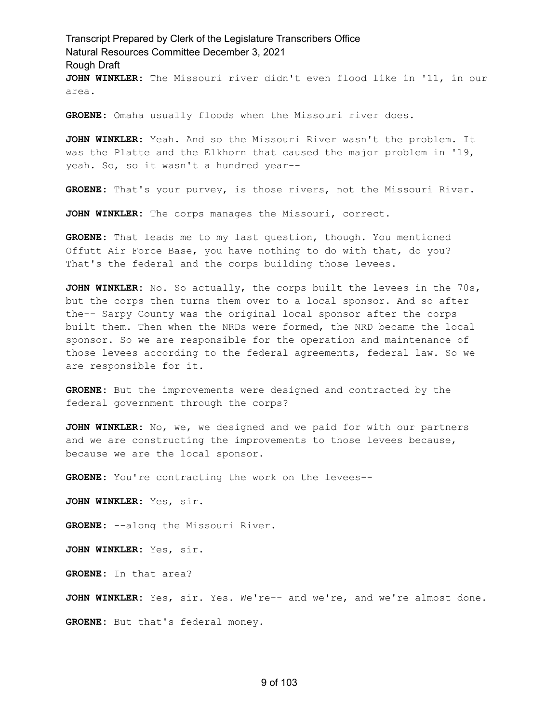Transcript Prepared by Clerk of the Legislature Transcribers Office Natural Resources Committee December 3, 2021 Rough Draft **JOHN WINKLER:** The Missouri river didn't even flood like in '11, in our area.

**GROENE:** Omaha usually floods when the Missouri river does.

**JOHN WINKLER:** Yeah. And so the Missouri River wasn't the problem. It was the Platte and the Elkhorn that caused the major problem in '19, yeah. So, so it wasn't a hundred year--

**GROENE:** That's your purvey, is those rivers, not the Missouri River.

**JOHN WINKLER:** The corps manages the Missouri, correct.

**GROENE:** That leads me to my last question, though. You mentioned Offutt Air Force Base, you have nothing to do with that, do you? That's the federal and the corps building those levees.

**JOHN WINKLER:** No. So actually, the corps built the levees in the 70s, but the corps then turns them over to a local sponsor. And so after the-- Sarpy County was the original local sponsor after the corps built them. Then when the NRDs were formed, the NRD became the local sponsor. So we are responsible for the operation and maintenance of those levees according to the federal agreements, federal law. So we are responsible for it.

**GROENE:** But the improvements were designed and contracted by the federal government through the corps?

**JOHN WINKLER:** No, we, we designed and we paid for with our partners and we are constructing the improvements to those levees because, because we are the local sponsor.

**GROENE:** You're contracting the work on the levees--

**JOHN WINKLER:** Yes, sir.

**GROENE:** --along the Missouri River.

**JOHN WINKLER:** Yes, sir.

**GROENE:** In that area?

**JOHN WINKLER:** Yes, sir. Yes. We're-- and we're, and we're almost done. **GROENE:** But that's federal money.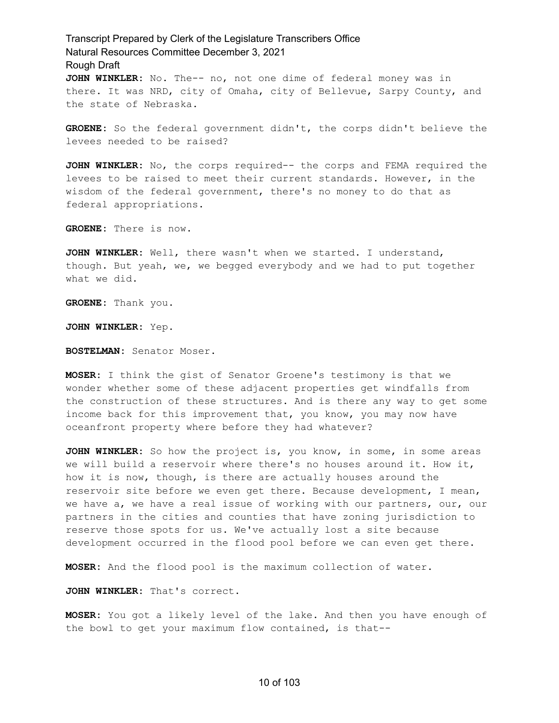## Transcript Prepared by Clerk of the Legislature Transcribers Office Natural Resources Committee December 3, 2021 Rough Draft **JOHN WINKLER:** No. The-- no, not one dime of federal money was in there. It was NRD, city of Omaha, city of Bellevue, Sarpy County, and

**GROENE:** So the federal government didn't, the corps didn't believe the levees needed to be raised?

**JOHN WINKLER:** No, the corps required-- the corps and FEMA required the levees to be raised to meet their current standards. However, in the wisdom of the federal government, there's no money to do that as federal appropriations.

**GROENE:** There is now.

the state of Nebraska.

**JOHN WINKLER:** Well, there wasn't when we started. I understand, though. But yeah, we, we begged everybody and we had to put together what we did.

**GROENE:** Thank you.

**JOHN WINKLER:** Yep.

**BOSTELMAN:** Senator Moser.

**MOSER:** I think the gist of Senator Groene's testimony is that we wonder whether some of these adjacent properties get windfalls from the construction of these structures. And is there any way to get some income back for this improvement that, you know, you may now have oceanfront property where before they had whatever?

**JOHN WINKLER:** So how the project is, you know, in some, in some areas we will build a reservoir where there's no houses around it. How it, how it is now, though, is there are actually houses around the reservoir site before we even get there. Because development, I mean, we have a, we have a real issue of working with our partners, our, our partners in the cities and counties that have zoning jurisdiction to reserve those spots for us. We've actually lost a site because development occurred in the flood pool before we can even get there.

**MOSER:** And the flood pool is the maximum collection of water.

**JOHN WINKLER:** That's correct.

**MOSER:** You got a likely level of the lake. And then you have enough of the bowl to get your maximum flow contained, is that--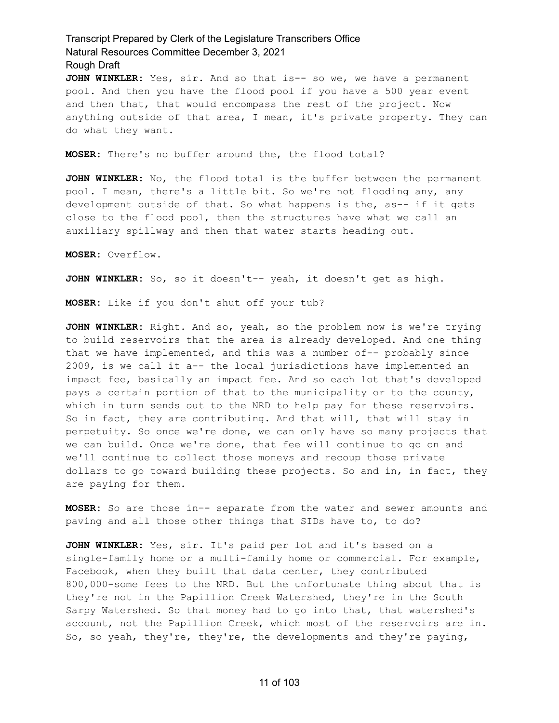**JOHN WINKLER:** Yes, sir. And so that is-- so we, we have a permanent pool. And then you have the flood pool if you have a 500 year event and then that, that would encompass the rest of the project. Now anything outside of that area, I mean, it's private property. They can do what they want.

**MOSER:** There's no buffer around the, the flood total?

**JOHN WINKLER:** No, the flood total is the buffer between the permanent pool. I mean, there's a little bit. So we're not flooding any, any development outside of that. So what happens is the, as-- if it gets close to the flood pool, then the structures have what we call an auxiliary spillway and then that water starts heading out.

**MOSER:** Overflow.

**JOHN WINKLER:** So, so it doesn't-- yeah, it doesn't get as high.

**MOSER:** Like if you don't shut off your tub?

**JOHN WINKLER:** Right. And so, yeah, so the problem now is we're trying to build reservoirs that the area is already developed. And one thing that we have implemented, and this was a number of-- probably since 2009, is we call it a-- the local jurisdictions have implemented an impact fee, basically an impact fee. And so each lot that's developed pays a certain portion of that to the municipality or to the county, which in turn sends out to the NRD to help pay for these reservoirs. So in fact, they are contributing. And that will, that will stay in perpetuity. So once we're done, we can only have so many projects that we can build. Once we're done, that fee will continue to go on and we'll continue to collect those moneys and recoup those private dollars to go toward building these projects. So and in, in fact, they are paying for them.

**MOSER:** So are those in–- separate from the water and sewer amounts and paving and all those other things that SIDs have to, to do?

**JOHN WINKLER:** Yes, sir. It's paid per lot and it's based on a single-family home or a multi-family home or commercial. For example, Facebook, when they built that data center, they contributed 800,000-some fees to the NRD. But the unfortunate thing about that is they're not in the Papillion Creek Watershed, they're in the South Sarpy Watershed. So that money had to go into that, that watershed's account, not the Papillion Creek, which most of the reservoirs are in. So, so yeah, they're, they're, the developments and they're paying,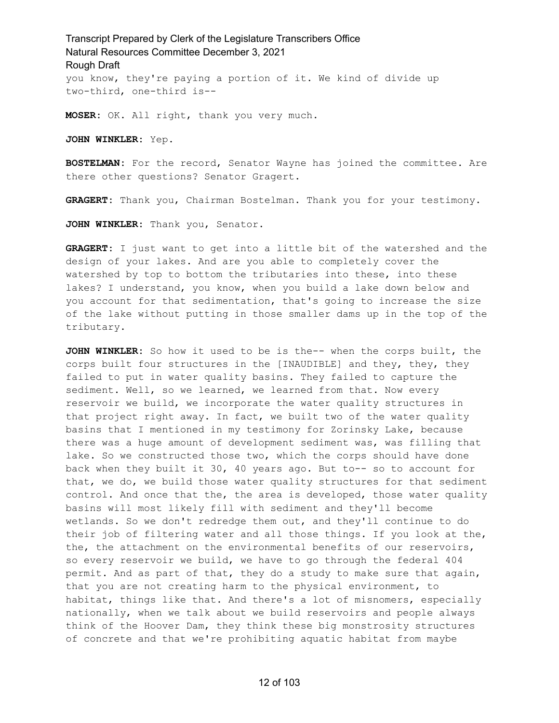## Transcript Prepared by Clerk of the Legislature Transcribers Office Natural Resources Committee December 3, 2021 Rough Draft you know, they're paying a portion of it. We kind of divide up two-third, one-third is--

**MOSER:** OK. All right, thank you very much.

**JOHN WINKLER:** Yep.

**BOSTELMAN:** For the record, Senator Wayne has joined the committee. Are there other questions? Senator Gragert.

**GRAGERT:** Thank you, Chairman Bostelman. Thank you for your testimony.

**JOHN WINKLER:** Thank you, Senator.

**GRAGERT:** I just want to get into a little bit of the watershed and the design of your lakes. And are you able to completely cover the watershed by top to bottom the tributaries into these, into these lakes? I understand, you know, when you build a lake down below and you account for that sedimentation, that's going to increase the size of the lake without putting in those smaller dams up in the top of the tributary.

**JOHN WINKLER:** So how it used to be is the-- when the corps built, the corps built four structures in the [INAUDIBLE] and they, they, they failed to put in water quality basins. They failed to capture the sediment. Well, so we learned, we learned from that. Now every reservoir we build, we incorporate the water quality structures in that project right away. In fact, we built two of the water quality basins that I mentioned in my testimony for Zorinsky Lake, because there was a huge amount of development sediment was, was filling that lake. So we constructed those two, which the corps should have done back when they built it 30, 40 years ago. But to-- so to account for that, we do, we build those water quality structures for that sediment control. And once that the, the area is developed, those water quality basins will most likely fill with sediment and they'll become wetlands. So we don't redredge them out, and they'll continue to do their job of filtering water and all those things. If you look at the, the, the attachment on the environmental benefits of our reservoirs, so every reservoir we build, we have to go through the federal 404 permit. And as part of that, they do a study to make sure that again, that you are not creating harm to the physical environment, to habitat, things like that. And there's a lot of misnomers, especially nationally, when we talk about we build reservoirs and people always think of the Hoover Dam, they think these big monstrosity structures of concrete and that we're prohibiting aquatic habitat from maybe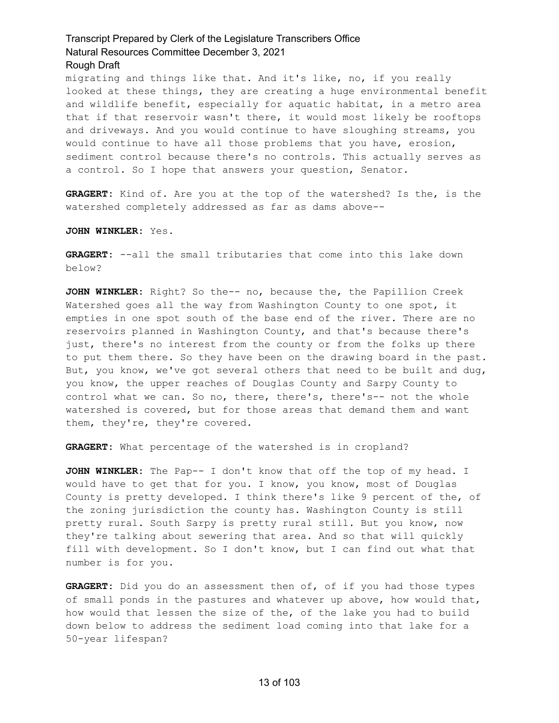migrating and things like that. And it's like, no, if you really looked at these things, they are creating a huge environmental benefit and wildlife benefit, especially for aquatic habitat, in a metro area that if that reservoir wasn't there, it would most likely be rooftops and driveways. And you would continue to have sloughing streams, you would continue to have all those problems that you have, erosion, sediment control because there's no controls. This actually serves as a control. So I hope that answers your question, Senator.

**GRAGERT:** Kind of. Are you at the top of the watershed? Is the, is the watershed completely addressed as far as dams above--

**JOHN WINKLER:** Yes.

**GRAGERT:** --all the small tributaries that come into this lake down below?

**JOHN WINKLER:** Right? So the-- no, because the, the Papillion Creek Watershed goes all the way from Washington County to one spot, it empties in one spot south of the base end of the river. There are no reservoirs planned in Washington County, and that's because there's just, there's no interest from the county or from the folks up there to put them there. So they have been on the drawing board in the past. But, you know, we've got several others that need to be built and dug, you know, the upper reaches of Douglas County and Sarpy County to control what we can. So no, there, there's, there's-- not the whole watershed is covered, but for those areas that demand them and want them, they're, they're covered.

**GRAGERT:** What percentage of the watershed is in cropland?

**JOHN WINKLER:** The Pap-- I don't know that off the top of my head. I would have to get that for you. I know, you know, most of Douglas County is pretty developed. I think there's like 9 percent of the, of the zoning jurisdiction the county has. Washington County is still pretty rural. South Sarpy is pretty rural still. But you know, now they're talking about sewering that area. And so that will quickly fill with development. So I don't know, but I can find out what that number is for you.

**GRAGERT:** Did you do an assessment then of, of if you had those types of small ponds in the pastures and whatever up above, how would that, how would that lessen the size of the, of the lake you had to build down below to address the sediment load coming into that lake for a 50-year lifespan?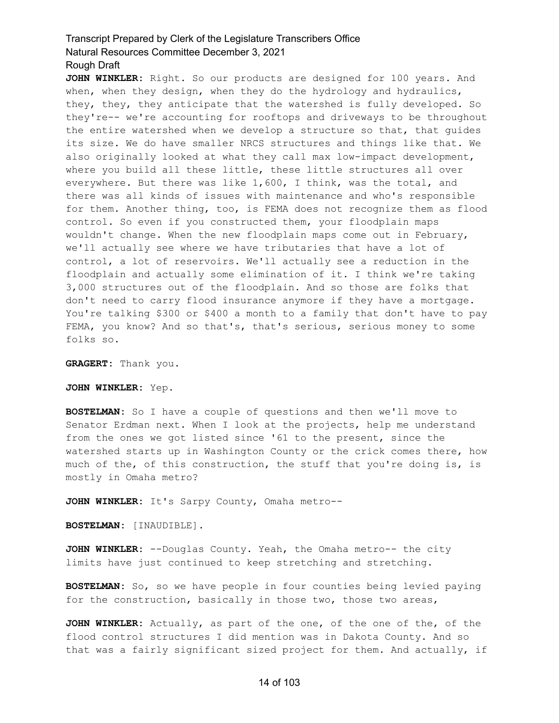**JOHN WINKLER:** Right. So our products are designed for 100 years. And when, when they design, when they do the hydrology and hydraulics, they, they, they anticipate that the watershed is fully developed. So they're-- we're accounting for rooftops and driveways to be throughout the entire watershed when we develop a structure so that, that guides its size. We do have smaller NRCS structures and things like that. We also originally looked at what they call max low-impact development, where you build all these little, these little structures all over everywhere. But there was like 1,600, I think, was the total, and there was all kinds of issues with maintenance and who's responsible for them. Another thing, too, is FEMA does not recognize them as flood control. So even if you constructed them, your floodplain maps wouldn't change. When the new floodplain maps come out in February, we'll actually see where we have tributaries that have a lot of control, a lot of reservoirs. We'll actually see a reduction in the floodplain and actually some elimination of it. I think we're taking 3,000 structures out of the floodplain. And so those are folks that don't need to carry flood insurance anymore if they have a mortgage. You're talking \$300 or \$400 a month to a family that don't have to pay FEMA, you know? And so that's, that's serious, serious money to some folks so.

**GRAGERT:** Thank you.

**JOHN WINKLER:** Yep.

**BOSTELMAN:** So I have a couple of questions and then we'll move to Senator Erdman next. When I look at the projects, help me understand from the ones we got listed since '61 to the present, since the watershed starts up in Washington County or the crick comes there, how much of the, of this construction, the stuff that you're doing is, is mostly in Omaha metro?

**JOHN WINKLER:** It's Sarpy County, Omaha metro--

**BOSTELMAN:** [INAUDIBLE].

**JOHN WINKLER:** --Douglas County. Yeah, the Omaha metro-- the city limits have just continued to keep stretching and stretching.

**BOSTELMAN:** So, so we have people in four counties being levied paying for the construction, basically in those two, those two areas,

**JOHN WINKLER:** Actually, as part of the one, of the one of the, of the flood control structures I did mention was in Dakota County. And so that was a fairly significant sized project for them. And actually, if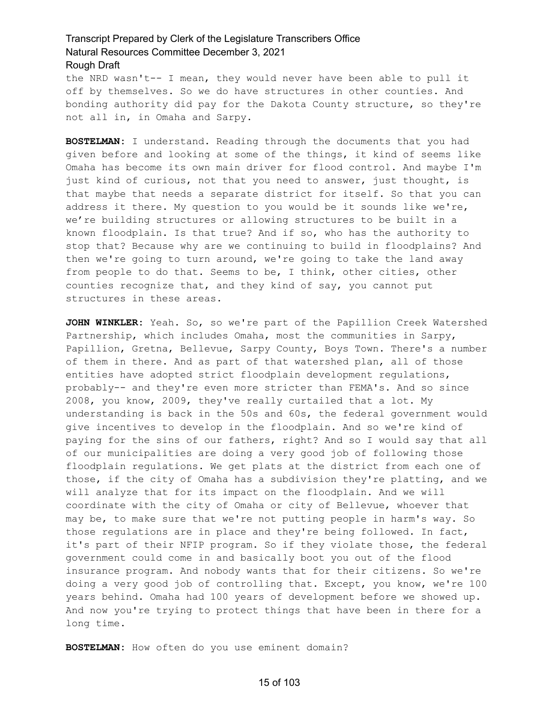the NRD wasn't-- I mean, they would never have been able to pull it off by themselves. So we do have structures in other counties. And bonding authority did pay for the Dakota County structure, so they're not all in, in Omaha and Sarpy.

**BOSTELMAN:** I understand. Reading through the documents that you had given before and looking at some of the things, it kind of seems like Omaha has become its own main driver for flood control. And maybe I'm just kind of curious, not that you need to answer, just thought, is that maybe that needs a separate district for itself. So that you can address it there. My question to you would be it sounds like we're, we're building structures or allowing structures to be built in a known floodplain. Is that true? And if so, who has the authority to stop that? Because why are we continuing to build in floodplains? And then we're going to turn around, we're going to take the land away from people to do that. Seems to be, I think, other cities, other counties recognize that, and they kind of say, you cannot put structures in these areas.

**JOHN WINKLER:** Yeah. So, so we're part of the Papillion Creek Watershed Partnership, which includes Omaha, most the communities in Sarpy, Papillion, Gretna, Bellevue, Sarpy County, Boys Town. There's a number of them in there. And as part of that watershed plan, all of those entities have adopted strict floodplain development regulations, probably-- and they're even more stricter than FEMA's. And so since 2008, you know, 2009, they've really curtailed that a lot. My understanding is back in the 50s and 60s, the federal government would give incentives to develop in the floodplain. And so we're kind of paying for the sins of our fathers, right? And so I would say that all of our municipalities are doing a very good job of following those floodplain regulations. We get plats at the district from each one of those, if the city of Omaha has a subdivision they're platting, and we will analyze that for its impact on the floodplain. And we will coordinate with the city of Omaha or city of Bellevue, whoever that may be, to make sure that we're not putting people in harm's way. So those regulations are in place and they're being followed. In fact, it's part of their NFIP program. So if they violate those, the federal government could come in and basically boot you out of the flood insurance program. And nobody wants that for their citizens. So we're doing a very good job of controlling that. Except, you know, we're 100 years behind. Omaha had 100 years of development before we showed up. And now you're trying to protect things that have been in there for a long time.

**BOSTELMAN:** How often do you use eminent domain?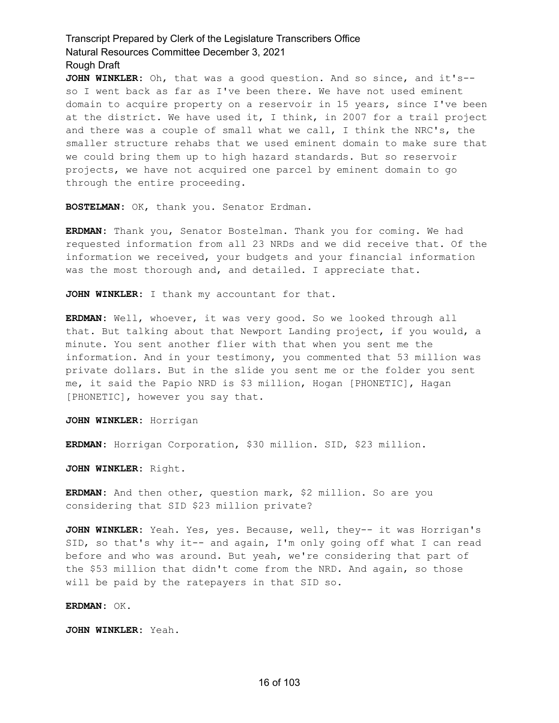**JOHN WINKLER:** Oh, that was a good question. And so since, and it's- so I went back as far as I've been there. We have not used eminent domain to acquire property on a reservoir in 15 years, since I've been at the district. We have used it, I think, in 2007 for a trail project and there was a couple of small what we call, I think the NRC's, the smaller structure rehabs that we used eminent domain to make sure that we could bring them up to high hazard standards. But so reservoir projects, we have not acquired one parcel by eminent domain to go through the entire proceeding.

**BOSTELMAN:** OK, thank you. Senator Erdman.

**ERDMAN:** Thank you, Senator Bostelman. Thank you for coming. We had requested information from all 23 NRDs and we did receive that. Of the information we received, your budgets and your financial information was the most thorough and, and detailed. I appreciate that.

**JOHN WINKLER:** I thank my accountant for that.

**ERDMAN:** Well, whoever, it was very good. So we looked through all that. But talking about that Newport Landing project, if you would, a minute. You sent another flier with that when you sent me the information. And in your testimony, you commented that 53 million was private dollars. But in the slide you sent me or the folder you sent me, it said the Papio NRD is \$3 million, Hogan [PHONETIC], Hagan [PHONETIC], however you say that.

**JOHN WINKLER:** Horrigan

**ERDMAN:** Horrigan Corporation, \$30 million. SID, \$23 million.

**JOHN WINKLER:** Right.

**ERDMAN:** And then other, question mark, \$2 million. So are you considering that SID \$23 million private?

**JOHN WINKLER:** Yeah. Yes, yes. Because, well, they-- it was Horrigan's SID, so that's why it-- and again, I'm only going off what I can read before and who was around. But yeah, we're considering that part of the \$53 million that didn't come from the NRD. And again, so those will be paid by the ratepayers in that SID so.

**ERDMAN:** OK.

**JOHN WINKLER:** Yeah.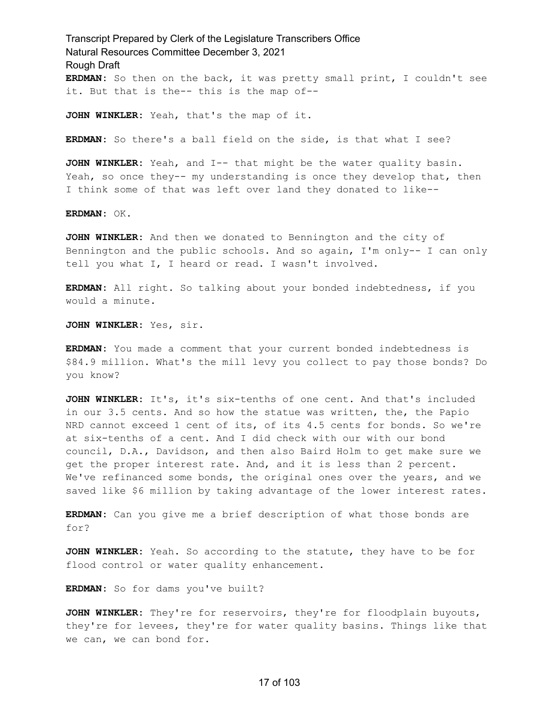Transcript Prepared by Clerk of the Legislature Transcribers Office Natural Resources Committee December 3, 2021 Rough Draft **ERDMAN:** So then on the back, it was pretty small print, I couldn't see it. But that is the-- this is the map of--

**JOHN WINKLER:** Yeah, that's the map of it.

**ERDMAN:** So there's a ball field on the side, is that what I see?

**JOHN WINKLER:** Yeah, and I-- that might be the water quality basin. Yeah, so once they-- my understanding is once they develop that, then I think some of that was left over land they donated to like--

**ERDMAN:** OK.

**JOHN WINKLER:** And then we donated to Bennington and the city of Bennington and the public schools. And so again, I'm only-- I can only tell you what I, I heard or read. I wasn't involved.

**ERDMAN:** All right. So talking about your bonded indebtedness, if you would a minute.

**JOHN WINKLER:** Yes, sir.

**ERDMAN:** You made a comment that your current bonded indebtedness is \$84.9 million. What's the mill levy you collect to pay those bonds? Do you know?

**JOHN WINKLER:** It's, it's six-tenths of one cent. And that's included in our 3.5 cents. And so how the statue was written, the, the Papio NRD cannot exceed 1 cent of its, of its 4.5 cents for bonds. So we're at six-tenths of a cent. And I did check with our with our bond council, D.A., Davidson, and then also Baird Holm to get make sure we get the proper interest rate. And, and it is less than 2 percent. We've refinanced some bonds, the original ones over the years, and we saved like \$6 million by taking advantage of the lower interest rates.

**ERDMAN:** Can you give me a brief description of what those bonds are for?

**JOHN WINKLER:** Yeah. So according to the statute, they have to be for flood control or water quality enhancement.

**ERDMAN:** So for dams you've built?

**JOHN WINKLER:** They're for reservoirs, they're for floodplain buyouts, they're for levees, they're for water quality basins. Things like that we can, we can bond for.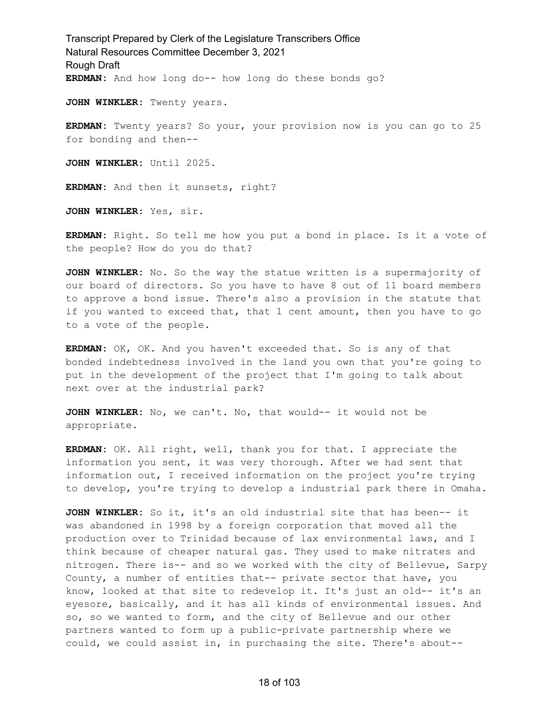Transcript Prepared by Clerk of the Legislature Transcribers Office Natural Resources Committee December 3, 2021 Rough Draft **ERDMAN:** And how long do-- how long do these bonds go?

**JOHN WINKLER:** Twenty years.

**ERDMAN:** Twenty years? So your, your provision now is you can go to 25 for bonding and then--

**JOHN WINKLER:** Until 2025.

**ERDMAN:** And then it sunsets, right?

**JOHN WINKLER:** Yes, sir.

**ERDMAN:** Right. So tell me how you put a bond in place. Is it a vote of the people? How do you do that?

**JOHN WINKLER:** No. So the way the statue written is a supermajority of our board of directors. So you have to have 8 out of 11 board members to approve a bond issue. There's also a provision in the statute that if you wanted to exceed that, that 1 cent amount, then you have to go to a vote of the people.

**ERDMAN:** OK, OK. And you haven't exceeded that. So is any of that bonded indebtedness involved in the land you own that you're going to put in the development of the project that I'm going to talk about next over at the industrial park?

**JOHN WINKLER:** No, we can't. No, that would-- it would not be appropriate.

**ERDMAN:** OK. All right, well, thank you for that. I appreciate the information you sent, it was very thorough. After we had sent that information out, I received information on the project you're trying to develop, you're trying to develop a industrial park there in Omaha.

**JOHN WINKLER:** So it, it's an old industrial site that has been-- it was abandoned in 1998 by a foreign corporation that moved all the production over to Trinidad because of lax environmental laws, and I think because of cheaper natural gas. They used to make nitrates and nitrogen. There is-- and so we worked with the city of Bellevue, Sarpy County, a number of entities that-- private sector that have, you know, looked at that site to redevelop it. It's just an old-- it's an eyesore, basically, and it has all kinds of environmental issues. And so, so we wanted to form, and the city of Bellevue and our other partners wanted to form up a public-private partnership where we could, we could assist in, in purchasing the site. There's about--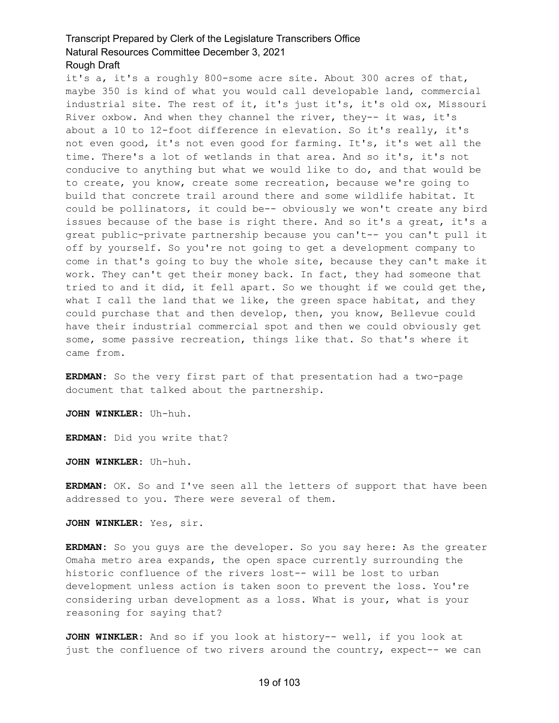it's a, it's a roughly 800-some acre site. About 300 acres of that, maybe 350 is kind of what you would call developable land, commercial industrial site. The rest of it, it's just it's, it's old ox, Missouri River oxbow. And when they channel the river, they-- it was, it's about a 10 to 12-foot difference in elevation. So it's really, it's not even good, it's not even good for farming. It's, it's wet all the time. There's a lot of wetlands in that area. And so it's, it's not conducive to anything but what we would like to do, and that would be to create, you know, create some recreation, because we're going to build that concrete trail around there and some wildlife habitat. It could be pollinators, it could be-- obviously we won't create any bird issues because of the base is right there. And so it's a great, it's a great public-private partnership because you can't-- you can't pull it off by yourself. So you're not going to get a development company to come in that's going to buy the whole site, because they can't make it work. They can't get their money back. In fact, they had someone that tried to and it did, it fell apart. So we thought if we could get the, what I call the land that we like, the green space habitat, and they could purchase that and then develop, then, you know, Bellevue could have their industrial commercial spot and then we could obviously get some, some passive recreation, things like that. So that's where it came from.

**ERDMAN:** So the very first part of that presentation had a two-page document that talked about the partnership.

**JOHN WINKLER:** Uh-huh.

**ERDMAN:** Did you write that?

**JOHN WINKLER:** Uh-huh.

**ERDMAN:** OK. So and I've seen all the letters of support that have been addressed to you. There were several of them.

**JOHN WINKLER:** Yes, sir.

**ERDMAN:** So you guys are the developer. So you say here: As the greater Omaha metro area expands, the open space currently surrounding the historic confluence of the rivers lost-- will be lost to urban development unless action is taken soon to prevent the loss. You're considering urban development as a loss. What is your, what is your reasoning for saying that?

**JOHN WINKLER:** And so if you look at history-- well, if you look at just the confluence of two rivers around the country, expect-- we can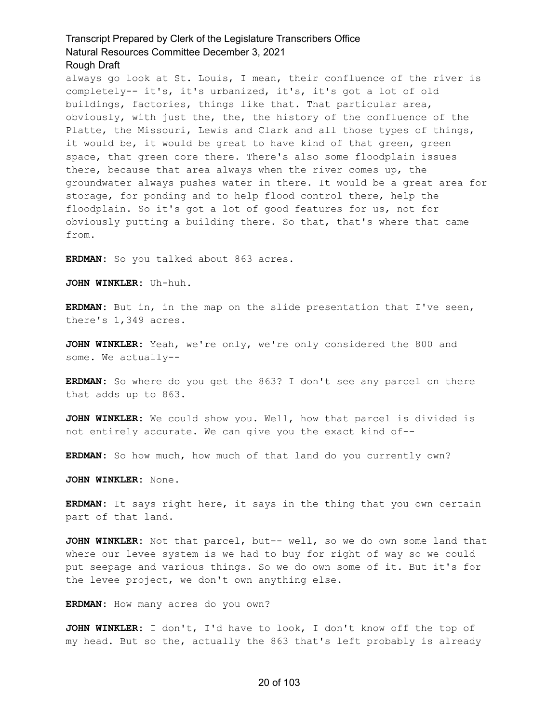always go look at St. Louis, I mean, their confluence of the river is completely-- it's, it's urbanized, it's, it's got a lot of old buildings, factories, things like that. That particular area, obviously, with just the, the, the history of the confluence of the Platte, the Missouri, Lewis and Clark and all those types of things, it would be, it would be great to have kind of that green, green space, that green core there. There's also some floodplain issues there, because that area always when the river comes up, the groundwater always pushes water in there. It would be a great area for storage, for ponding and to help flood control there, help the floodplain. So it's got a lot of good features for us, not for obviously putting a building there. So that, that's where that came from.

**ERDMAN:** So you talked about 863 acres.

**JOHN WINKLER:** Uh-huh.

**ERDMAN:** But in, in the map on the slide presentation that I've seen, there's 1,349 acres.

**JOHN WINKLER:** Yeah, we're only, we're only considered the 800 and some. We actually--

**ERDMAN:** So where do you get the 863? I don't see any parcel on there that adds up to 863.

**JOHN WINKLER:** We could show you. Well, how that parcel is divided is not entirely accurate. We can give you the exact kind of--

**ERDMAN:** So how much, how much of that land do you currently own?

**JOHN WINKLER:** None.

**ERDMAN:** It says right here, it says in the thing that you own certain part of that land.

**JOHN WINKLER:** Not that parcel, but-- well, so we do own some land that where our levee system is we had to buy for right of way so we could put seepage and various things. So we do own some of it. But it's for the levee project, we don't own anything else.

**ERDMAN:** How many acres do you own?

**JOHN WINKLER:** I don't, I'd have to look, I don't know off the top of my head. But so the, actually the 863 that's left probably is already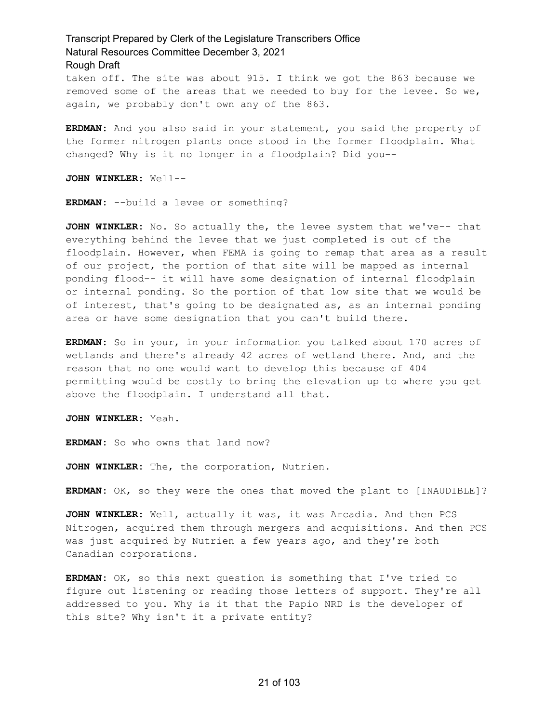taken off. The site was about 915. I think we got the 863 because we removed some of the areas that we needed to buy for the levee. So we, again, we probably don't own any of the 863.

**ERDMAN:** And you also said in your statement, you said the property of the former nitrogen plants once stood in the former floodplain. What changed? Why is it no longer in a floodplain? Did you--

**JOHN WINKLER:** Well--

**ERDMAN:** --build a levee or something?

**JOHN WINKLER:** No. So actually the, the levee system that we've-- that everything behind the levee that we just completed is out of the floodplain. However, when FEMA is going to remap that area as a result of our project, the portion of that site will be mapped as internal ponding flood-- it will have some designation of internal floodplain or internal ponding. So the portion of that low site that we would be of interest, that's going to be designated as, as an internal ponding area or have some designation that you can't build there.

**ERDMAN:** So in your, in your information you talked about 170 acres of wetlands and there's already 42 acres of wetland there. And, and the reason that no one would want to develop this because of 404 permitting would be costly to bring the elevation up to where you get above the floodplain. I understand all that.

**JOHN WINKLER:** Yeah.

**ERDMAN:** So who owns that land now?

**JOHN WINKLER:** The, the corporation, Nutrien.

**ERDMAN:** OK, so they were the ones that moved the plant to [INAUDIBLE]?

**JOHN WINKLER:** Well, actually it was, it was Arcadia. And then PCS Nitrogen, acquired them through mergers and acquisitions. And then PCS was just acquired by Nutrien a few years ago, and they're both Canadian corporations.

**ERDMAN:** OK, so this next question is something that I've tried to figure out listening or reading those letters of support. They're all addressed to you. Why is it that the Papio NRD is the developer of this site? Why isn't it a private entity?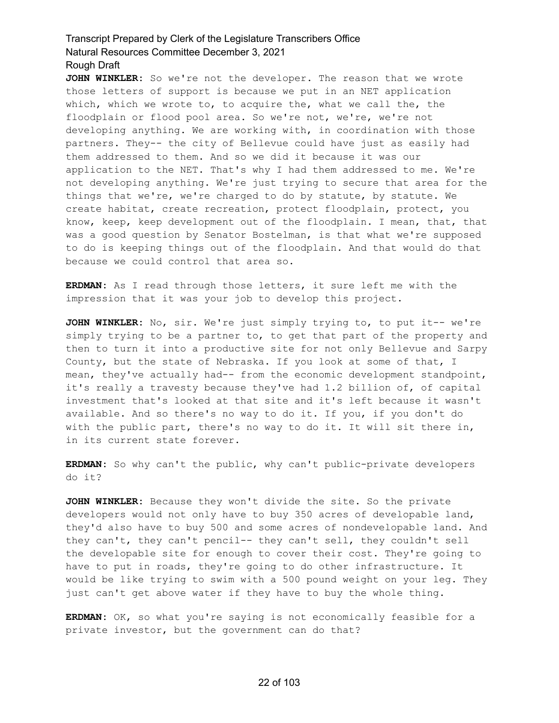**JOHN WINKLER:** So we're not the developer. The reason that we wrote those letters of support is because we put in an NET application which, which we wrote to, to acquire the, what we call the, the floodplain or flood pool area. So we're not, we're, we're not developing anything. We are working with, in coordination with those partners. They-- the city of Bellevue could have just as easily had them addressed to them. And so we did it because it was our application to the NET. That's why I had them addressed to me. We're not developing anything. We're just trying to secure that area for the things that we're, we're charged to do by statute, by statute. We create habitat, create recreation, protect floodplain, protect, you know, keep, keep development out of the floodplain. I mean, that, that was a good question by Senator Bostelman, is that what we're supposed to do is keeping things out of the floodplain. And that would do that because we could control that area so.

**ERDMAN:** As I read through those letters, it sure left me with the impression that it was your job to develop this project.

**JOHN WINKLER:** No, sir. We're just simply trying to, to put it-- we're simply trying to be a partner to, to get that part of the property and then to turn it into a productive site for not only Bellevue and Sarpy County, but the state of Nebraska. If you look at some of that, I mean, they've actually had-- from the economic development standpoint, it's really a travesty because they've had 1.2 billion of, of capital investment that's looked at that site and it's left because it wasn't available. And so there's no way to do it. If you, if you don't do with the public part, there's no way to do it. It will sit there in, in its current state forever.

**ERDMAN:** So why can't the public, why can't public-private developers do it?

**JOHN WINKLER:** Because they won't divide the site. So the private developers would not only have to buy 350 acres of developable land, they'd also have to buy 500 and some acres of nondevelopable land. And they can't, they can't pencil-- they can't sell, they couldn't sell the developable site for enough to cover their cost. They're going to have to put in roads, they're going to do other infrastructure. It would be like trying to swim with a 500 pound weight on your leg. They just can't get above water if they have to buy the whole thing.

**ERDMAN:** OK, so what you're saying is not economically feasible for a private investor, but the government can do that?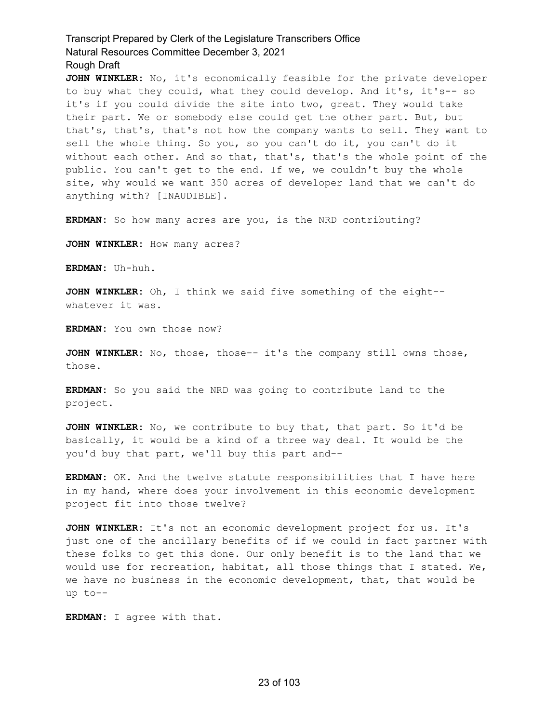**JOHN WINKLER:** No, it's economically feasible for the private developer to buy what they could, what they could develop. And it's, it's-- so it's if you could divide the site into two, great. They would take their part. We or somebody else could get the other part. But, but that's, that's, that's not how the company wants to sell. They want to sell the whole thing. So you, so you can't do it, you can't do it without each other. And so that, that's, that's the whole point of the public. You can't get to the end. If we, we couldn't buy the whole site, why would we want 350 acres of developer land that we can't do anything with? [INAUDIBLE].

**ERDMAN:** So how many acres are you, is the NRD contributing?

**JOHN WINKLER:** How many acres?

**ERDMAN:** Uh-huh.

**JOHN WINKLER:** Oh, I think we said five something of the eight- whatever it was.

**ERDMAN:** You own those now?

**JOHN WINKLER:** No, those, those-- it's the company still owns those, those.

**ERDMAN:** So you said the NRD was going to contribute land to the project.

**JOHN WINKLER:** No, we contribute to buy that, that part. So it'd be basically, it would be a kind of a three way deal. It would be the you'd buy that part, we'll buy this part and--

**ERDMAN:** OK. And the twelve statute responsibilities that I have here in my hand, where does your involvement in this economic development project fit into those twelve?

**JOHN WINKLER:** It's not an economic development project for us. It's just one of the ancillary benefits of if we could in fact partner with these folks to get this done. Our only benefit is to the land that we would use for recreation, habitat, all those things that I stated. We, we have no business in the economic development, that, that would be up to--

**ERDMAN:** I agree with that.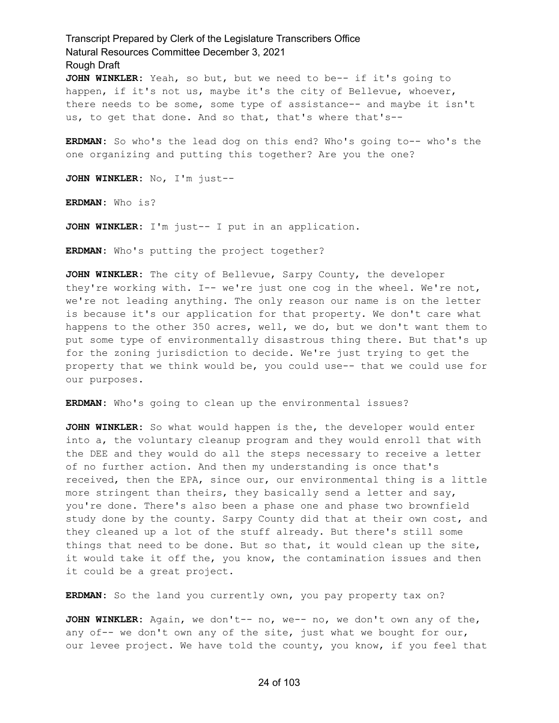Transcript Prepared by Clerk of the Legislature Transcribers Office Natural Resources Committee December 3, 2021 Rough Draft **JOHN WINKLER:** Yeah, so but, but we need to be-- if it's going to

happen, if it's not us, maybe it's the city of Bellevue, whoever, there needs to be some, some type of assistance-- and maybe it isn't us, to get that done. And so that, that's where that's--

**ERDMAN:** So who's the lead dog on this end? Who's going to-- who's the one organizing and putting this together? Are you the one?

**JOHN WINKLER:** No, I'm just--

**ERDMAN:** Who is?

**JOHN WINKLER:** I'm just-- I put in an application.

**ERDMAN:** Who's putting the project together?

**JOHN WINKLER:** The city of Bellevue, Sarpy County, the developer they're working with. I-- we're just one cog in the wheel. We're not, we're not leading anything. The only reason our name is on the letter is because it's our application for that property. We don't care what happens to the other 350 acres, well, we do, but we don't want them to put some type of environmentally disastrous thing there. But that's up for the zoning jurisdiction to decide. We're just trying to get the property that we think would be, you could use-- that we could use for our purposes.

**ERDMAN:** Who's going to clean up the environmental issues?

**JOHN WINKLER:** So what would happen is the, the developer would enter into a, the voluntary cleanup program and they would enroll that with the DEE and they would do all the steps necessary to receive a letter of no further action. And then my understanding is once that's received, then the EPA, since our, our environmental thing is a little more stringent than theirs, they basically send a letter and say, you're done. There's also been a phase one and phase two brownfield study done by the county. Sarpy County did that at their own cost, and they cleaned up a lot of the stuff already. But there's still some things that need to be done. But so that, it would clean up the site, it would take it off the, you know, the contamination issues and then it could be a great project.

**ERDMAN:** So the land you currently own, you pay property tax on?

**JOHN WINKLER:** Again, we don't-- no, we-- no, we don't own any of the, any of-- we don't own any of the site, just what we bought for our, our levee project. We have told the county, you know, if you feel that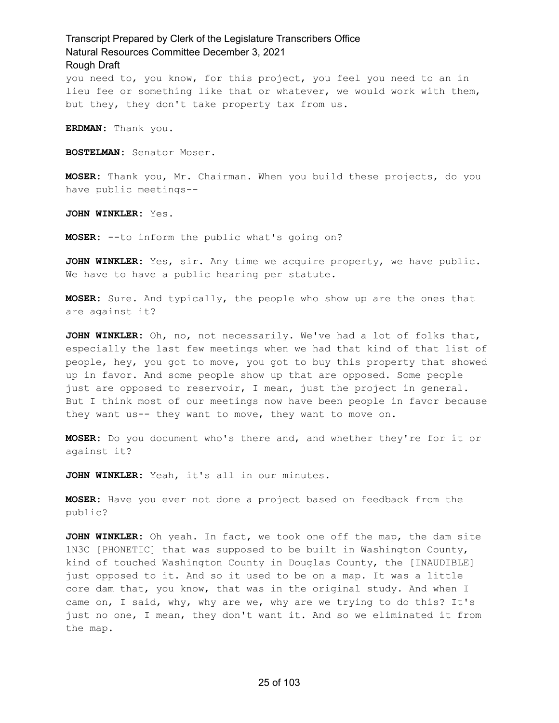you need to, you know, for this project, you feel you need to an in lieu fee or something like that or whatever, we would work with them, but they, they don't take property tax from us.

**ERDMAN:** Thank you.

**BOSTELMAN:** Senator Moser.

**MOSER:** Thank you, Mr. Chairman. When you build these projects, do you have public meetings--

**JOHN WINKLER:** Yes.

**MOSER:** --to inform the public what's going on?

**JOHN WINKLER:** Yes, sir. Any time we acquire property, we have public. We have to have a public hearing per statute.

**MOSER:** Sure. And typically, the people who show up are the ones that are against it?

**JOHN WINKLER:** Oh, no, not necessarily. We've had a lot of folks that, especially the last few meetings when we had that kind of that list of people, hey, you got to move, you got to buy this property that showed up in favor. And some people show up that are opposed. Some people just are opposed to reservoir, I mean, just the project in general. But I think most of our meetings now have been people in favor because they want us-- they want to move, they want to move on.

**MOSER:** Do you document who's there and, and whether they're for it or against it?

**JOHN WINKLER:** Yeah, it's all in our minutes.

**MOSER:** Have you ever not done a project based on feedback from the public?

**JOHN WINKLER:** Oh yeah. In fact, we took one off the map, the dam site 1N3C [PHONETIC] that was supposed to be built in Washington County, kind of touched Washington County in Douglas County, the [INAUDIBLE] just opposed to it. And so it used to be on a map. It was a little core dam that, you know, that was in the original study. And when I came on, I said, why, why are we, why are we trying to do this? It's just no one, I mean, they don't want it. And so we eliminated it from the map.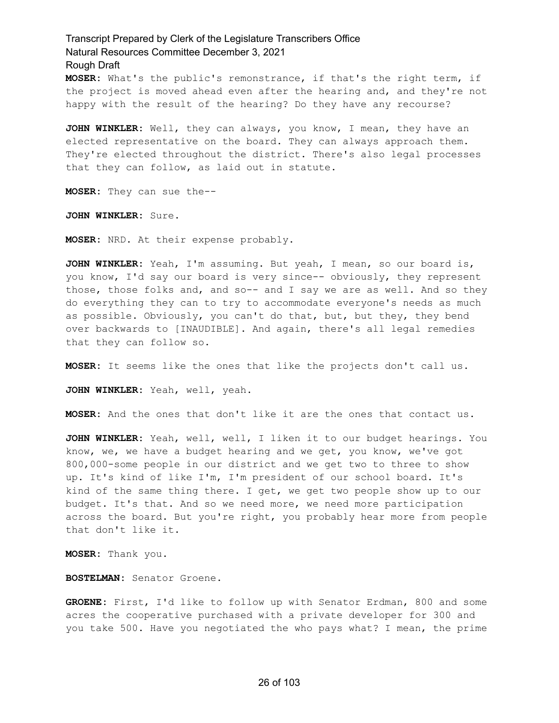**MOSER:** What's the public's remonstrance, if that's the right term, if the project is moved ahead even after the hearing and, and they're not happy with the result of the hearing? Do they have any recourse?

**JOHN WINKLER:** Well, they can always, you know, I mean, they have an elected representative on the board. They can always approach them. They're elected throughout the district. There's also legal processes that they can follow, as laid out in statute.

**MOSER:** They can sue the--

**JOHN WINKLER:** Sure.

**MOSER:** NRD. At their expense probably.

**JOHN WINKLER:** Yeah, I'm assuming. But yeah, I mean, so our board is, you know, I'd say our board is very since-- obviously, they represent those, those folks and, and so-- and I say we are as well. And so they do everything they can to try to accommodate everyone's needs as much as possible. Obviously, you can't do that, but, but they, they bend over backwards to [INAUDIBLE]. And again, there's all legal remedies that they can follow so.

**MOSER:** It seems like the ones that like the projects don't call us.

**JOHN WINKLER:** Yeah, well, yeah.

**MOSER:** And the ones that don't like it are the ones that contact us.

**JOHN WINKLER:** Yeah, well, well, I liken it to our budget hearings. You know, we, we have a budget hearing and we get, you know, we've got 800,000-some people in our district and we get two to three to show up. It's kind of like I'm, I'm president of our school board. It's kind of the same thing there. I get, we get two people show up to our budget. It's that. And so we need more, we need more participation across the board. But you're right, you probably hear more from people that don't like it.

**MOSER:** Thank you.

**BOSTELMAN:** Senator Groene.

**GROENE:** First, I'd like to follow up with Senator Erdman, 800 and some acres the cooperative purchased with a private developer for 300 and you take 500. Have you negotiated the who pays what? I mean, the prime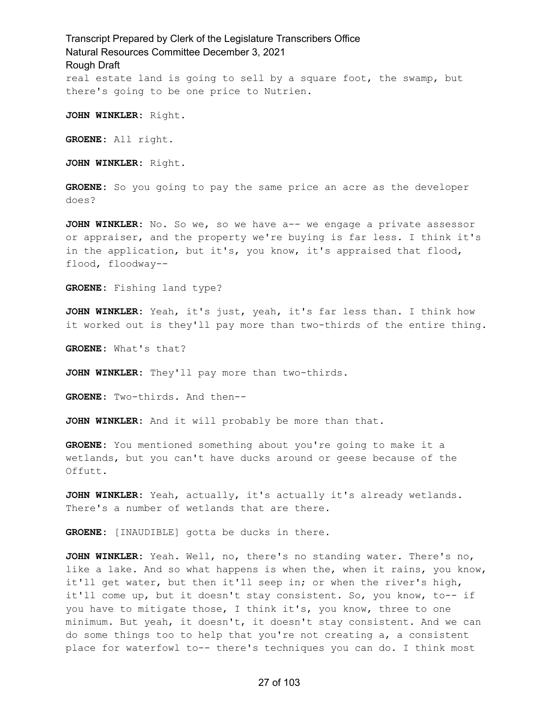Transcript Prepared by Clerk of the Legislature Transcribers Office Natural Resources Committee December 3, 2021 Rough Draft real estate land is going to sell by a square foot, the swamp, but there's going to be one price to Nutrien.

**JOHN WINKLER:** Right.

**GROENE:** All right.

**JOHN WINKLER:** Right.

**GROENE:** So you going to pay the same price an acre as the developer does?

**JOHN WINKLER:** No. So we, so we have a-- we engage a private assessor or appraiser, and the property we're buying is far less. I think it's in the application, but it's, you know, it's appraised that flood, flood, floodway--

**GROENE:** Fishing land type?

**JOHN WINKLER:** Yeah, it's just, yeah, it's far less than. I think how it worked out is they'll pay more than two-thirds of the entire thing.

**GROENE:** What's that?

**JOHN WINKLER:** They'll pay more than two-thirds.

**GROENE:** Two-thirds. And then--

**JOHN WINKLER:** And it will probably be more than that.

**GROENE:** You mentioned something about you're going to make it a wetlands, but you can't have ducks around or geese because of the Offutt.

**JOHN WINKLER:** Yeah, actually, it's actually it's already wetlands. There's a number of wetlands that are there.

**GROENE:** [INAUDIBLE] gotta be ducks in there.

**JOHN WINKLER:** Yeah. Well, no, there's no standing water. There's no, like a lake. And so what happens is when the, when it rains, you know, it'll get water, but then it'll seep in; or when the river's high, it'll come up, but it doesn't stay consistent. So, you know, to-- if you have to mitigate those, I think it's, you know, three to one minimum. But yeah, it doesn't, it doesn't stay consistent. And we can do some things too to help that you're not creating a, a consistent place for waterfowl to-- there's techniques you can do. I think most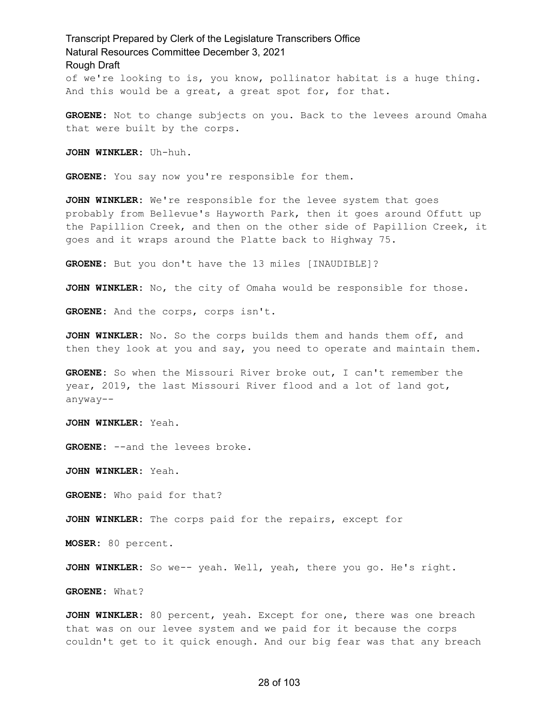of we're looking to is, you know, pollinator habitat is a huge thing. And this would be a great, a great spot for, for that.

**GROENE:** Not to change subjects on you. Back to the levees around Omaha that were built by the corps.

**JOHN WINKLER:** Uh-huh.

**GROENE:** You say now you're responsible for them.

**JOHN WINKLER:** We're responsible for the levee system that goes probably from Bellevue's Hayworth Park, then it goes around Offutt up the Papillion Creek, and then on the other side of Papillion Creek, it goes and it wraps around the Platte back to Highway 75.

**GROENE:** But you don't have the 13 miles [INAUDIBLE]?

**JOHN WINKLER:** No, the city of Omaha would be responsible for those.

**GROENE:** And the corps, corps isn't.

**JOHN WINKLER:** No. So the corps builds them and hands them off, and then they look at you and say, you need to operate and maintain them.

**GROENE:** So when the Missouri River broke out, I can't remember the year, 2019, the last Missouri River flood and a lot of land got, anyway--

**JOHN WINKLER:** Yeah.

**GROENE:** --and the levees broke.

**JOHN WINKLER:** Yeah.

**GROENE:** Who paid for that?

**JOHN WINKLER:** The corps paid for the repairs, except for

**MOSER:** 80 percent.

**JOHN WINKLER:** So we-- yeah. Well, yeah, there you go. He's right.

**GROENE:** What?

**JOHN WINKLER:** 80 percent, yeah. Except for one, there was one breach that was on our levee system and we paid for it because the corps couldn't get to it quick enough. And our big fear was that any breach

#### 28 of 103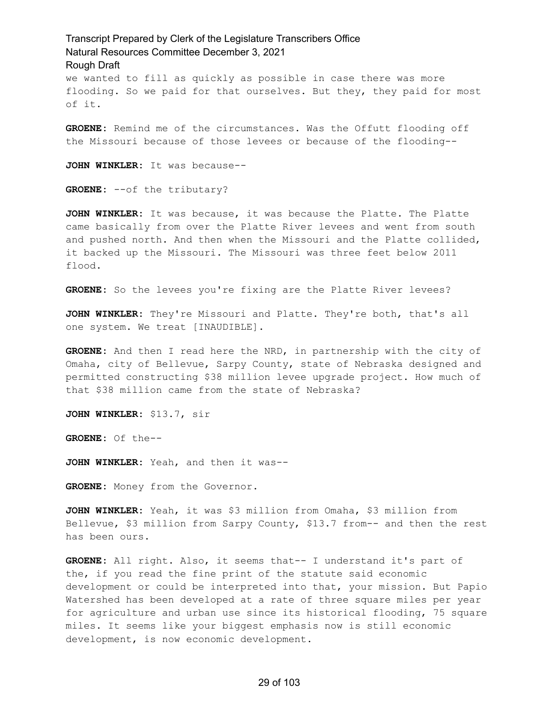we wanted to fill as quickly as possible in case there was more flooding. So we paid for that ourselves. But they, they paid for most of it.

**GROENE:** Remind me of the circumstances. Was the Offutt flooding off the Missouri because of those levees or because of the flooding--

**JOHN WINKLER:** It was because--

**GROENE:** --of the tributary?

**JOHN WINKLER:** It was because, it was because the Platte. The Platte came basically from over the Platte River levees and went from south and pushed north. And then when the Missouri and the Platte collided, it backed up the Missouri. The Missouri was three feet below 2011 flood.

**GROENE:** So the levees you're fixing are the Platte River levees?

**JOHN WINKLER:** They're Missouri and Platte. They're both, that's all one system. We treat [INAUDIBLE].

**GROENE:** And then I read here the NRD, in partnership with the city of Omaha, city of Bellevue, Sarpy County, state of Nebraska designed and permitted constructing \$38 million levee upgrade project. How much of that \$38 million came from the state of Nebraska?

**JOHN WINKLER:** \$13.7, sir

**GROENE:** Of the--

**JOHN WINKLER:** Yeah, and then it was--

**GROENE:** Money from the Governor.

**JOHN WINKLER:** Yeah, it was \$3 million from Omaha, \$3 million from Bellevue, \$3 million from Sarpy County, \$13.7 from-- and then the rest has been ours.

**GROENE:** All right. Also, it seems that-- I understand it's part of the, if you read the fine print of the statute said economic development or could be interpreted into that, your mission. But Papio Watershed has been developed at a rate of three square miles per year for agriculture and urban use since its historical flooding, 75 square miles. It seems like your biggest emphasis now is still economic development, is now economic development.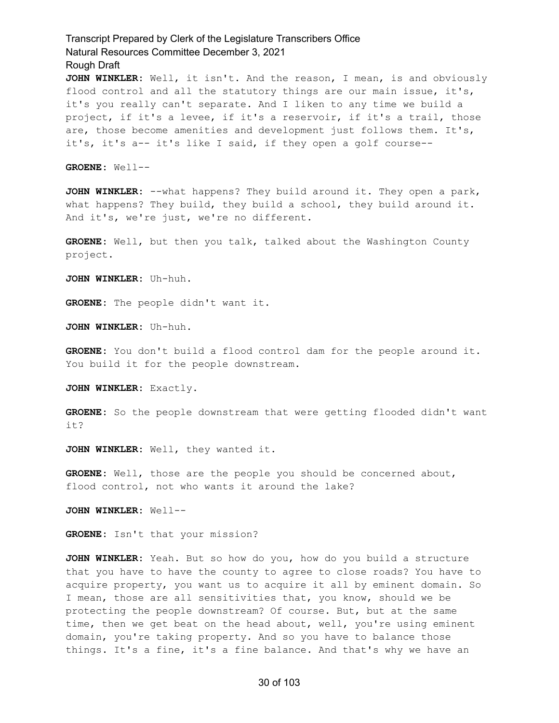**JOHN WINKLER:** Well, it isn't. And the reason, I mean, is and obviously flood control and all the statutory things are our main issue, it's, it's you really can't separate. And I liken to any time we build a project, if it's a levee, if it's a reservoir, if it's a trail, those are, those become amenities and development just follows them. It's, it's, it's a-- it's like I said, if they open a golf course--

**GROENE:** Well--

**JOHN WINKLER:** --what happens? They build around it. They open a park, what happens? They build, they build a school, they build around it. And it's, we're just, we're no different.

**GROENE:** Well, but then you talk, talked about the Washington County project.

**JOHN WINKLER:** Uh-huh.

**GROENE:** The people didn't want it.

**JOHN WINKLER:** Uh-huh.

**GROENE:** You don't build a flood control dam for the people around it. You build it for the people downstream.

**JOHN WINKLER:** Exactly.

**GROENE:** So the people downstream that were getting flooded didn't want it?

**JOHN WINKLER:** Well, they wanted it.

**GROENE:** Well, those are the people you should be concerned about, flood control, not who wants it around the lake?

**JOHN WINKLER:** Well--

**GROENE:** Isn't that your mission?

**JOHN WINKLER:** Yeah. But so how do you, how do you build a structure that you have to have the county to agree to close roads? You have to acquire property, you want us to acquire it all by eminent domain. So I mean, those are all sensitivities that, you know, should we be protecting the people downstream? Of course. But, but at the same time, then we get beat on the head about, well, you're using eminent domain, you're taking property. And so you have to balance those things. It's a fine, it's a fine balance. And that's why we have an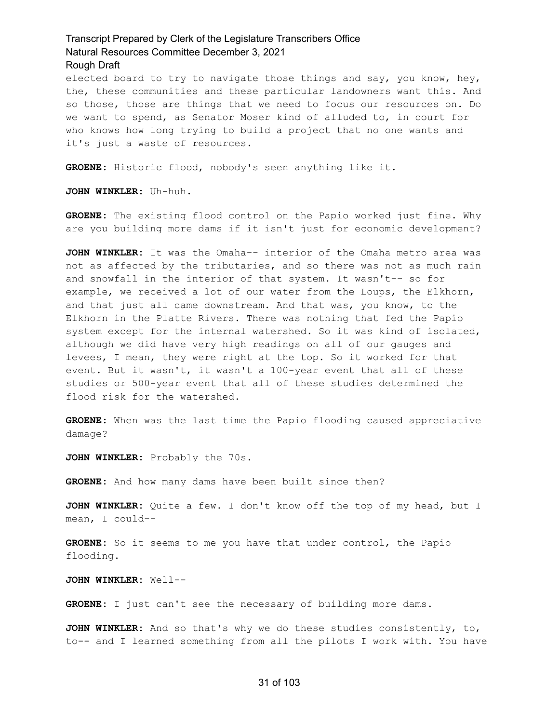elected board to try to navigate those things and say, you know, hey, the, these communities and these particular landowners want this. And so those, those are things that we need to focus our resources on. Do we want to spend, as Senator Moser kind of alluded to, in court for who knows how long trying to build a project that no one wants and it's just a waste of resources.

**GROENE:** Historic flood, nobody's seen anything like it.

**JOHN WINKLER:** Uh-huh.

**GROENE:** The existing flood control on the Papio worked just fine. Why are you building more dams if it isn't just for economic development?

**JOHN WINKLER:** It was the Omaha-- interior of the Omaha metro area was not as affected by the tributaries, and so there was not as much rain and snowfall in the interior of that system. It wasn't-- so for example, we received a lot of our water from the Loups, the Elkhorn, and that just all came downstream. And that was, you know, to the Elkhorn in the Platte Rivers. There was nothing that fed the Papio system except for the internal watershed. So it was kind of isolated, although we did have very high readings on all of our gauges and levees, I mean, they were right at the top. So it worked for that event. But it wasn't, it wasn't a 100-year event that all of these studies or 500-year event that all of these studies determined the flood risk for the watershed.

**GROENE:** When was the last time the Papio flooding caused appreciative damage?

**JOHN WINKLER:** Probably the 70s.

**GROENE:** And how many dams have been built since then?

**JOHN WINKLER:** Quite a few. I don't know off the top of my head, but I mean, I could--

**GROENE:** So it seems to me you have that under control, the Papio flooding.

**JOHN WINKLER:** Well--

**GROENE:** I just can't see the necessary of building more dams.

**JOHN WINKLER:** And so that's why we do these studies consistently, to, to-- and I learned something from all the pilots I work with. You have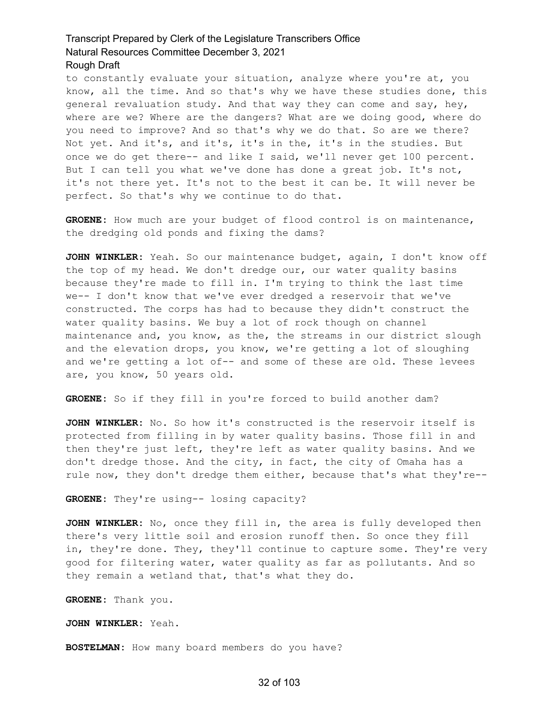to constantly evaluate your situation, analyze where you're at, you know, all the time. And so that's why we have these studies done, this general revaluation study. And that way they can come and say, hey, where are we? Where are the dangers? What are we doing good, where do you need to improve? And so that's why we do that. So are we there? Not yet. And it's, and it's, it's in the, it's in the studies. But once we do get there-- and like I said, we'll never get 100 percent. But I can tell you what we've done has done a great job. It's not, it's not there yet. It's not to the best it can be. It will never be perfect. So that's why we continue to do that.

**GROENE:** How much are your budget of flood control is on maintenance, the dredging old ponds and fixing the dams?

**JOHN WINKLER:** Yeah. So our maintenance budget, again, I don't know off the top of my head. We don't dredge our, our water quality basins because they're made to fill in. I'm trying to think the last time we-- I don't know that we've ever dredged a reservoir that we've constructed. The corps has had to because they didn't construct the water quality basins. We buy a lot of rock though on channel maintenance and, you know, as the, the streams in our district slough and the elevation drops, you know, we're getting a lot of sloughing and we're getting a lot of-- and some of these are old. These levees are, you know, 50 years old.

**GROENE:** So if they fill in you're forced to build another dam?

**JOHN WINKLER:** No. So how it's constructed is the reservoir itself is protected from filling in by water quality basins. Those fill in and then they're just left, they're left as water quality basins. And we don't dredge those. And the city, in fact, the city of Omaha has a rule now, they don't dredge them either, because that's what they're--

**GROENE:** They're using-- losing capacity?

**JOHN WINKLER:** No, once they fill in, the area is fully developed then there's very little soil and erosion runoff then. So once they fill in, they're done. They, they'll continue to capture some. They're very good for filtering water, water quality as far as pollutants. And so they remain a wetland that, that's what they do.

**GROENE:** Thank you.

**JOHN WINKLER:** Yeah.

**BOSTELMAN:** How many board members do you have?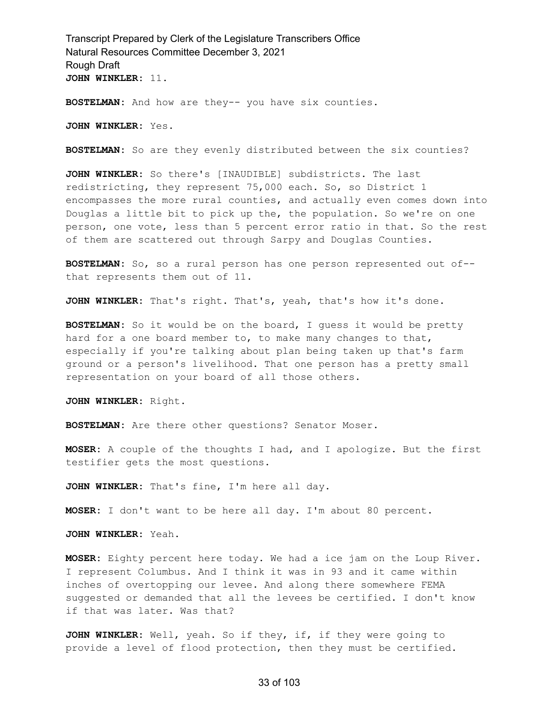**BOSTELMAN:** And how are they-- you have six counties.

**JOHN WINKLER:** Yes.

**BOSTELMAN:** So are they evenly distributed between the six counties?

**JOHN WINKLER:** So there's [INAUDIBLE] subdistricts. The last redistricting, they represent 75,000 each. So, so District 1 encompasses the more rural counties, and actually even comes down into Douglas a little bit to pick up the, the population. So we're on one person, one vote, less than 5 percent error ratio in that. So the rest of them are scattered out through Sarpy and Douglas Counties.

**BOSTELMAN:** So, so a rural person has one person represented out of- that represents them out of 11.

**JOHN WINKLER:** That's right. That's, yeah, that's how it's done.

**BOSTELMAN:** So it would be on the board, I guess it would be pretty hard for a one board member to, to make many changes to that, especially if you're talking about plan being taken up that's farm ground or a person's livelihood. That one person has a pretty small representation on your board of all those others.

**JOHN WINKLER:** Right.

**BOSTELMAN:** Are there other questions? Senator Moser.

**MOSER:** A couple of the thoughts I had, and I apologize. But the first testifier gets the most questions.

**JOHN WINKLER:** That's fine, I'm here all day.

**MOSER:** I don't want to be here all day. I'm about 80 percent.

**JOHN WINKLER:** Yeah.

**MOSER:** Eighty percent here today. We had a ice jam on the Loup River. I represent Columbus. And I think it was in 93 and it came within inches of overtopping our levee. And along there somewhere FEMA suggested or demanded that all the levees be certified. I don't know if that was later. Was that?

**JOHN WINKLER:** Well, yeah. So if they, if, if they were going to provide a level of flood protection, then they must be certified.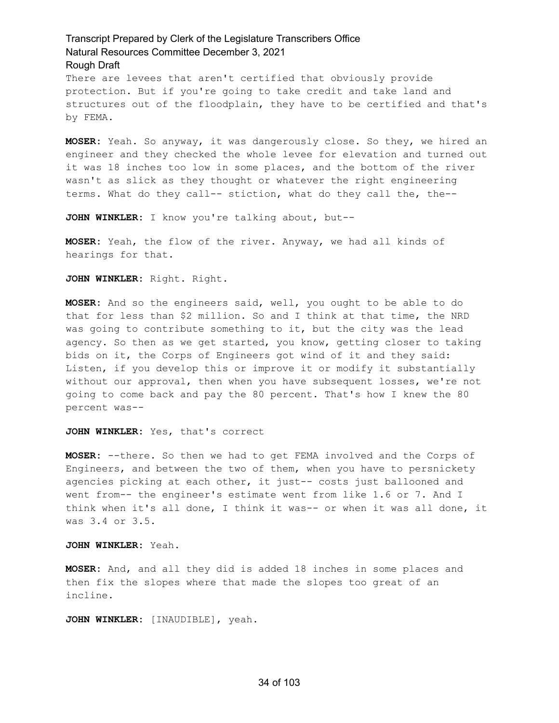There are levees that aren't certified that obviously provide protection. But if you're going to take credit and take land and structures out of the floodplain, they have to be certified and that's by FEMA.

**MOSER:** Yeah. So anyway, it was dangerously close. So they, we hired an engineer and they checked the whole levee for elevation and turned out it was 18 inches too low in some places, and the bottom of the river wasn't as slick as they thought or whatever the right engineering terms. What do they call-- stiction, what do they call the, the--

**JOHN WINKLER:** I know you're talking about, but--

**MOSER:** Yeah, the flow of the river. Anyway, we had all kinds of hearings for that.

**JOHN WINKLER:** Right. Right.

**MOSER:** And so the engineers said, well, you ought to be able to do that for less than \$2 million. So and I think at that time, the NRD was going to contribute something to it, but the city was the lead agency. So then as we get started, you know, getting closer to taking bids on it, the Corps of Engineers got wind of it and they said: Listen, if you develop this or improve it or modify it substantially without our approval, then when you have subsequent losses, we're not going to come back and pay the 80 percent. That's how I knew the 80 percent was--

#### **JOHN WINKLER:** Yes, that's correct

**MOSER:** --there. So then we had to get FEMA involved and the Corps of Engineers, and between the two of them, when you have to persnickety agencies picking at each other, it just-- costs just ballooned and went from-- the engineer's estimate went from like 1.6 or 7. And I think when it's all done, I think it was-- or when it was all done, it was 3.4 or 3.5.

**JOHN WINKLER:** Yeah.

**MOSER:** And, and all they did is added 18 inches in some places and then fix the slopes where that made the slopes too great of an incline.

**JOHN WINKLER:** [INAUDIBLE], yeah.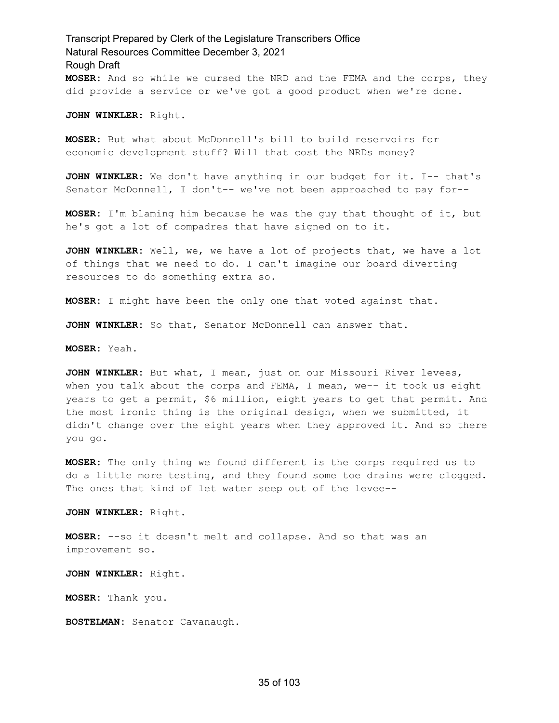Transcript Prepared by Clerk of the Legislature Transcribers Office Natural Resources Committee December 3, 2021 Rough Draft **MOSER:** And so while we cursed the NRD and the FEMA and the corps, they did provide a service or we've got a good product when we're done.

**JOHN WINKLER:** Right.

**MOSER:** But what about McDonnell's bill to build reservoirs for economic development stuff? Will that cost the NRDs money?

**JOHN WINKLER:** We don't have anything in our budget for it. I-- that's Senator McDonnell, I don't-- we've not been approached to pay for--

**MOSER:** I'm blaming him because he was the guy that thought of it, but he's got a lot of compadres that have signed on to it.

**JOHN WINKLER:** Well, we, we have a lot of projects that, we have a lot of things that we need to do. I can't imagine our board diverting resources to do something extra so.

**MOSER:** I might have been the only one that voted against that.

**JOHN WINKLER:** So that, Senator McDonnell can answer that.

**MOSER:** Yeah.

**JOHN WINKLER:** But what, I mean, just on our Missouri River levees, when you talk about the corps and  $FEMA$ , I mean, we-- it took us eight years to get a permit, \$6 million, eight years to get that permit. And the most ironic thing is the original design, when we submitted, it didn't change over the eight years when they approved it. And so there you go.

**MOSER:** The only thing we found different is the corps required us to do a little more testing, and they found some toe drains were clogged. The ones that kind of let water seep out of the levee--

**JOHN WINKLER:** Right.

**MOSER:** --so it doesn't melt and collapse. And so that was an improvement so.

**JOHN WINKLER:** Right.

**MOSER:** Thank you.

**BOSTELMAN:** Senator Cavanaugh.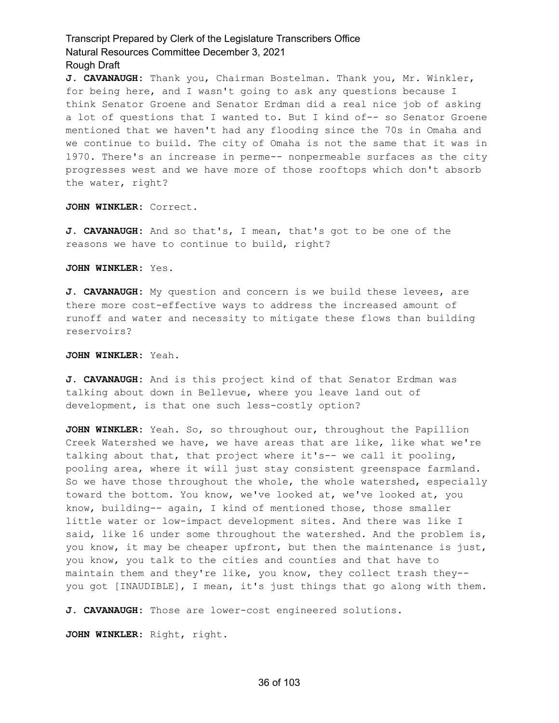**J. CAVANAUGH:** Thank you, Chairman Bostelman. Thank you, Mr. Winkler, for being here, and I wasn't going to ask any questions because I think Senator Groene and Senator Erdman did a real nice job of asking a lot of questions that I wanted to. But I kind of-- so Senator Groene mentioned that we haven't had any flooding since the 70s in Omaha and we continue to build. The city of Omaha is not the same that it was in 1970. There's an increase in perme-- nonpermeable surfaces as the city progresses west and we have more of those rooftops which don't absorb the water, right?

**JOHN WINKLER:** Correct.

**J. CAVANAUGH:** And so that's, I mean, that's got to be one of the reasons we have to continue to build, right?

**JOHN WINKLER:** Yes.

**J. CAVANAUGH:** My question and concern is we build these levees, are there more cost-effective ways to address the increased amount of runoff and water and necessity to mitigate these flows than building reservoirs?

**JOHN WINKLER:** Yeah.

**J. CAVANAUGH:** And is this project kind of that Senator Erdman was talking about down in Bellevue, where you leave land out of development, is that one such less-costly option?

**JOHN WINKLER:** Yeah. So, so throughout our, throughout the Papillion Creek Watershed we have, we have areas that are like, like what we're talking about that, that project where it's-- we call it pooling, pooling area, where it will just stay consistent greenspace farmland. So we have those throughout the whole, the whole watershed, especially toward the bottom. You know, we've looked at, we've looked at, you know, building-- again, I kind of mentioned those, those smaller little water or low-impact development sites. And there was like I said, like 16 under some throughout the watershed. And the problem is, you know, it may be cheaper upfront, but then the maintenance is just, you know, you talk to the cities and counties and that have to maintain them and they're like, you know, they collect trash they- you got [INAUDIBLE], I mean, it's just things that go along with them.

**J. CAVANAUGH:** Those are lower-cost engineered solutions.

**JOHN WINKLER:** Right, right.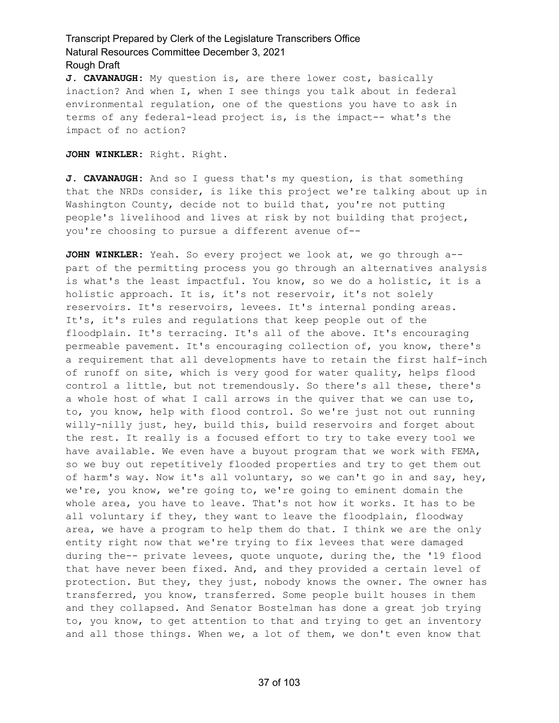**J. CAVANAUGH:** My question is, are there lower cost, basically inaction? And when I, when I see things you talk about in federal environmental regulation, one of the questions you have to ask in terms of any federal-lead project is, is the impact-- what's the impact of no action?

**JOHN WINKLER:** Right. Right.

**J. CAVANAUGH:** And so I guess that's my question, is that something that the NRDs consider, is like this project we're talking about up in Washington County, decide not to build that, you're not putting people's livelihood and lives at risk by not building that project, you're choosing to pursue a different avenue of--

**JOHN WINKLER:** Yeah. So every project we look at, we go through a- part of the permitting process you go through an alternatives analysis is what's the least impactful. You know, so we do a holistic, it is a holistic approach. It is, it's not reservoir, it's not solely reservoirs. It's reservoirs, levees. It's internal ponding areas. It's, it's rules and regulations that keep people out of the floodplain. It's terracing. It's all of the above. It's encouraging permeable pavement. It's encouraging collection of, you know, there's a requirement that all developments have to retain the first half-inch of runoff on site, which is very good for water quality, helps flood control a little, but not tremendously. So there's all these, there's a whole host of what I call arrows in the quiver that we can use to, to, you know, help with flood control. So we're just not out running willy-nilly just, hey, build this, build reservoirs and forget about the rest. It really is a focused effort to try to take every tool we have available. We even have a buyout program that we work with FEMA, so we buy out repetitively flooded properties and try to get them out of harm's way. Now it's all voluntary, so we can't go in and say, hey, we're, you know, we're going to, we're going to eminent domain the whole area, you have to leave. That's not how it works. It has to be all voluntary if they, they want to leave the floodplain, floodway area, we have a program to help them do that. I think we are the only entity right now that we're trying to fix levees that were damaged during the-- private levees, quote unquote, during the, the '19 flood that have never been fixed. And, and they provided a certain level of protection. But they, they just, nobody knows the owner. The owner has transferred, you know, transferred. Some people built houses in them and they collapsed. And Senator Bostelman has done a great job trying to, you know, to get attention to that and trying to get an inventory and all those things. When we, a lot of them, we don't even know that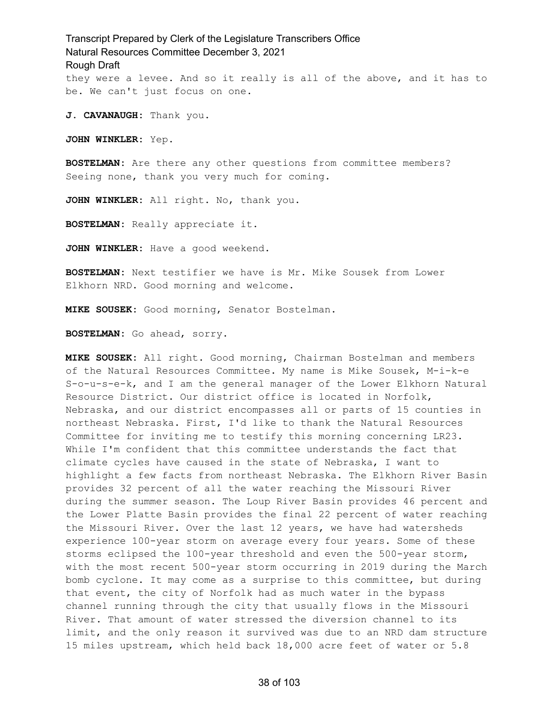Transcript Prepared by Clerk of the Legislature Transcribers Office Natural Resources Committee December 3, 2021 Rough Draft they were a levee. And so it really is all of the above, and it has to be. We can't just focus on one.

**J. CAVANAUGH:** Thank you.

**JOHN WINKLER:** Yep.

**BOSTELMAN:** Are there any other questions from committee members? Seeing none, thank you very much for coming.

**JOHN WINKLER:** All right. No, thank you.

**BOSTELMAN:** Really appreciate it.

**JOHN WINKLER:** Have a good weekend.

**BOSTELMAN:** Next testifier we have is Mr. Mike Sousek from Lower Elkhorn NRD. Good morning and welcome.

**MIKE SOUSEK:** Good morning, Senator Bostelman.

**BOSTELMAN:** Go ahead, sorry.

**MIKE SOUSEK:** All right. Good morning, Chairman Bostelman and members of the Natural Resources Committee. My name is Mike Sousek, M-i-k-e S-o-u-s-e-k, and I am the general manager of the Lower Elkhorn Natural Resource District. Our district office is located in Norfolk, Nebraska, and our district encompasses all or parts of 15 counties in northeast Nebraska. First, I'd like to thank the Natural Resources Committee for inviting me to testify this morning concerning LR23. While I'm confident that this committee understands the fact that climate cycles have caused in the state of Nebraska, I want to highlight a few facts from northeast Nebraska. The Elkhorn River Basin provides 32 percent of all the water reaching the Missouri River during the summer season. The Loup River Basin provides 46 percent and the Lower Platte Basin provides the final 22 percent of water reaching the Missouri River. Over the last 12 years, we have had watersheds experience 100-year storm on average every four years. Some of these storms eclipsed the 100-year threshold and even the 500-year storm, with the most recent 500-year storm occurring in 2019 during the March bomb cyclone. It may come as a surprise to this committee, but during that event, the city of Norfolk had as much water in the bypass channel running through the city that usually flows in the Missouri River. That amount of water stressed the diversion channel to its limit, and the only reason it survived was due to an NRD dam structure 15 miles upstream, which held back 18,000 acre feet of water or 5.8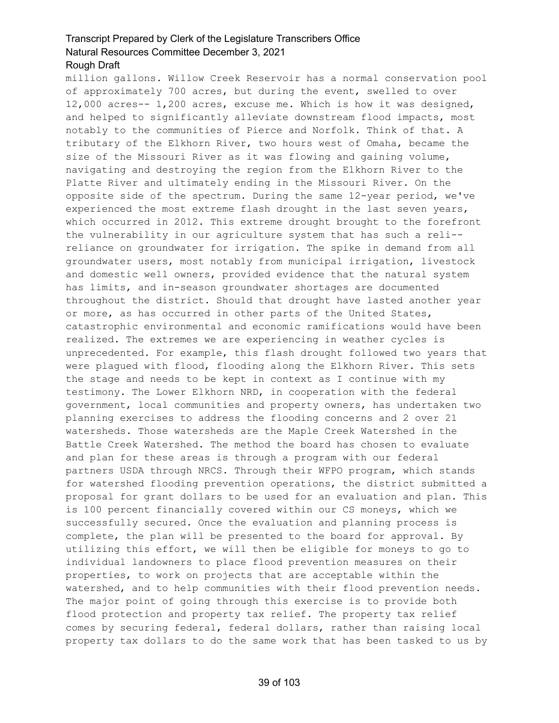million gallons. Willow Creek Reservoir has a normal conservation pool of approximately 700 acres, but during the event, swelled to over 12,000 acres-- 1,200 acres, excuse me. Which is how it was designed, and helped to significantly alleviate downstream flood impacts, most notably to the communities of Pierce and Norfolk. Think of that. A tributary of the Elkhorn River, two hours west of Omaha, became the size of the Missouri River as it was flowing and gaining volume, navigating and destroying the region from the Elkhorn River to the Platte River and ultimately ending in the Missouri River. On the opposite side of the spectrum. During the same 12-year period, we've experienced the most extreme flash drought in the last seven years, which occurred in 2012. This extreme drought brought to the forefront the vulnerability in our agriculture system that has such a reli- reliance on groundwater for irrigation. The spike in demand from all groundwater users, most notably from municipal irrigation, livestock and domestic well owners, provided evidence that the natural system has limits, and in-season groundwater shortages are documented throughout the district. Should that drought have lasted another year or more, as has occurred in other parts of the United States, catastrophic environmental and economic ramifications would have been realized. The extremes we are experiencing in weather cycles is unprecedented. For example, this flash drought followed two years that were plagued with flood, flooding along the Elkhorn River. This sets the stage and needs to be kept in context as I continue with my testimony. The Lower Elkhorn NRD, in cooperation with the federal government, local communities and property owners, has undertaken two planning exercises to address the flooding concerns and 2 over 21 watersheds. Those watersheds are the Maple Creek Watershed in the Battle Creek Watershed. The method the board has chosen to evaluate and plan for these areas is through a program with our federal partners USDA through NRCS. Through their WFPO program, which stands for watershed flooding prevention operations, the district submitted a proposal for grant dollars to be used for an evaluation and plan. This is 100 percent financially covered within our CS moneys, which we successfully secured. Once the evaluation and planning process is complete, the plan will be presented to the board for approval. By utilizing this effort, we will then be eligible for moneys to go to individual landowners to place flood prevention measures on their properties, to work on projects that are acceptable within the watershed, and to help communities with their flood prevention needs. The major point of going through this exercise is to provide both flood protection and property tax relief. The property tax relief comes by securing federal, federal dollars, rather than raising local property tax dollars to do the same work that has been tasked to us by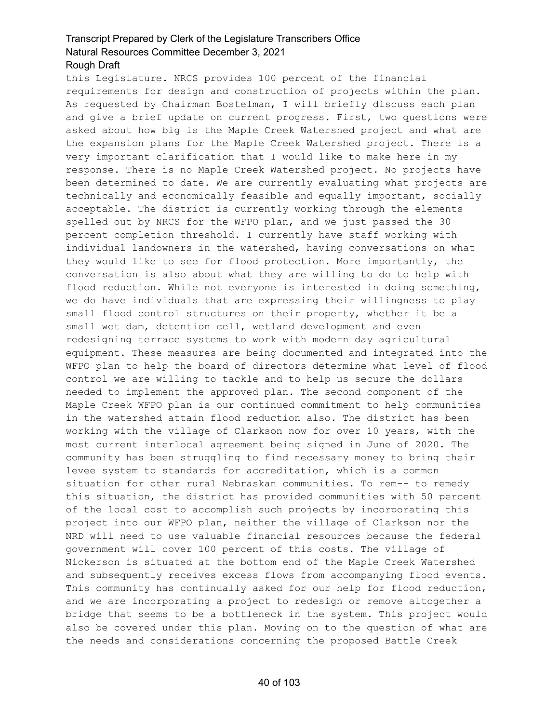this Legislature. NRCS provides 100 percent of the financial requirements for design and construction of projects within the plan. As requested by Chairman Bostelman, I will briefly discuss each plan and give a brief update on current progress. First, two questions were asked about how big is the Maple Creek Watershed project and what are the expansion plans for the Maple Creek Watershed project. There is a very important clarification that I would like to make here in my response. There is no Maple Creek Watershed project. No projects have been determined to date. We are currently evaluating what projects are technically and economically feasible and equally important, socially acceptable. The district is currently working through the elements spelled out by NRCS for the WFPO plan, and we just passed the 30 percent completion threshold. I currently have staff working with individual landowners in the watershed, having conversations on what they would like to see for flood protection. More importantly, the conversation is also about what they are willing to do to help with flood reduction. While not everyone is interested in doing something, we do have individuals that are expressing their willingness to play small flood control structures on their property, whether it be a small wet dam, detention cell, wetland development and even redesigning terrace systems to work with modern day agricultural equipment. These measures are being documented and integrated into the WFPO plan to help the board of directors determine what level of flood control we are willing to tackle and to help us secure the dollars needed to implement the approved plan. The second component of the Maple Creek WFPO plan is our continued commitment to help communities in the watershed attain flood reduction also. The district has been working with the village of Clarkson now for over 10 years, with the most current interlocal agreement being signed in June of 2020. The community has been struggling to find necessary money to bring their levee system to standards for accreditation, which is a common situation for other rural Nebraskan communities. To rem-- to remedy this situation, the district has provided communities with 50 percent of the local cost to accomplish such projects by incorporating this project into our WFPO plan, neither the village of Clarkson nor the NRD will need to use valuable financial resources because the federal government will cover 100 percent of this costs. The village of Nickerson is situated at the bottom end of the Maple Creek Watershed and subsequently receives excess flows from accompanying flood events. This community has continually asked for our help for flood reduction, and we are incorporating a project to redesign or remove altogether a bridge that seems to be a bottleneck in the system. This project would also be covered under this plan. Moving on to the question of what are the needs and considerations concerning the proposed Battle Creek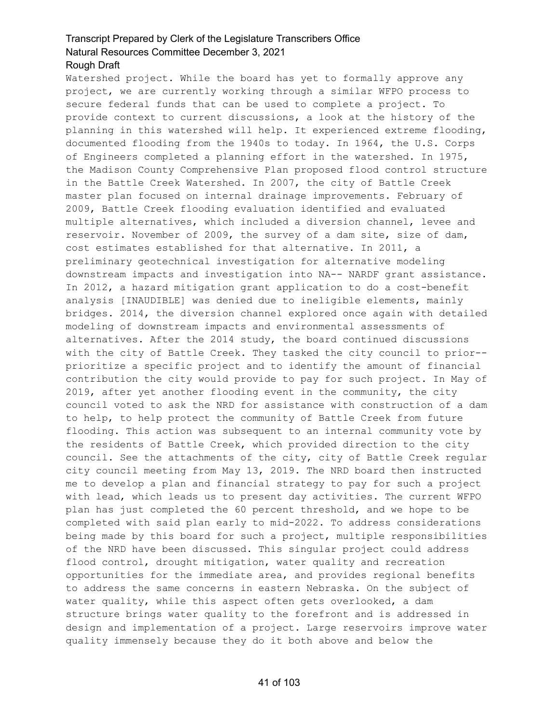#### Rough Draft

Watershed project. While the board has yet to formally approve any project, we are currently working through a similar WFPO process to secure federal funds that can be used to complete a project. To provide context to current discussions, a look at the history of the planning in this watershed will help. It experienced extreme flooding, documented flooding from the 1940s to today. In 1964, the U.S. Corps of Engineers completed a planning effort in the watershed. In 1975, the Madison County Comprehensive Plan proposed flood control structure in the Battle Creek Watershed. In 2007, the city of Battle Creek master plan focused on internal drainage improvements. February of 2009, Battle Creek flooding evaluation identified and evaluated multiple alternatives, which included a diversion channel, levee and reservoir. November of 2009, the survey of a dam site, size of dam, cost estimates established for that alternative. In 2011, a preliminary geotechnical investigation for alternative modeling downstream impacts and investigation into NA-- NARDF grant assistance. In 2012, a hazard mitigation grant application to do a cost-benefit analysis [INAUDIBLE] was denied due to ineligible elements, mainly bridges. 2014, the diversion channel explored once again with detailed modeling of downstream impacts and environmental assessments of alternatives. After the 2014 study, the board continued discussions with the city of Battle Creek. They tasked the city council to prior- prioritize a specific project and to identify the amount of financial contribution the city would provide to pay for such project. In May of 2019, after yet another flooding event in the community, the city council voted to ask the NRD for assistance with construction of a dam to help, to help protect the community of Battle Creek from future flooding. This action was subsequent to an internal community vote by the residents of Battle Creek, which provided direction to the city council. See the attachments of the city, city of Battle Creek regular city council meeting from May 13, 2019. The NRD board then instructed me to develop a plan and financial strategy to pay for such a project with lead, which leads us to present day activities. The current WFPO plan has just completed the 60 percent threshold, and we hope to be completed with said plan early to mid-2022. To address considerations being made by this board for such a project, multiple responsibilities of the NRD have been discussed. This singular project could address flood control, drought mitigation, water quality and recreation opportunities for the immediate area, and provides regional benefits to address the same concerns in eastern Nebraska. On the subject of water quality, while this aspect often gets overlooked, a dam structure brings water quality to the forefront and is addressed in design and implementation of a project. Large reservoirs improve water quality immensely because they do it both above and below the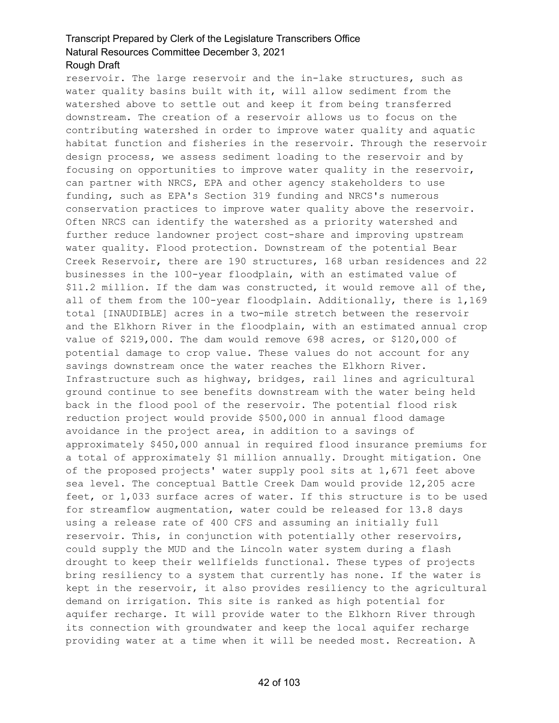reservoir. The large reservoir and the in-lake structures, such as water quality basins built with it, will allow sediment from the watershed above to settle out and keep it from being transferred downstream. The creation of a reservoir allows us to focus on the contributing watershed in order to improve water quality and aquatic habitat function and fisheries in the reservoir. Through the reservoir design process, we assess sediment loading to the reservoir and by focusing on opportunities to improve water quality in the reservoir, can partner with NRCS, EPA and other agency stakeholders to use funding, such as EPA's Section 319 funding and NRCS's numerous conservation practices to improve water quality above the reservoir. Often NRCS can identify the watershed as a priority watershed and further reduce landowner project cost-share and improving upstream water quality. Flood protection. Downstream of the potential Bear Creek Reservoir, there are 190 structures, 168 urban residences and 22 businesses in the 100-year floodplain, with an estimated value of \$11.2 million. If the dam was constructed, it would remove all of the, all of them from the 100-year floodplain. Additionally, there is 1,169 total [INAUDIBLE] acres in a two-mile stretch between the reservoir and the Elkhorn River in the floodplain, with an estimated annual crop value of \$219,000. The dam would remove 698 acres, or \$120,000 of potential damage to crop value. These values do not account for any savings downstream once the water reaches the Elkhorn River. Infrastructure such as highway, bridges, rail lines and agricultural ground continue to see benefits downstream with the water being held back in the flood pool of the reservoir. The potential flood risk reduction project would provide \$500,000 in annual flood damage avoidance in the project area, in addition to a savings of approximately \$450,000 annual in required flood insurance premiums for a total of approximately \$1 million annually. Drought mitigation. One of the proposed projects' water supply pool sits at 1,671 feet above sea level. The conceptual Battle Creek Dam would provide 12,205 acre feet, or 1,033 surface acres of water. If this structure is to be used for streamflow augmentation, water could be released for 13.8 days using a release rate of 400 CFS and assuming an initially full reservoir. This, in conjunction with potentially other reservoirs, could supply the MUD and the Lincoln water system during a flash drought to keep their wellfields functional. These types of projects bring resiliency to a system that currently has none. If the water is kept in the reservoir, it also provides resiliency to the agricultural demand on irrigation. This site is ranked as high potential for aquifer recharge. It will provide water to the Elkhorn River through its connection with groundwater and keep the local aquifer recharge providing water at a time when it will be needed most. Recreation. A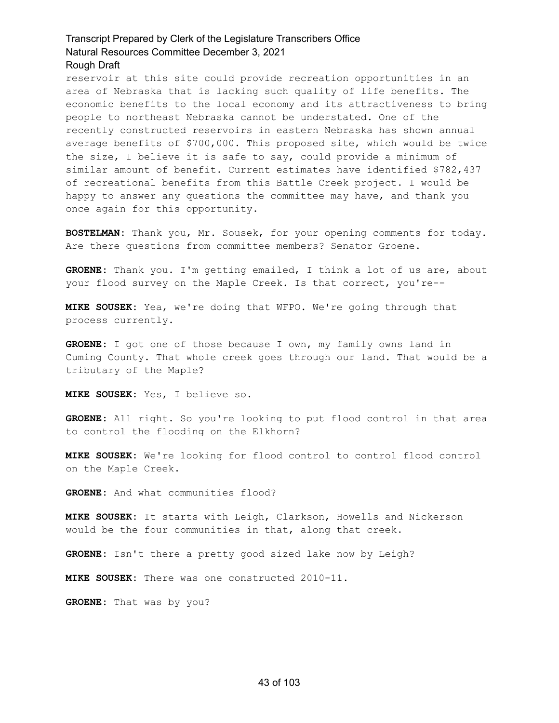reservoir at this site could provide recreation opportunities in an area of Nebraska that is lacking such quality of life benefits. The economic benefits to the local economy and its attractiveness to bring people to northeast Nebraska cannot be understated. One of the recently constructed reservoirs in eastern Nebraska has shown annual average benefits of \$700,000. This proposed site, which would be twice the size, I believe it is safe to say, could provide a minimum of similar amount of benefit. Current estimates have identified \$782,437 of recreational benefits from this Battle Creek project. I would be happy to answer any questions the committee may have, and thank you once again for this opportunity.

**BOSTELMAN:** Thank you, Mr. Sousek, for your opening comments for today. Are there questions from committee members? Senator Groene.

**GROENE:** Thank you. I'm getting emailed, I think a lot of us are, about your flood survey on the Maple Creek. Is that correct, you're--

**MIKE SOUSEK:** Yea, we're doing that WFPO. We're going through that process currently.

**GROENE:** I got one of those because I own, my family owns land in Cuming County. That whole creek goes through our land. That would be a tributary of the Maple?

**MIKE SOUSEK:** Yes, I believe so.

**GROENE:** All right. So you're looking to put flood control in that area to control the flooding on the Elkhorn?

**MIKE SOUSEK:** We're looking for flood control to control flood control on the Maple Creek.

**GROENE:** And what communities flood?

**MIKE SOUSEK:** It starts with Leigh, Clarkson, Howells and Nickerson would be the four communities in that, along that creek.

**GROENE:** Isn't there a pretty good sized lake now by Leigh?

**MIKE SOUSEK:** There was one constructed 2010-11.

**GROENE:** That was by you?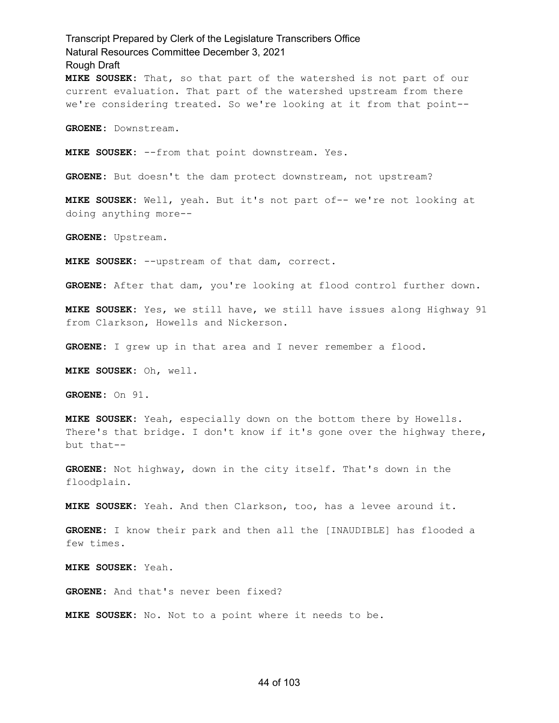Transcript Prepared by Clerk of the Legislature Transcribers Office Natural Resources Committee December 3, 2021 Rough Draft **MIKE SOUSEK:** That, so that part of the watershed is not part of our current evaluation. That part of the watershed upstream from there we're considering treated. So we're looking at it from that point-- **GROENE:** Downstream. **MIKE SOUSEK:** --from that point downstream. Yes. **GROENE:** But doesn't the dam protect downstream, not upstream? **MIKE SOUSEK:** Well, yeah. But it's not part of-- we're not looking at doing anything more-- **GROENE:** Upstream. **MIKE SOUSEK:** --upstream of that dam, correct. **GROENE:** After that dam, you're looking at flood control further down. **MIKE SOUSEK:** Yes, we still have, we still have issues along Highway 91 from Clarkson, Howells and Nickerson. **GROENE:** I grew up in that area and I never remember a flood. **MIKE SOUSEK:** Oh, well. **GROENE:** On 91. **MIKE SOUSEK:** Yeah, especially down on the bottom there by Howells. There's that bridge. I don't know if it's gone over the highway there, but that-- **GROENE:** Not highway, down in the city itself. That's down in the floodplain.

**MIKE SOUSEK:** Yeah. And then Clarkson, too, has a levee around it.

**GROENE:** I know their park and then all the [INAUDIBLE] has flooded a few times.

**MIKE SOUSEK:** Yeah.

**GROENE:** And that's never been fixed?

**MIKE SOUSEK:** No. Not to a point where it needs to be.

#### 44 of 103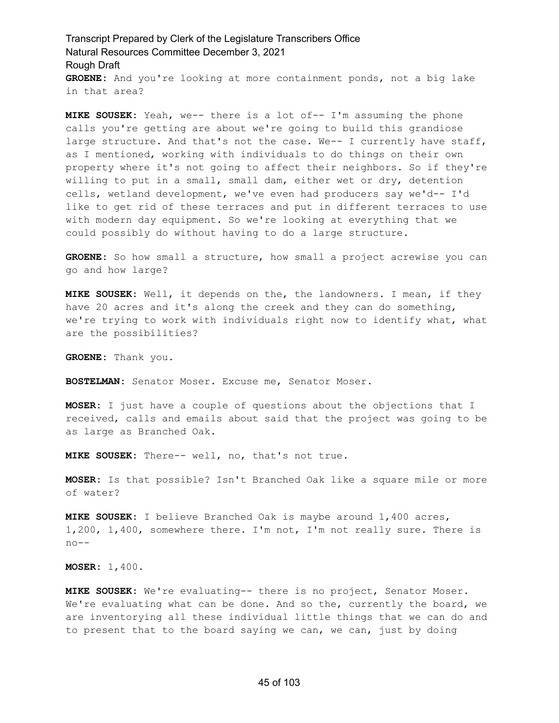Transcript Prepared by Clerk of the Legislature Transcribers Office Natural Resources Committee December 3, 2021 Rough Draft **GROENE:** And you're looking at more containment ponds, not a big lake in that area?

**MIKE SOUSEK:** Yeah, we-- there is a lot of-- I'm assuming the phone calls you're getting are about we're going to build this grandiose large structure. And that's not the case. We-- I currently have staff, as I mentioned, working with individuals to do things on their own property where it's not going to affect their neighbors. So if they're willing to put in a small, small dam, either wet or dry, detention cells, wetland development, we've even had producers say we'd-- I'd like to get rid of these terraces and put in different terraces to use with modern day equipment. So we're looking at everything that we could possibly do without having to do a large structure.

**GROENE:** So how small a structure, how small a project acrewise you can go and how large?

**MIKE SOUSEK:** Well, it depends on the, the landowners. I mean, if they have 20 acres and it's along the creek and they can do something, we're trying to work with individuals right now to identify what, what are the possibilities?

**GROENE:** Thank you.

**BOSTELMAN:** Senator Moser. Excuse me, Senator Moser.

**MOSER:** I just have a couple of questions about the objections that I received, calls and emails about said that the project was going to be as large as Branched Oak.

**MIKE SOUSEK:** There-- well, no, that's not true.

**MOSER:** Is that possible? Isn't Branched Oak like a square mile or more of water?

**MIKE SOUSEK:** I believe Branched Oak is maybe around 1,400 acres, 1,200, 1,400, somewhere there. I'm not, I'm not really sure. There is no--

**MOSER:** 1,400.

**MIKE SOUSEK:** We're evaluating-- there is no project, Senator Moser. We're evaluating what can be done. And so the, currently the board, we are inventorying all these individual little things that we can do and to present that to the board saying we can, we can, just by doing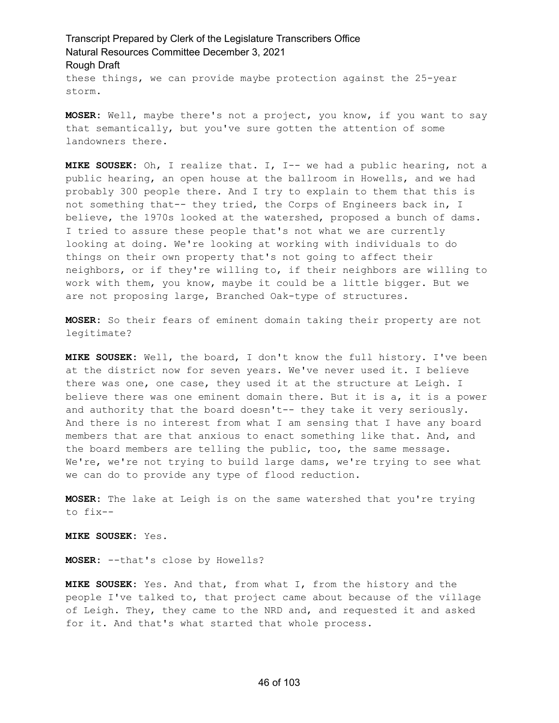these things, we can provide maybe protection against the 25-year storm.

**MOSER:** Well, maybe there's not a project, you know, if you want to say that semantically, but you've sure gotten the attention of some landowners there.

**MIKE SOUSEK:** Oh, I realize that. I, I-- we had a public hearing, not a public hearing, an open house at the ballroom in Howells, and we had probably 300 people there. And I try to explain to them that this is not something that-- they tried, the Corps of Engineers back in, I believe, the 1970s looked at the watershed, proposed a bunch of dams. I tried to assure these people that's not what we are currently looking at doing. We're looking at working with individuals to do things on their own property that's not going to affect their neighbors, or if they're willing to, if their neighbors are willing to work with them, you know, maybe it could be a little bigger. But we are not proposing large, Branched Oak-type of structures.

**MOSER:** So their fears of eminent domain taking their property are not legitimate?

**MIKE SOUSEK:** Well, the board, I don't know the full history. I've been at the district now for seven years. We've never used it. I believe there was one, one case, they used it at the structure at Leigh. I believe there was one eminent domain there. But it is a, it is a power and authority that the board doesn't-- they take it very seriously. And there is no interest from what I am sensing that I have any board members that are that anxious to enact something like that. And, and the board members are telling the public, too, the same message. We're, we're not trying to build large dams, we're trying to see what we can do to provide any type of flood reduction.

**MOSER:** The lake at Leigh is on the same watershed that you're trying to fix--

**MIKE SOUSEK:** Yes.

**MOSER:** --that's close by Howells?

**MIKE SOUSEK:** Yes. And that, from what I, from the history and the people I've talked to, that project came about because of the village of Leigh. They, they came to the NRD and, and requested it and asked for it. And that's what started that whole process.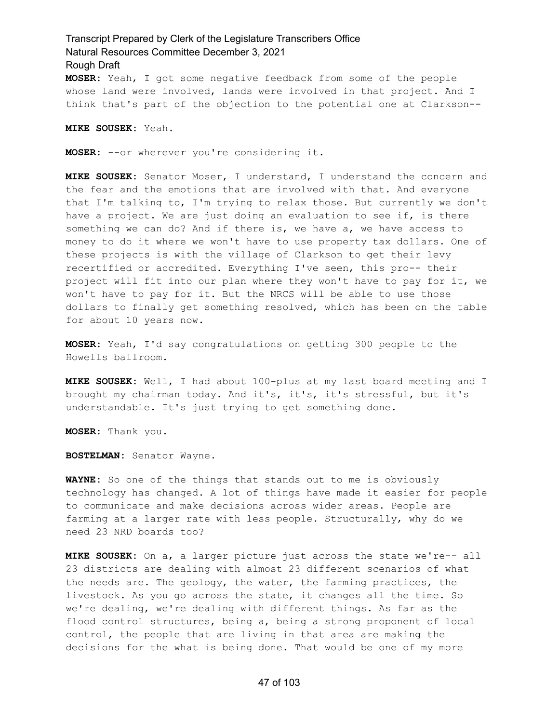**MOSER:** Yeah, I got some negative feedback from some of the people whose land were involved, lands were involved in that project. And I think that's part of the objection to the potential one at Clarkson--

#### **MIKE SOUSEK:** Yeah.

**MOSER:** --or wherever you're considering it.

**MIKE SOUSEK:** Senator Moser, I understand, I understand the concern and the fear and the emotions that are involved with that. And everyone that I'm talking to, I'm trying to relax those. But currently we don't have a project. We are just doing an evaluation to see if, is there something we can do? And if there is, we have a, we have access to money to do it where we won't have to use property tax dollars. One of these projects is with the village of Clarkson to get their levy recertified or accredited. Everything I've seen, this pro-- their project will fit into our plan where they won't have to pay for it, we won't have to pay for it. But the NRCS will be able to use those dollars to finally get something resolved, which has been on the table for about 10 years now.

**MOSER:** Yeah, I'd say congratulations on getting 300 people to the Howells ballroom.

**MIKE SOUSEK:** Well, I had about 100-plus at my last board meeting and I brought my chairman today. And it's, it's, it's stressful, but it's understandable. It's just trying to get something done.

**MOSER:** Thank you.

**BOSTELMAN:** Senator Wayne.

**WAYNE:** So one of the things that stands out to me is obviously technology has changed. A lot of things have made it easier for people to communicate and make decisions across wider areas. People are farming at a larger rate with less people. Structurally, why do we need 23 NRD boards too?

**MIKE SOUSEK:** On a, a larger picture just across the state we're-- all 23 districts are dealing with almost 23 different scenarios of what the needs are. The geology, the water, the farming practices, the livestock. As you go across the state, it changes all the time. So we're dealing, we're dealing with different things. As far as the flood control structures, being a, being a strong proponent of local control, the people that are living in that area are making the decisions for the what is being done. That would be one of my more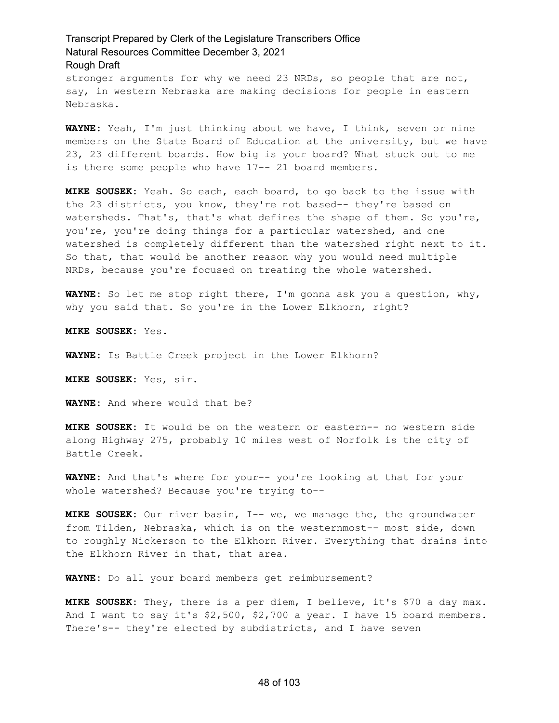stronger arguments for why we need 23 NRDs, so people that are not, say, in western Nebraska are making decisions for people in eastern Nebraska.

**WAYNE:** Yeah, I'm just thinking about we have, I think, seven or nine members on the State Board of Education at the university, but we have 23, 23 different boards. How big is your board? What stuck out to me is there some people who have 17-- 21 board members.

**MIKE SOUSEK:** Yeah. So each, each board, to go back to the issue with the 23 districts, you know, they're not based-- they're based on watersheds. That's, that's what defines the shape of them. So you're, you're, you're doing things for a particular watershed, and one watershed is completely different than the watershed right next to it. So that, that would be another reason why you would need multiple NRDs, because you're focused on treating the whole watershed.

**WAYNE:** So let me stop right there, I'm gonna ask you a question, why, why you said that. So you're in the Lower Elkhorn, right?

**MIKE SOUSEK:** Yes.

**WAYNE:** Is Battle Creek project in the Lower Elkhorn?

**MIKE SOUSEK:** Yes, sir.

**WAYNE:** And where would that be?

**MIKE SOUSEK:** It would be on the western or eastern-- no western side along Highway 275, probably 10 miles west of Norfolk is the city of Battle Creek.

**WAYNE:** And that's where for your-- you're looking at that for your whole watershed? Because you're trying to--

**MIKE SOUSEK:** Our river basin, I-- we, we manage the, the groundwater from Tilden, Nebraska, which is on the westernmost-- most side, down to roughly Nickerson to the Elkhorn River. Everything that drains into the Elkhorn River in that, that area.

**WAYNE:** Do all your board members get reimbursement?

**MIKE SOUSEK:** They, there is a per diem, I believe, it's \$70 a day max. And I want to say it's \$2,500, \$2,700 a year. I have 15 board members. There's-- they're elected by subdistricts, and I have seven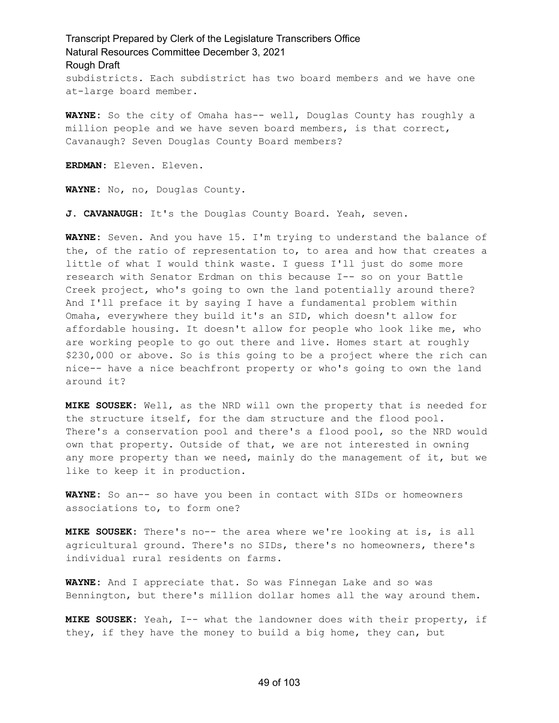subdistricts. Each subdistrict has two board members and we have one at-large board member.

**WAYNE:** So the city of Omaha has-- well, Douglas County has roughly a million people and we have seven board members, is that correct, Cavanaugh? Seven Douglas County Board members?

**ERDMAN:** Eleven. Eleven.

**WAYNE:** No, no, Douglas County.

**J. CAVANAUGH:** It's the Douglas County Board. Yeah, seven.

**WAYNE:** Seven. And you have 15. I'm trying to understand the balance of the, of the ratio of representation to, to area and how that creates a little of what I would think waste. I guess I'll just do some more research with Senator Erdman on this because I-- so on your Battle Creek project, who's going to own the land potentially around there? And I'll preface it by saying I have a fundamental problem within Omaha, everywhere they build it's an SID, which doesn't allow for affordable housing. It doesn't allow for people who look like me, who are working people to go out there and live. Homes start at roughly \$230,000 or above. So is this going to be a project where the rich can nice-- have a nice beachfront property or who's going to own the land around it?

**MIKE SOUSEK:** Well, as the NRD will own the property that is needed for the structure itself, for the dam structure and the flood pool. There's a conservation pool and there's a flood pool, so the NRD would own that property. Outside of that, we are not interested in owning any more property than we need, mainly do the management of it, but we like to keep it in production.

**WAYNE:** So an-- so have you been in contact with SIDs or homeowners associations to, to form one?

**MIKE SOUSEK:** There's no-- the area where we're looking at is, is all agricultural ground. There's no SIDs, there's no homeowners, there's individual rural residents on farms.

**WAYNE:** And I appreciate that. So was Finnegan Lake and so was Bennington, but there's million dollar homes all the way around them.

**MIKE SOUSEK:** Yeah, I-- what the landowner does with their property, if they, if they have the money to build a big home, they can, but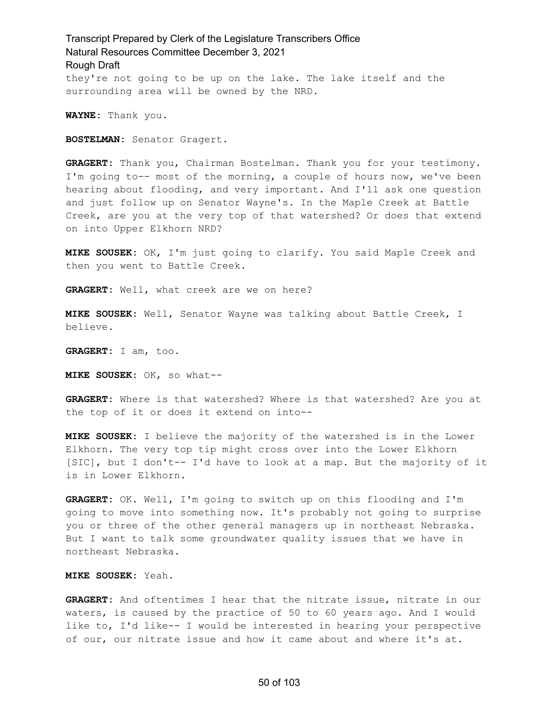#### Transcript Prepared by Clerk of the Legislature Transcribers Office Natural Resources Committee December 3, 2021 Rough Draft they're not going to be up on the lake. The lake itself and the surrounding area will be owned by the NRD.

**WAYNE:** Thank you.

**BOSTELMAN:** Senator Gragert.

**GRAGERT:** Thank you, Chairman Bostelman. Thank you for your testimony. I'm going to-- most of the morning, a couple of hours now, we've been hearing about flooding, and very important. And I'll ask one question and just follow up on Senator Wayne's. In the Maple Creek at Battle Creek, are you at the very top of that watershed? Or does that extend on into Upper Elkhorn NRD?

**MIKE SOUSEK:** OK, I'm just going to clarify. You said Maple Creek and then you went to Battle Creek.

**GRAGERT:** Well, what creek are we on here?

**MIKE SOUSEK:** Well, Senator Wayne was talking about Battle Creek, I believe.

**GRAGERT:** I am, too.

**MIKE SOUSEK:** OK, so what--

**GRAGERT:** Where is that watershed? Where is that watershed? Are you at the top of it or does it extend on into--

**MIKE SOUSEK:** I believe the majority of the watershed is in the Lower Elkhorn. The very top tip might cross over into the Lower Elkhorn [SIC], but I don't-- I'd have to look at a map. But the majority of it is in Lower Elkhorn.

**GRAGERT:** OK. Well, I'm going to switch up on this flooding and I'm going to move into something now. It's probably not going to surprise you or three of the other general managers up in northeast Nebraska. But I want to talk some groundwater quality issues that we have in northeast Nebraska.

**MIKE SOUSEK:** Yeah.

**GRAGERT:** And oftentimes I hear that the nitrate issue, nitrate in our waters, is caused by the practice of 50 to 60 years ago. And I would like to, I'd like-- I would be interested in hearing your perspective of our, our nitrate issue and how it came about and where it's at.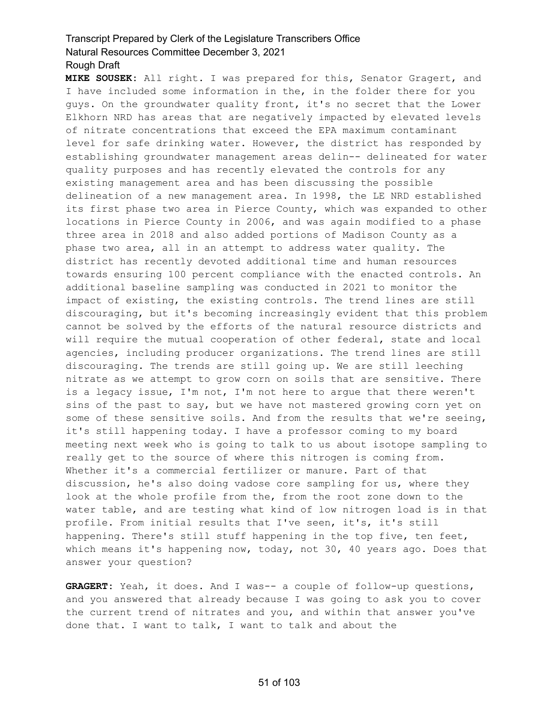**MIKE SOUSEK:** All right. I was prepared for this, Senator Gragert, and I have included some information in the, in the folder there for you guys. On the groundwater quality front, it's no secret that the Lower Elkhorn NRD has areas that are negatively impacted by elevated levels of nitrate concentrations that exceed the EPA maximum contaminant level for safe drinking water. However, the district has responded by establishing groundwater management areas delin-- delineated for water quality purposes and has recently elevated the controls for any existing management area and has been discussing the possible delineation of a new management area. In 1998, the LE NRD established its first phase two area in Pierce County, which was expanded to other locations in Pierce County in 2006, and was again modified to a phase three area in 2018 and also added portions of Madison County as a phase two area, all in an attempt to address water quality. The district has recently devoted additional time and human resources towards ensuring 100 percent compliance with the enacted controls. An additional baseline sampling was conducted in 2021 to monitor the impact of existing, the existing controls. The trend lines are still discouraging, but it's becoming increasingly evident that this problem cannot be solved by the efforts of the natural resource districts and will require the mutual cooperation of other federal, state and local agencies, including producer organizations. The trend lines are still discouraging. The trends are still going up. We are still leeching nitrate as we attempt to grow corn on soils that are sensitive. There is a legacy issue, I'm not, I'm not here to argue that there weren't sins of the past to say, but we have not mastered growing corn yet on some of these sensitive soils. And from the results that we're seeing, it's still happening today. I have a professor coming to my board meeting next week who is going to talk to us about isotope sampling to really get to the source of where this nitrogen is coming from. Whether it's a commercial fertilizer or manure. Part of that discussion, he's also doing vadose core sampling for us, where they look at the whole profile from the, from the root zone down to the water table, and are testing what kind of low nitrogen load is in that profile. From initial results that I've seen, it's, it's still happening. There's still stuff happening in the top five, ten feet, which means it's happening now, today, not 30, 40 years ago. Does that answer your question?

**GRAGERT:** Yeah, it does. And I was-- a couple of follow-up questions, and you answered that already because I was going to ask you to cover the current trend of nitrates and you, and within that answer you've done that. I want to talk, I want to talk and about the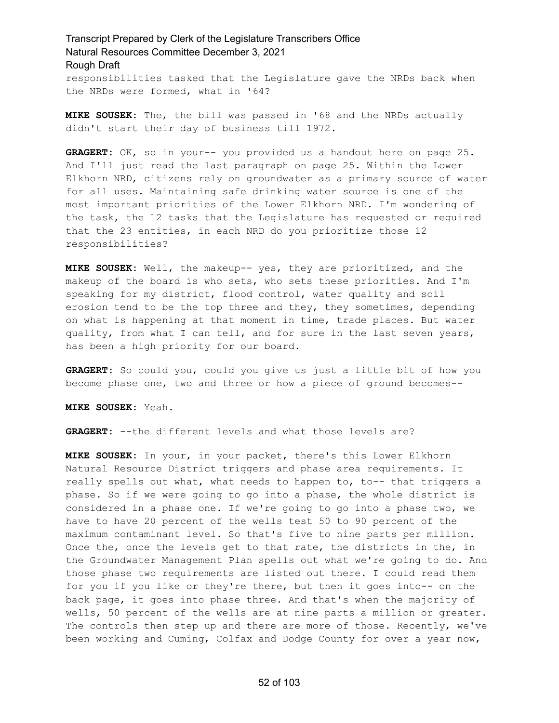#### Transcript Prepared by Clerk of the Legislature Transcribers Office Natural Resources Committee December 3, 2021 Rough Draft responsibilities tasked that the Legislature gave the NRDs back when

the NRDs were formed, what in '64?

**MIKE SOUSEK:** The, the bill was passed in '68 and the NRDs actually didn't start their day of business till 1972.

**GRAGERT:** OK, so in your-- you provided us a handout here on page 25. And I'll just read the last paragraph on page 25. Within the Lower Elkhorn NRD, citizens rely on groundwater as a primary source of water for all uses. Maintaining safe drinking water source is one of the most important priorities of the Lower Elkhorn NRD. I'm wondering of the task, the 12 tasks that the Legislature has requested or required that the 23 entities, in each NRD do you prioritize those 12 responsibilities?

**MIKE SOUSEK:** Well, the makeup-- yes, they are prioritized, and the makeup of the board is who sets, who sets these priorities. And I'm speaking for my district, flood control, water quality and soil erosion tend to be the top three and they, they sometimes, depending on what is happening at that moment in time, trade places. But water quality, from what I can tell, and for sure in the last seven years, has been a high priority for our board.

**GRAGERT:** So could you, could you give us just a little bit of how you become phase one, two and three or how a piece of ground becomes--

**MIKE SOUSEK:** Yeah.

**GRAGERT:** --the different levels and what those levels are?

**MIKE SOUSEK:** In your, in your packet, there's this Lower Elkhorn Natural Resource District triggers and phase area requirements. It really spells out what, what needs to happen to, to-- that triggers a phase. So if we were going to go into a phase, the whole district is considered in a phase one. If we're going to go into a phase two, we have to have 20 percent of the wells test 50 to 90 percent of the maximum contaminant level. So that's five to nine parts per million. Once the, once the levels get to that rate, the districts in the, in the Groundwater Management Plan spells out what we're going to do. And those phase two requirements are listed out there. I could read them for you if you like or they're there, but then it goes into-- on the back page, it goes into phase three. And that's when the majority of wells, 50 percent of the wells are at nine parts a million or greater. The controls then step up and there are more of those. Recently, we've been working and Cuming, Colfax and Dodge County for over a year now,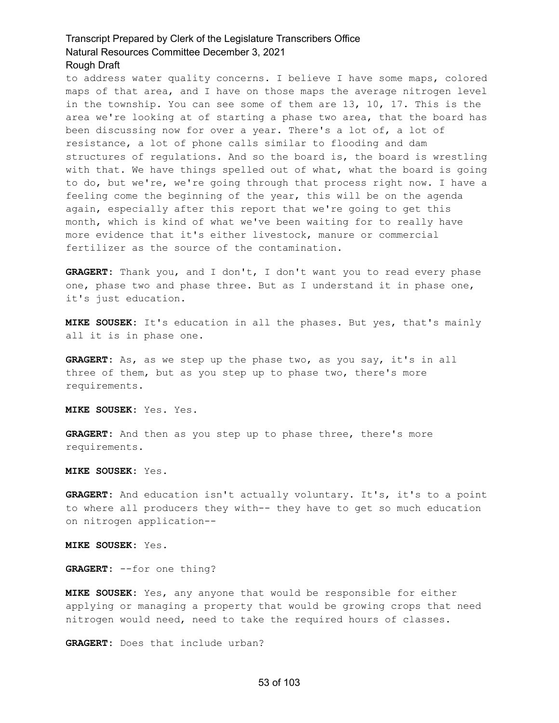to address water quality concerns. I believe I have some maps, colored maps of that area, and I have on those maps the average nitrogen level in the township. You can see some of them are 13, 10, 17. This is the area we're looking at of starting a phase two area, that the board has been discussing now for over a year. There's a lot of, a lot of resistance, a lot of phone calls similar to flooding and dam structures of regulations. And so the board is, the board is wrestling with that. We have things spelled out of what, what the board is going to do, but we're, we're going through that process right now. I have a feeling come the beginning of the year, this will be on the agenda again, especially after this report that we're going to get this month, which is kind of what we've been waiting for to really have more evidence that it's either livestock, manure or commercial fertilizer as the source of the contamination.

**GRAGERT:** Thank you, and I don't, I don't want you to read every phase one, phase two and phase three. But as I understand it in phase one, it's just education.

**MIKE SOUSEK:** It's education in all the phases. But yes, that's mainly all it is in phase one.

**GRAGERT:** As, as we step up the phase two, as you say, it's in all three of them, but as you step up to phase two, there's more requirements.

**MIKE SOUSEK:** Yes. Yes.

**GRAGERT:** And then as you step up to phase three, there's more requirements.

**MIKE SOUSEK:** Yes.

**GRAGERT:** And education isn't actually voluntary. It's, it's to a point to where all producers they with-- they have to get so much education on nitrogen application--

**MIKE SOUSEK:** Yes.

**GRAGERT:** --for one thing?

**MIKE SOUSEK:** Yes, any anyone that would be responsible for either applying or managing a property that would be growing crops that need nitrogen would need, need to take the required hours of classes.

**GRAGERT:** Does that include urban?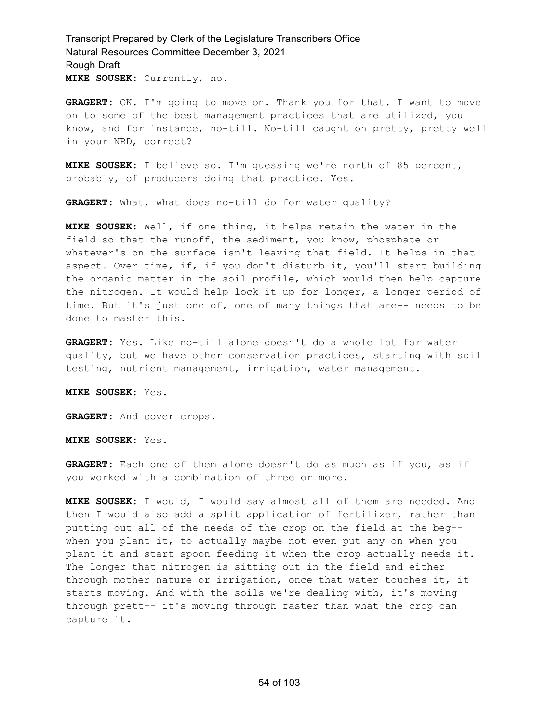**GRAGERT:** OK. I'm going to move on. Thank you for that. I want to move on to some of the best management practices that are utilized, you know, and for instance, no-till. No-till caught on pretty, pretty well in your NRD, correct?

**MIKE SOUSEK:** I believe so. I'm guessing we're north of 85 percent, probably, of producers doing that practice. Yes.

**GRAGERT:** What, what does no-till do for water quality?

**MIKE SOUSEK:** Well, if one thing, it helps retain the water in the field so that the runoff, the sediment, you know, phosphate or whatever's on the surface isn't leaving that field. It helps in that aspect. Over time, if, if you don't disturb it, you'll start building the organic matter in the soil profile, which would then help capture the nitrogen. It would help lock it up for longer, a longer period of time. But it's just one of, one of many things that are-- needs to be done to master this.

**GRAGERT:** Yes. Like no-till alone doesn't do a whole lot for water quality, but we have other conservation practices, starting with soil testing, nutrient management, irrigation, water management.

**MIKE SOUSEK:** Yes.

**GRAGERT:** And cover crops.

**MIKE SOUSEK:** Yes.

**GRAGERT:** Each one of them alone doesn't do as much as if you, as if you worked with a combination of three or more.

**MIKE SOUSEK:** I would, I would say almost all of them are needed. And then I would also add a split application of fertilizer, rather than putting out all of the needs of the crop on the field at the beg- when you plant it, to actually maybe not even put any on when you plant it and start spoon feeding it when the crop actually needs it. The longer that nitrogen is sitting out in the field and either through mother nature or irrigation, once that water touches it, it starts moving. And with the soils we're dealing with, it's moving through prett-- it's moving through faster than what the crop can capture it.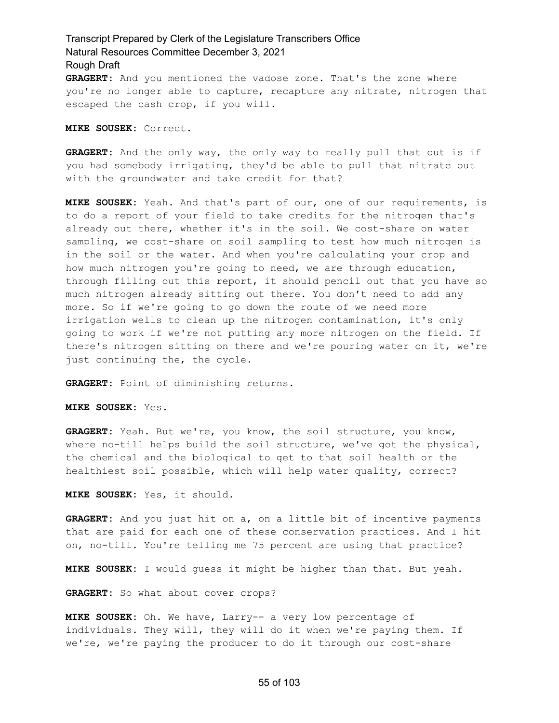**GRAGERT:** And you mentioned the vadose zone. That's the zone where you're no longer able to capture, recapture any nitrate, nitrogen that escaped the cash crop, if you will.

**MIKE SOUSEK:** Correct.

**GRAGERT:** And the only way, the only way to really pull that out is if you had somebody irrigating, they'd be able to pull that nitrate out with the groundwater and take credit for that?

**MIKE SOUSEK:** Yeah. And that's part of our, one of our requirements, is to do a report of your field to take credits for the nitrogen that's already out there, whether it's in the soil. We cost-share on water sampling, we cost-share on soil sampling to test how much nitrogen is in the soil or the water. And when you're calculating your crop and how much nitrogen you're going to need, we are through education, through filling out this report, it should pencil out that you have so much nitrogen already sitting out there. You don't need to add any more. So if we're going to go down the route of we need more irrigation wells to clean up the nitrogen contamination, it's only going to work if we're not putting any more nitrogen on the field. If there's nitrogen sitting on there and we're pouring water on it, we're just continuing the, the cycle.

**GRAGERT:** Point of diminishing returns.

**MIKE SOUSEK:** Yes.

**GRAGERT:** Yeah. But we're, you know, the soil structure, you know, where no-till helps build the soil structure, we've got the physical, the chemical and the biological to get to that soil health or the healthiest soil possible, which will help water quality, correct?

**MIKE SOUSEK:** Yes, it should.

**GRAGERT:** And you just hit on a, on a little bit of incentive payments that are paid for each one of these conservation practices. And I hit on, no-till. You're telling me 75 percent are using that practice?

**MIKE SOUSEK:** I would guess it might be higher than that. But yeah.

**GRAGERT:** So what about cover crops?

**MIKE SOUSEK:** Oh. We have, Larry-- a very low percentage of individuals. They will, they will do it when we're paying them. If we're, we're paying the producer to do it through our cost-share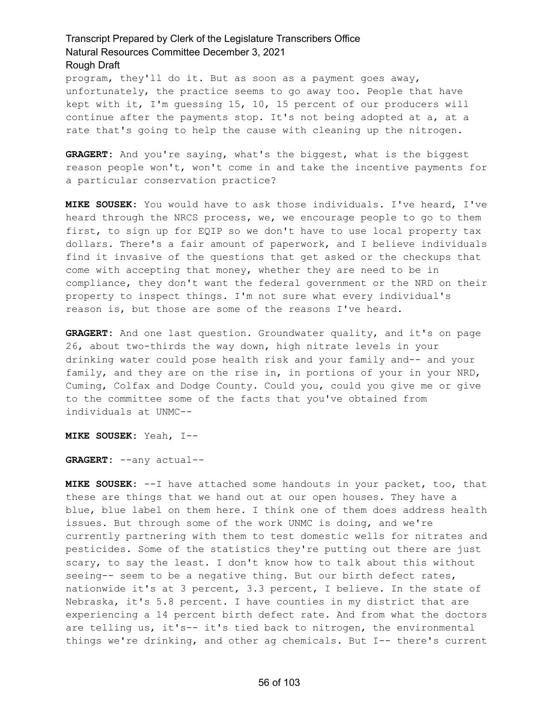program, they'll do it. But as soon as a payment goes away, unfortunately, the practice seems to go away too. People that have kept with it, I'm guessing 15, 10, 15 percent of our producers will continue after the payments stop. It's not being adopted at a, at a rate that's going to help the cause with cleaning up the nitrogen.

**GRAGERT:** And you're saying, what's the biggest, what is the biggest reason people won't, won't come in and take the incentive payments for a particular conservation practice?

**MIKE SOUSEK:** You would have to ask those individuals. I've heard, I've heard through the NRCS process, we, we encourage people to go to them first, to sign up for EQIP so we don't have to use local property tax dollars. There's a fair amount of paperwork, and I believe individuals find it invasive of the questions that get asked or the checkups that come with accepting that money, whether they are need to be in compliance, they don't want the federal government or the NRD on their property to inspect things. I'm not sure what every individual's reason is, but those are some of the reasons I've heard.

**GRAGERT:** And one last question. Groundwater quality, and it's on page 26, about two-thirds the way down, high nitrate levels in your drinking water could pose health risk and your family and-- and your family, and they are on the rise in, in portions of your in your NRD, Cuming, Colfax and Dodge County. Could you, could you give me or give to the committee some of the facts that you've obtained from individuals at UNMC--

**MIKE SOUSEK:** Yeah, I--

**GRAGERT:** --any actual--

**MIKE SOUSEK:** --I have attached some handouts in your packet, too, that these are things that we hand out at our open houses. They have a blue, blue label on them here. I think one of them does address health issues. But through some of the work UNMC is doing, and we're currently partnering with them to test domestic wells for nitrates and pesticides. Some of the statistics they're putting out there are just scary, to say the least. I don't know how to talk about this without seeing-- seem to be a negative thing. But our birth defect rates, nationwide it's at 3 percent, 3.3 percent, I believe. In the state of Nebraska, it's 5.8 percent. I have counties in my district that are experiencing a 14 percent birth defect rate. And from what the doctors are telling us, it's-- it's tied back to nitrogen, the environmental things we're drinking, and other ag chemicals. But I-- there's current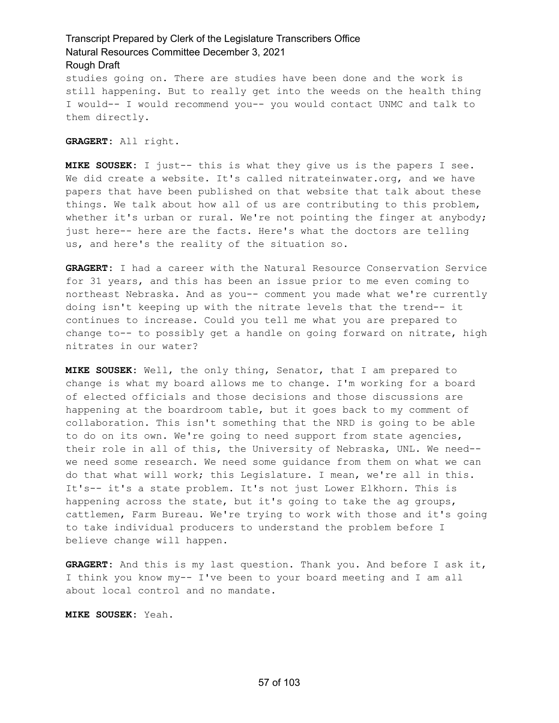studies going on. There are studies have been done and the work is still happening. But to really get into the weeds on the health thing I would-- I would recommend you-- you would contact UNMC and talk to them directly.

**GRAGERT:** All right.

**MIKE SOUSEK:** I just-- this is what they give us is the papers I see. We did create a website. It's called nitrateinwater.org, and we have papers that have been published on that website that talk about these things. We talk about how all of us are contributing to this problem, whether it's urban or rural. We're not pointing the finger at anybody; just here-- here are the facts. Here's what the doctors are telling us, and here's the reality of the situation so.

**GRAGERT:** I had a career with the Natural Resource Conservation Service for 31 years, and this has been an issue prior to me even coming to northeast Nebraska. And as you-- comment you made what we're currently doing isn't keeping up with the nitrate levels that the trend-- it continues to increase. Could you tell me what you are prepared to change to-- to possibly get a handle on going forward on nitrate, high nitrates in our water?

**MIKE SOUSEK:** Well, the only thing, Senator, that I am prepared to change is what my board allows me to change. I'm working for a board of elected officials and those decisions and those discussions are happening at the boardroom table, but it goes back to my comment of collaboration. This isn't something that the NRD is going to be able to do on its own. We're going to need support from state agencies, their role in all of this, the University of Nebraska, UNL. We need- we need some research. We need some guidance from them on what we can do that what will work; this Legislature. I mean, we're all in this. It's-- it's a state problem. It's not just Lower Elkhorn. This is happening across the state, but it's going to take the ag groups, cattlemen, Farm Bureau. We're trying to work with those and it's going to take individual producers to understand the problem before I believe change will happen.

**GRAGERT:** And this is my last question. Thank you. And before I ask it, I think you know my-- I've been to your board meeting and I am all about local control and no mandate.

**MIKE SOUSEK:** Yeah.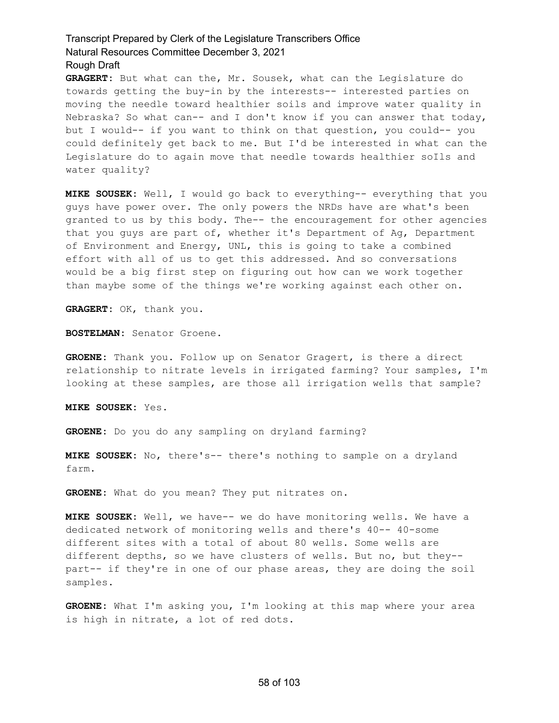**GRAGERT:** But what can the, Mr. Sousek, what can the Legislature do towards getting the buy-in by the interests-- interested parties on moving the needle toward healthier soils and improve water quality in Nebraska? So what can-- and I don't know if you can answer that today, but I would-- if you want to think on that question, you could-- you could definitely get back to me. But I'd be interested in what can the Legislature do to again move that needle towards healthier soIls and water quality?

**MIKE SOUSEK:** Well, I would go back to everything-- everything that you guys have power over. The only powers the NRDs have are what's been granted to us by this body. The-- the encouragement for other agencies that you guys are part of, whether it's Department of Ag, Department of Environment and Energy, UNL, this is going to take a combined effort with all of us to get this addressed. And so conversations would be a big first step on figuring out how can we work together than maybe some of the things we're working against each other on.

**GRAGERT:** OK, thank you.

**BOSTELMAN:** Senator Groene.

**GROENE:** Thank you. Follow up on Senator Gragert, is there a direct relationship to nitrate levels in irrigated farming? Your samples, I'm looking at these samples, are those all irrigation wells that sample?

**MIKE SOUSEK:** Yes.

**GROENE:** Do you do any sampling on dryland farming?

**MIKE SOUSEK:** No, there's-- there's nothing to sample on a dryland farm.

**GROENE:** What do you mean? They put nitrates on.

**MIKE SOUSEK:** Well, we have-- we do have monitoring wells. We have a dedicated network of monitoring wells and there's 40-- 40-some different sites with a total of about 80 wells. Some wells are different depths, so we have clusters of wells. But no, but they- part-- if they're in one of our phase areas, they are doing the soil samples.

**GROENE:** What I'm asking you, I'm looking at this map where your area is high in nitrate, a lot of red dots.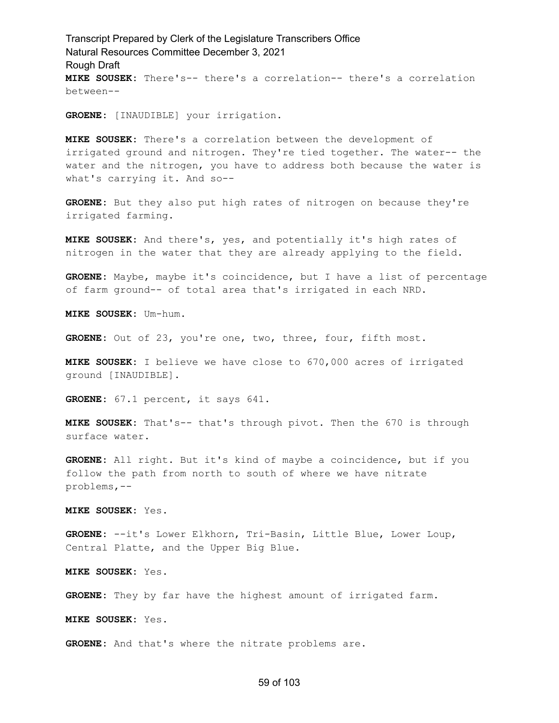Transcript Prepared by Clerk of the Legislature Transcribers Office Natural Resources Committee December 3, 2021 Rough Draft **MIKE SOUSEK:** There's-- there's a correlation-- there's a correlation between--

**GROENE:** [INAUDIBLE] your irrigation.

**MIKE SOUSEK:** There's a correlation between the development of irrigated ground and nitrogen. They're tied together. The water-- the water and the nitrogen, you have to address both because the water is what's carrying it. And so--

**GROENE:** But they also put high rates of nitrogen on because they're irrigated farming.

**MIKE SOUSEK:** And there's, yes, and potentially it's high rates of nitrogen in the water that they are already applying to the field.

**GROENE:** Maybe, maybe it's coincidence, but I have a list of percentage of farm ground-- of total area that's irrigated in each NRD.

**MIKE SOUSEK:** Um-hum.

**GROENE:** Out of 23, you're one, two, three, four, fifth most.

**MIKE SOUSEK:** I believe we have close to 670,000 acres of irrigated ground [INAUDIBLE].

**GROENE:** 67.1 percent, it says 641.

**MIKE SOUSEK:** That's-- that's through pivot. Then the 670 is through surface water.

**GROENE:** All right. But it's kind of maybe a coincidence, but if you follow the path from north to south of where we have nitrate problems,--

**MIKE SOUSEK:** Yes.

**GROENE:** --it's Lower Elkhorn, Tri-Basin, Little Blue, Lower Loup, Central Platte, and the Upper Big Blue.

**MIKE SOUSEK:** Yes.

**GROENE:** They by far have the highest amount of irrigated farm.

**MIKE SOUSEK:** Yes.

**GROENE:** And that's where the nitrate problems are.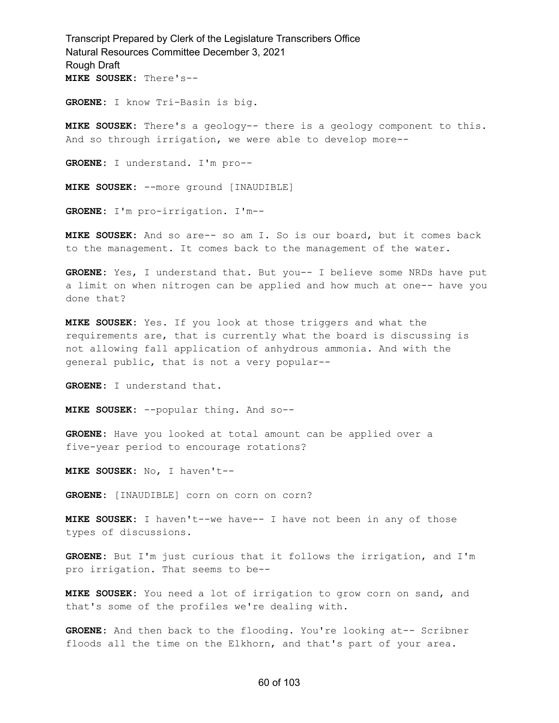**GROENE:** I know Tri-Basin is big.

**MIKE SOUSEK:** There's a geology-- there is a geology component to this. And so through irrigation, we were able to develop more--

**GROENE:** I understand. I'm pro--

**MIKE SOUSEK:** --more ground [INAUDIBLE]

**GROENE:** I'm pro-irrigation. I'm--

**MIKE SOUSEK:** And so are-- so am I. So is our board, but it comes back to the management. It comes back to the management of the water.

**GROENE:** Yes, I understand that. But you-- I believe some NRDs have put a limit on when nitrogen can be applied and how much at one-- have you done that?

**MIKE SOUSEK:** Yes. If you look at those triggers and what the requirements are, that is currently what the board is discussing is not allowing fall application of anhydrous ammonia. And with the general public, that is not a very popular--

**GROENE:** I understand that.

**MIKE SOUSEK:** --popular thing. And so--

**GROENE:** Have you looked at total amount can be applied over a five-year period to encourage rotations?

**MIKE SOUSEK:** No, I haven't--

**GROENE:** [INAUDIBLE] corn on corn on corn?

**MIKE SOUSEK:** I haven't--we have-- I have not been in any of those types of discussions.

**GROENE:** But I'm just curious that it follows the irrigation, and I'm pro irrigation. That seems to be--

**MIKE SOUSEK:** You need a lot of irrigation to grow corn on sand, and that's some of the profiles we're dealing with.

**GROENE:** And then back to the flooding. You're looking at-- Scribner floods all the time on the Elkhorn, and that's part of your area.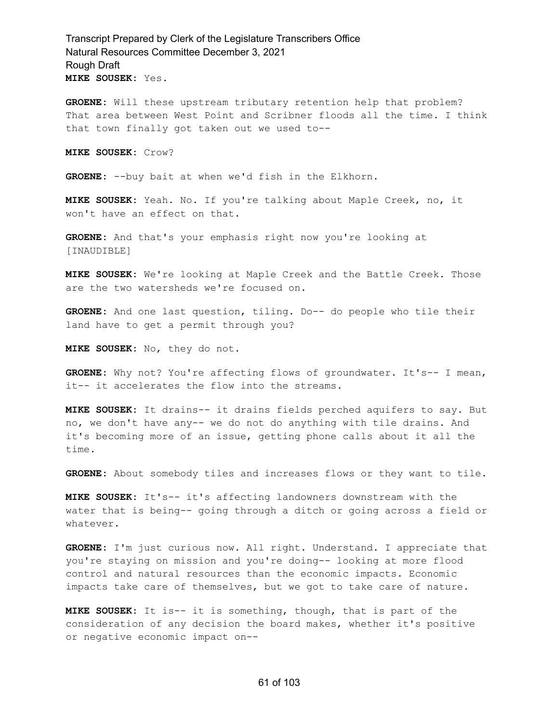**GROENE:** Will these upstream tributary retention help that problem? That area between West Point and Scribner floods all the time. I think that town finally got taken out we used to--

**MIKE SOUSEK:** Crow?

**GROENE:** --buy bait at when we'd fish in the Elkhorn.

**MIKE SOUSEK:** Yeah. No. If you're talking about Maple Creek, no, it won't have an effect on that.

**GROENE:** And that's your emphasis right now you're looking at [INAUDIBLE]

**MIKE SOUSEK:** We're looking at Maple Creek and the Battle Creek. Those are the two watersheds we're focused on.

**GROENE:** And one last question, tiling. Do-- do people who tile their land have to get a permit through you?

**MIKE SOUSEK:** No, they do not.

**GROENE:** Why not? You're affecting flows of groundwater. It's-- I mean, it-- it accelerates the flow into the streams.

**MIKE SOUSEK:** It drains-- it drains fields perched aquifers to say. But no, we don't have any-- we do not do anything with tile drains. And it's becoming more of an issue, getting phone calls about it all the time.

**GROENE:** About somebody tiles and increases flows or they want to tile.

**MIKE SOUSEK:** It's-- it's affecting landowners downstream with the water that is being-- going through a ditch or going across a field or whatever.

**GROENE:** I'm just curious now. All right. Understand. I appreciate that you're staying on mission and you're doing-- looking at more flood control and natural resources than the economic impacts. Economic impacts take care of themselves, but we got to take care of nature.

**MIKE SOUSEK:** It is-- it is something, though, that is part of the consideration of any decision the board makes, whether it's positive or negative economic impact on--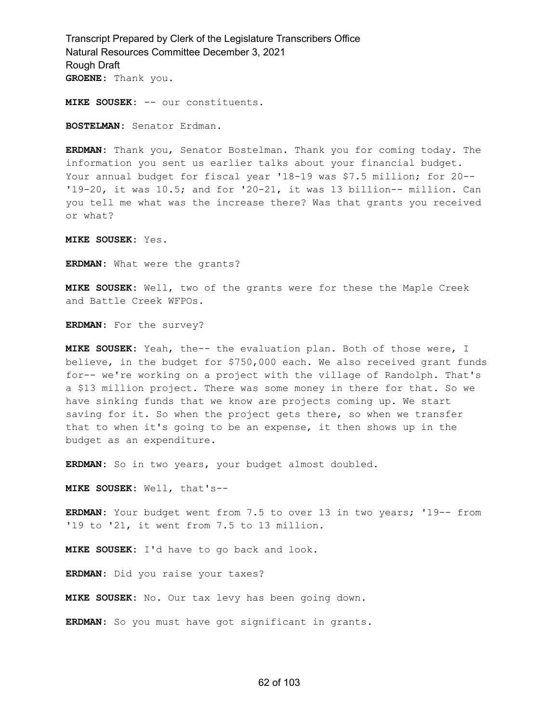**MIKE SOUSEK:** -- our constituents.

**BOSTELMAN:** Senator Erdman.

**ERDMAN:** Thank you, Senator Bostelman. Thank you for coming today. The information you sent us earlier talks about your financial budget. Your annual budget for fiscal year '18-19 was \$7.5 million; for 20-- '19-20, it was 10.5; and for '20-21, it was 13 billion-- million. Can you tell me what was the increase there? Was that grants you received or what?

**MIKE SOUSEK:** Yes.

**ERDMAN:** What were the grants?

**MIKE SOUSEK:** Well, two of the grants were for these the Maple Creek and Battle Creek WFPOs.

**ERDMAN:** For the survey?

**MIKE SOUSEK:** Yeah, the-- the evaluation plan. Both of those were, I believe, in the budget for \$750,000 each. We also received grant funds for-- we're working on a project with the village of Randolph. That's a \$13 million project. There was some money in there for that. So we have sinking funds that we know are projects coming up. We start saving for it. So when the project gets there, so when we transfer that to when it's going to be an expense, it then shows up in the budget as an expenditure.

**ERDMAN:** So in two years, your budget almost doubled.

**MIKE SOUSEK:** Well, that's--

**ERDMAN:** Your budget went from 7.5 to over 13 in two years; '19-- from '19 to '21, it went from 7.5 to 13 million.

**MIKE SOUSEK:** I'd have to go back and look.

**ERDMAN:** Did you raise your taxes?

**MIKE SOUSEK:** No. Our tax levy has been going down.

**ERDMAN:** So you must have got significant in grants.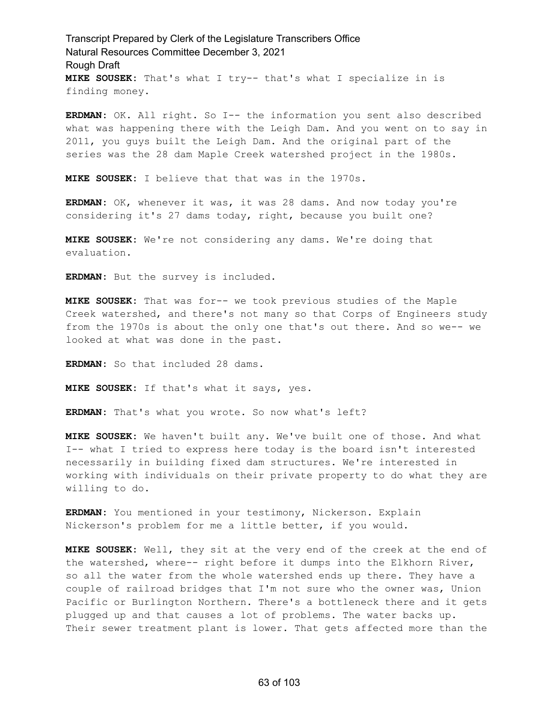Transcript Prepared by Clerk of the Legislature Transcribers Office Natural Resources Committee December 3, 2021 Rough Draft **MIKE SOUSEK:** That's what I try-- that's what I specialize in is finding money.

**ERDMAN:** OK. All right. So I-- the information you sent also described what was happening there with the Leigh Dam. And you went on to say in 2011, you guys built the Leigh Dam. And the original part of the series was the 28 dam Maple Creek watershed project in the 1980s.

**MIKE SOUSEK:** I believe that that was in the 1970s.

**ERDMAN:** OK, whenever it was, it was 28 dams. And now today you're considering it's 27 dams today, right, because you built one?

**MIKE SOUSEK:** We're not considering any dams. We're doing that evaluation.

**ERDMAN:** But the survey is included.

**MIKE SOUSEK:** That was for-- we took previous studies of the Maple Creek watershed, and there's not many so that Corps of Engineers study from the 1970s is about the only one that's out there. And so we-- we looked at what was done in the past.

**ERDMAN:** So that included 28 dams.

**MIKE SOUSEK:** If that's what it says, yes.

**ERDMAN:** That's what you wrote. So now what's left?

**MIKE SOUSEK:** We haven't built any. We've built one of those. And what I-- what I tried to express here today is the board isn't interested necessarily in building fixed dam structures. We're interested in working with individuals on their private property to do what they are willing to do.

**ERDMAN:** You mentioned in your testimony, Nickerson. Explain Nickerson's problem for me a little better, if you would.

**MIKE SOUSEK:** Well, they sit at the very end of the creek at the end of the watershed, where-- right before it dumps into the Elkhorn River, so all the water from the whole watershed ends up there. They have a couple of railroad bridges that I'm not sure who the owner was, Union Pacific or Burlington Northern. There's a bottleneck there and it gets plugged up and that causes a lot of problems. The water backs up. Their sewer treatment plant is lower. That gets affected more than the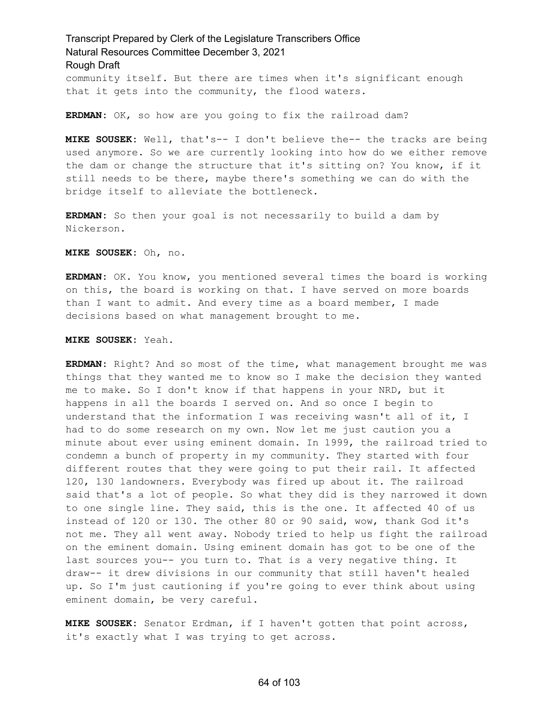community itself. But there are times when it's significant enough that it gets into the community, the flood waters.

**ERDMAN:** OK, so how are you going to fix the railroad dam?

**MIKE SOUSEK:** Well, that's-- I don't believe the-- the tracks are being used anymore. So we are currently looking into how do we either remove the dam or change the structure that it's sitting on? You know, if it still needs to be there, maybe there's something we can do with the bridge itself to alleviate the bottleneck.

**ERDMAN:** So then your goal is not necessarily to build a dam by Nickerson.

**MIKE SOUSEK:** Oh, no.

**ERDMAN:** OK. You know, you mentioned several times the board is working on this, the board is working on that. I have served on more boards than I want to admit. And every time as a board member, I made decisions based on what management brought to me.

**MIKE SOUSEK:** Yeah.

**ERDMAN:** Right? And so most of the time, what management brought me was things that they wanted me to know so I make the decision they wanted me to make. So I don't know if that happens in your NRD, but it happens in all the boards I served on. And so once I begin to understand that the information I was receiving wasn't all of it, I had to do some research on my own. Now let me just caution you a minute about ever using eminent domain. In 1999, the railroad tried to condemn a bunch of property in my community. They started with four different routes that they were going to put their rail. It affected 120, 130 landowners. Everybody was fired up about it. The railroad said that's a lot of people. So what they did is they narrowed it down to one single line. They said, this is the one. It affected 40 of us instead of 120 or 130. The other 80 or 90 said, wow, thank God it's not me. They all went away. Nobody tried to help us fight the railroad on the eminent domain. Using eminent domain has got to be one of the last sources you-- you turn to. That is a very negative thing. It draw-- it drew divisions in our community that still haven't healed up. So I'm just cautioning if you're going to ever think about using eminent domain, be very careful.

**MIKE SOUSEK:** Senator Erdman, if I haven't gotten that point across, it's exactly what I was trying to get across.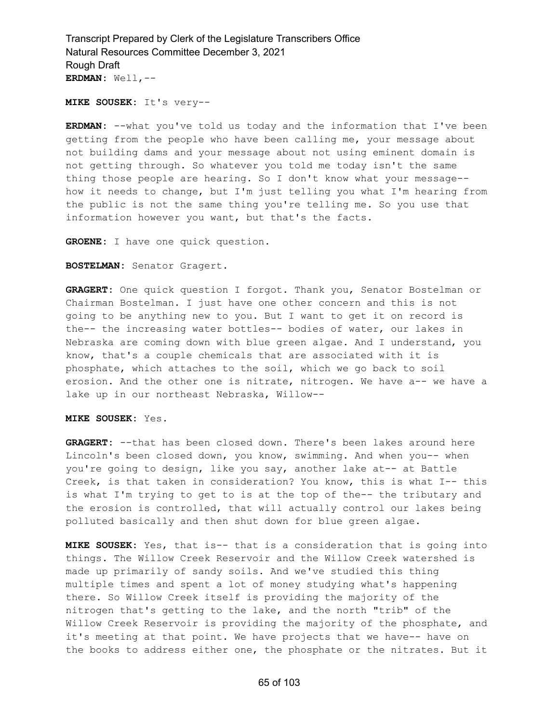**MIKE SOUSEK:** It's very--

**ERDMAN:** --what you've told us today and the information that I've been getting from the people who have been calling me, your message about not building dams and your message about not using eminent domain is not getting through. So whatever you told me today isn't the same thing those people are hearing. So I don't know what your message- how it needs to change, but I'm just telling you what I'm hearing from the public is not the same thing you're telling me. So you use that information however you want, but that's the facts.

**GROENE:** I have one quick question.

**BOSTELMAN:** Senator Gragert.

**GRAGERT:** One quick question I forgot. Thank you, Senator Bostelman or Chairman Bostelman. I just have one other concern and this is not going to be anything new to you. But I want to get it on record is the-- the increasing water bottles-- bodies of water, our lakes in Nebraska are coming down with blue green algae. And I understand, you know, that's a couple chemicals that are associated with it is phosphate, which attaches to the soil, which we go back to soil erosion. And the other one is nitrate, nitrogen. We have a-- we have a lake up in our northeast Nebraska, Willow--

**MIKE SOUSEK:** Yes.

**GRAGERT:** --that has been closed down. There's been lakes around here Lincoln's been closed down, you know, swimming. And when you-- when you're going to design, like you say, another lake at-- at Battle Creek, is that taken in consideration? You know, this is what I-- this is what I'm trying to get to is at the top of the-- the tributary and the erosion is controlled, that will actually control our lakes being polluted basically and then shut down for blue green algae.

**MIKE SOUSEK:** Yes, that is-- that is a consideration that is going into things. The Willow Creek Reservoir and the Willow Creek watershed is made up primarily of sandy soils. And we've studied this thing multiple times and spent a lot of money studying what's happening there. So Willow Creek itself is providing the majority of the nitrogen that's getting to the lake, and the north "trib" of the Willow Creek Reservoir is providing the majority of the phosphate, and it's meeting at that point. We have projects that we have-- have on the books to address either one, the phosphate or the nitrates. But it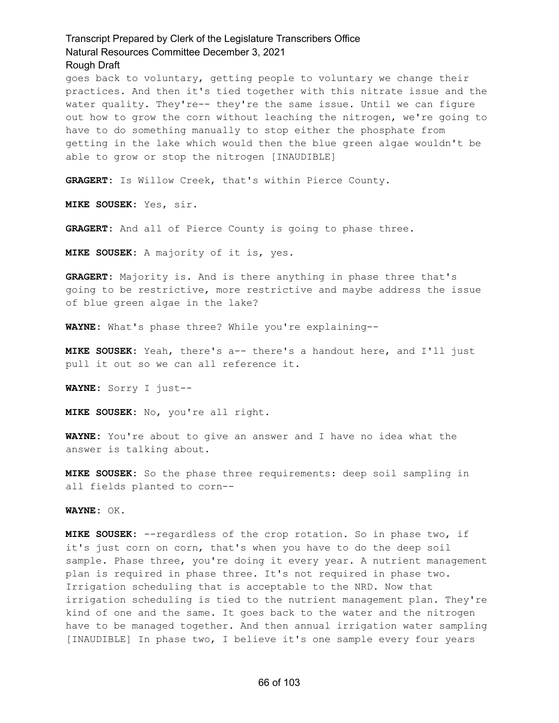goes back to voluntary, getting people to voluntary we change their practices. And then it's tied together with this nitrate issue and the water quality. They're-- they're the same issue. Until we can figure out how to grow the corn without leaching the nitrogen, we're going to have to do something manually to stop either the phosphate from getting in the lake which would then the blue green algae wouldn't be able to grow or stop the nitrogen [INAUDIBLE]

**GRAGERT:** Is Willow Creek, that's within Pierce County.

**MIKE SOUSEK:** Yes, sir.

**GRAGERT:** And all of Pierce County is going to phase three.

**MIKE SOUSEK:** A majority of it is, yes.

**GRAGERT:** Majority is. And is there anything in phase three that's going to be restrictive, more restrictive and maybe address the issue of blue green algae in the lake?

**WAYNE:** What's phase three? While you're explaining--

**MIKE SOUSEK:** Yeah, there's a-- there's a handout here, and I'll just pull it out so we can all reference it.

**WAYNE:** Sorry I just--

**MIKE SOUSEK:** No, you're all right.

**WAYNE:** You're about to give an answer and I have no idea what the answer is talking about.

**MIKE SOUSEK:** So the phase three requirements: deep soil sampling in all fields planted to corn--

**WAYNE:** OK.

**MIKE SOUSEK:** --regardless of the crop rotation. So in phase two, if it's just corn on corn, that's when you have to do the deep soil sample. Phase three, you're doing it every year. A nutrient management plan is required in phase three. It's not required in phase two. Irrigation scheduling that is acceptable to the NRD. Now that irrigation scheduling is tied to the nutrient management plan. They're kind of one and the same. It goes back to the water and the nitrogen have to be managed together. And then annual irrigation water sampling [INAUDIBLE] In phase two, I believe it's one sample every four years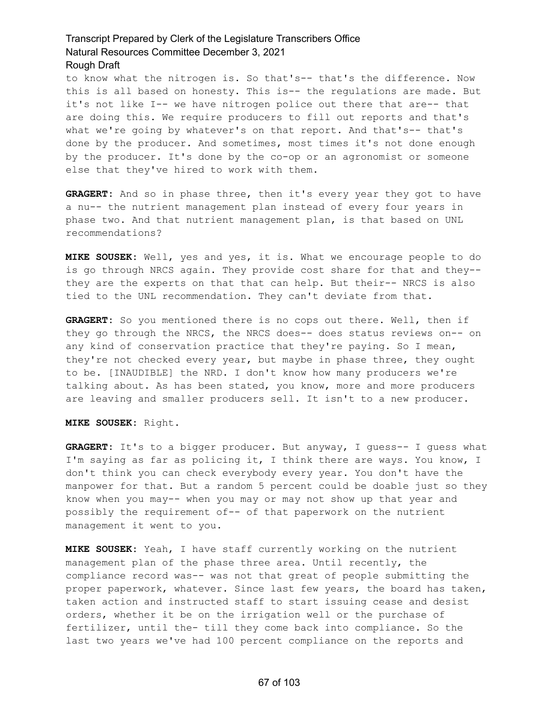to know what the nitrogen is. So that's-- that's the difference. Now this is all based on honesty. This is-- the regulations are made. But it's not like I-- we have nitrogen police out there that are-- that are doing this. We require producers to fill out reports and that's what we're going by whatever's on that report. And that's-- that's done by the producer. And sometimes, most times it's not done enough by the producer. It's done by the co-op or an agronomist or someone else that they've hired to work with them.

**GRAGERT:** And so in phase three, then it's every year they got to have a nu-- the nutrient management plan instead of every four years in phase two. And that nutrient management plan, is that based on UNL recommendations?

**MIKE SOUSEK:** Well, yes and yes, it is. What we encourage people to do is go through NRCS again. They provide cost share for that and they- they are the experts on that that can help. But their-- NRCS is also tied to the UNL recommendation. They can't deviate from that.

**GRAGERT:** So you mentioned there is no cops out there. Well, then if they go through the NRCS, the NRCS does-- does status reviews on-- on any kind of conservation practice that they're paying. So I mean, they're not checked every year, but maybe in phase three, they ought to be. [INAUDIBLE] the NRD. I don't know how many producers we're talking about. As has been stated, you know, more and more producers are leaving and smaller producers sell. It isn't to a new producer.

**MIKE SOUSEK:** Right.

**GRAGERT:** It's to a bigger producer. But anyway, I guess-- I guess what I'm saying as far as policing it, I think there are ways. You know, I don't think you can check everybody every year. You don't have the manpower for that. But a random 5 percent could be doable just so they know when you may-- when you may or may not show up that year and possibly the requirement of-- of that paperwork on the nutrient management it went to you.

**MIKE SOUSEK:** Yeah, I have staff currently working on the nutrient management plan of the phase three area. Until recently, the compliance record was-- was not that great of people submitting the proper paperwork, whatever. Since last few years, the board has taken, taken action and instructed staff to start issuing cease and desist orders, whether it be on the irrigation well or the purchase of fertilizer, until the- till they come back into compliance. So the last two years we've had 100 percent compliance on the reports and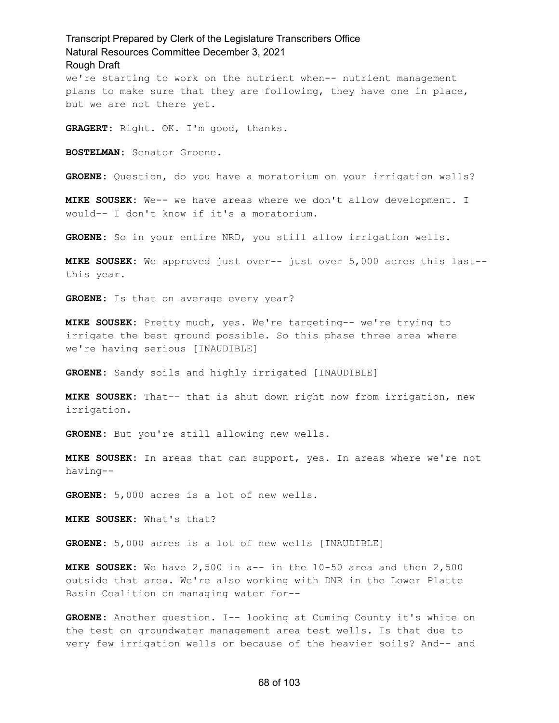we're starting to work on the nutrient when-- nutrient management plans to make sure that they are following, they have one in place, but we are not there yet.

**GRAGERT:** Right. OK. I'm good, thanks.

**BOSTELMAN:** Senator Groene.

**GROENE:** Question, do you have a moratorium on your irrigation wells?

**MIKE SOUSEK:** We-- we have areas where we don't allow development. I would-- I don't know if it's a moratorium.

**GROENE:** So in your entire NRD, you still allow irrigation wells.

**MIKE SOUSEK:** We approved just over-- just over 5,000 acres this last- this year.

**GROENE:** Is that on average every year?

**MIKE SOUSEK:** Pretty much, yes. We're targeting-- we're trying to irrigate the best ground possible. So this phase three area where we're having serious [INAUDIBLE]

**GROENE:** Sandy soils and highly irrigated [INAUDIBLE]

**MIKE SOUSEK:** That-- that is shut down right now from irrigation, new irrigation.

**GROENE:** But you're still allowing new wells.

**MIKE SOUSEK:** In areas that can support, yes. In areas where we're not having--

**GROENE:** 5,000 acres is a lot of new wells.

**MIKE SOUSEK:** What's that?

**GROENE:** 5,000 acres is a lot of new wells [INAUDIBLE]

**MIKE SOUSEK:** We have 2,500 in a-- in the 10-50 area and then 2,500 outside that area. We're also working with DNR in the Lower Platte Basin Coalition on managing water for--

**GROENE:** Another question. I-- looking at Cuming County it's white on the test on groundwater management area test wells. Is that due to very few irrigation wells or because of the heavier soils? And-- and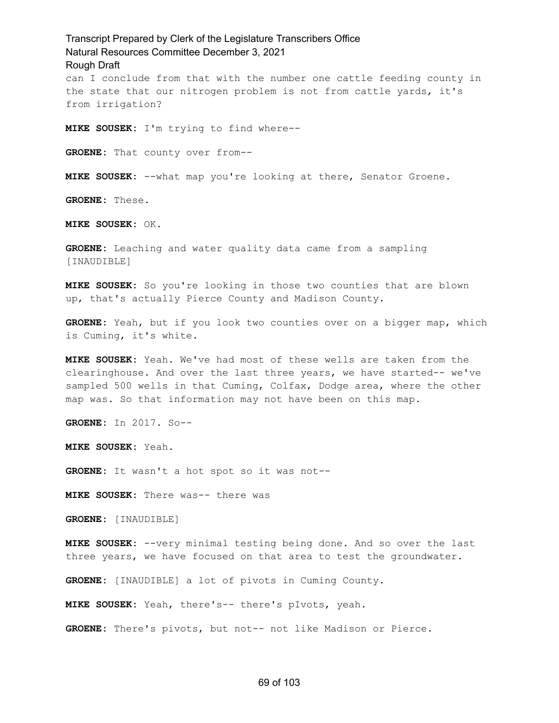Transcript Prepared by Clerk of the Legislature Transcribers Office Natural Resources Committee December 3, 2021 Rough Draft can I conclude from that with the number one cattle feeding county in the state that our nitrogen problem is not from cattle yards, it's from irrigation? **MIKE SOUSEK:** I'm trying to find where-- **GROENE:** That county over from-- **MIKE SOUSEK:** --what map you're looking at there, Senator Groene. **GROENE:** These. **MIKE SOUSEK:** OK. **GROENE:** Leaching and water quality data came from a sampling [INAUDIBLE] **MIKE SOUSEK:** So you're looking in those two counties that are blown up, that's actually Pierce County and Madison County. **GROENE:** Yeah, but if you look two counties over on a bigger map, which is Cuming, it's white. **MIKE SOUSEK:** Yeah. We've had most of these wells are taken from the clearinghouse. And over the last three years, we have started-- we've sampled 500 wells in that Cuming, Colfax, Dodge area, where the other map was. So that information may not have been on this map. **GROENE:** In 2017. So-- **MIKE SOUSEK:** Yeah. **GROENE:** It wasn't a hot spot so it was not-- **MIKE SOUSEK:** There was-- there was **GROENE:** [INAUDIBLE] **MIKE SOUSEK:** --very minimal testing being done. And so over the last

three years, we have focused on that area to test the groundwater.

**GROENE:** [INAUDIBLE] a lot of pivots in Cuming County.

**MIKE SOUSEK:** Yeah, there's-- there's pIvots, yeah.

**GROENE:** There's pivots, but not-- not like Madison or Pierce.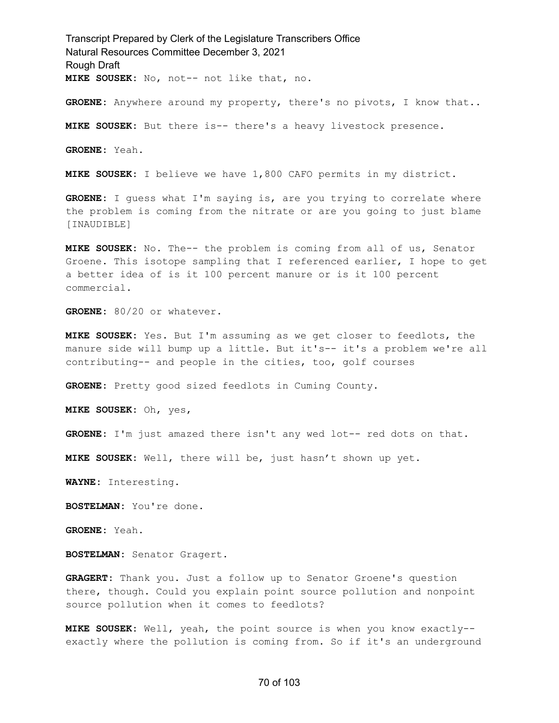Transcript Prepared by Clerk of the Legislature Transcribers Office Natural Resources Committee December 3, 2021 Rough Draft **MIKE SOUSEK:** No, not-- not like that, no.

**GROENE:** Anywhere around my property, there's no pivots, I know that..

**MIKE SOUSEK:** But there is-- there's a heavy livestock presence.

**GROENE:** Yeah.

**MIKE SOUSEK:** I believe we have 1,800 CAFO permits in my district.

**GROENE:** I guess what I'm saying is, are you trying to correlate where the problem is coming from the nitrate or are you going to just blame [INAUDIBLE]

**MIKE SOUSEK:** No. The-- the problem is coming from all of us, Senator Groene. This isotope sampling that I referenced earlier, I hope to get a better idea of is it 100 percent manure or is it 100 percent commercial.

**GROENE:** 80/20 or whatever.

**MIKE SOUSEK:** Yes. But I'm assuming as we get closer to feedlots, the manure side will bump up a little. But it's-- it's a problem we're all contributing-- and people in the cities, too, golf courses

**GROENE:** Pretty good sized feedlots in Cuming County.

**MIKE SOUSEK:** Oh, yes,

**GROENE:** I'm just amazed there isn't any wed lot-- red dots on that.

**MIKE SOUSEK:** Well, there will be, just hasn't shown up yet.

**WAYNE:** Interesting.

**BOSTELMAN:** You're done.

**GROENE:** Yeah.

**BOSTELMAN:** Senator Gragert.

**GRAGERT:** Thank you. Just a follow up to Senator Groene's question there, though. Could you explain point source pollution and nonpoint source pollution when it comes to feedlots?

**MIKE SOUSEK:** Well, yeah, the point source is when you know exactly- exactly where the pollution is coming from. So if it's an underground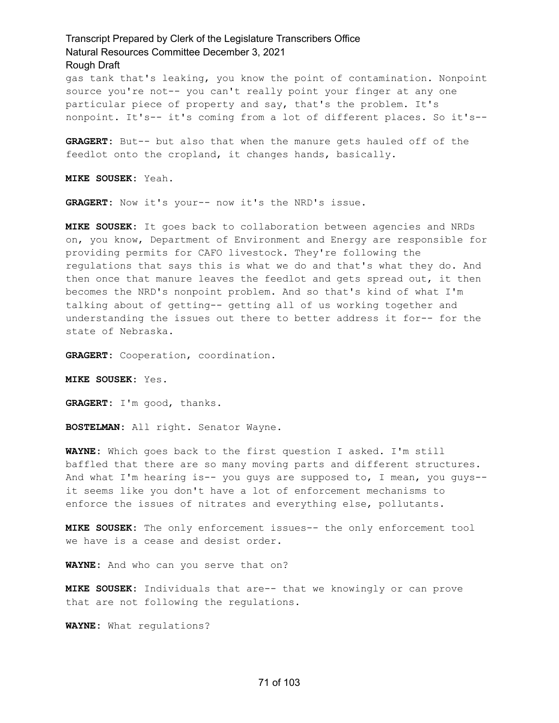gas tank that's leaking, you know the point of contamination. Nonpoint source you're not-- you can't really point your finger at any one particular piece of property and say, that's the problem. It's nonpoint. It's-- it's coming from a lot of different places. So it's--

**GRAGERT:** But-- but also that when the manure gets hauled off of the feedlot onto the cropland, it changes hands, basically.

**MIKE SOUSEK:** Yeah.

**GRAGERT:** Now it's your-- now it's the NRD's issue.

**MIKE SOUSEK:** It goes back to collaboration between agencies and NRDs on, you know, Department of Environment and Energy are responsible for providing permits for CAFO livestock. They're following the regulations that says this is what we do and that's what they do. And then once that manure leaves the feedlot and gets spread out, it then becomes the NRD's nonpoint problem. And so that's kind of what I'm talking about of getting-- getting all of us working together and understanding the issues out there to better address it for-- for the state of Nebraska.

**GRAGERT:** Cooperation, coordination.

**MIKE SOUSEK:** Yes.

**GRAGERT:** I'm good, thanks.

**BOSTELMAN:** All right. Senator Wayne.

**WAYNE:** Which goes back to the first question I asked. I'm still baffled that there are so many moving parts and different structures. And what I'm hearing is-- you guys are supposed to, I mean, you guys-it seems like you don't have a lot of enforcement mechanisms to enforce the issues of nitrates and everything else, pollutants.

**MIKE SOUSEK:** The only enforcement issues-- the only enforcement tool we have is a cease and desist order.

**WAYNE:** And who can you serve that on?

**MIKE SOUSEK:** Individuals that are-- that we knowingly or can prove that are not following the regulations.

**WAYNE:** What regulations?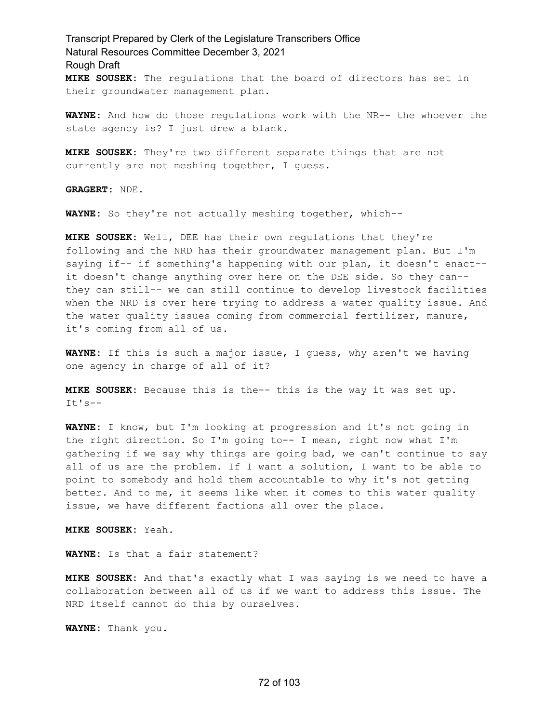Transcript Prepared by Clerk of the Legislature Transcribers Office Natural Resources Committee December 3, 2021 Rough Draft **MIKE SOUSEK:** The regulations that the board of directors has set in their groundwater management plan.

**WAYNE:** And how do those regulations work with the NR-- the whoever the state agency is? I just drew a blank.

**MIKE SOUSEK:** They're two different separate things that are not currently are not meshing together, I guess.

**GRAGERT:** NDE.

**WAYNE:** So they're not actually meshing together, which--

**MIKE SOUSEK:** Well, DEE has their own regulations that they're following and the NRD has their groundwater management plan. But I'm saying if-- if something's happening with our plan, it doesn't enact- it doesn't change anything over here on the DEE side. So they can- they can still-- we can still continue to develop livestock facilities when the NRD is over here trying to address a water quality issue. And the water quality issues coming from commercial fertilizer, manure, it's coming from all of us.

**WAYNE:** If this is such a major issue, I guess, why aren't we having one agency in charge of all of it?

**MIKE SOUSEK:** Because this is the-- this is the way it was set up.  $It's --$ 

**WAYNE:** I know, but I'm looking at progression and it's not going in the right direction. So I'm going to-- I mean, right now what I'm gathering if we say why things are going bad, we can't continue to say all of us are the problem. If I want a solution, I want to be able to point to somebody and hold them accountable to why it's not getting better. And to me, it seems like when it comes to this water quality issue, we have different factions all over the place.

**MIKE SOUSEK:** Yeah.

**WAYNE:** Is that a fair statement?

**MIKE SOUSEK:** And that's exactly what I was saying is we need to have a collaboration between all of us if we want to address this issue. The NRD itself cannot do this by ourselves.

**WAYNE:** Thank you.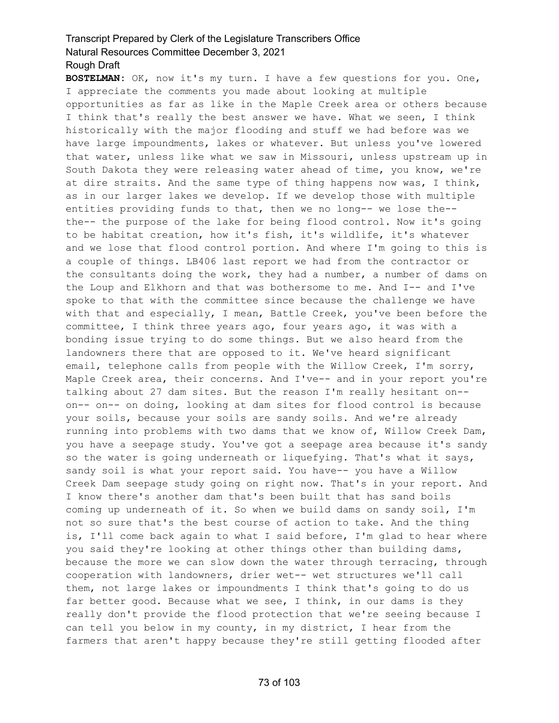**BOSTELMAN:** OK, now it's my turn. I have a few questions for you. One, I appreciate the comments you made about looking at multiple opportunities as far as like in the Maple Creek area or others because I think that's really the best answer we have. What we seen, I think historically with the major flooding and stuff we had before was we have large impoundments, lakes or whatever. But unless you've lowered that water, unless like what we saw in Missouri, unless upstream up in South Dakota they were releasing water ahead of time, you know, we're at dire straits. And the same type of thing happens now was, I think, as in our larger lakes we develop. If we develop those with multiple entities providing funds to that, then we no long-- we lose the- the-- the purpose of the lake for being flood control. Now it's going to be habitat creation, how it's fish, it's wildlife, it's whatever and we lose that flood control portion. And where I'm going to this is a couple of things. LB406 last report we had from the contractor or the consultants doing the work, they had a number, a number of dams on the Loup and Elkhorn and that was bothersome to me. And I-- and I've spoke to that with the committee since because the challenge we have with that and especially, I mean, Battle Creek, you've been before the committee, I think three years ago, four years ago, it was with a bonding issue trying to do some things. But we also heard from the landowners there that are opposed to it. We've heard significant email, telephone calls from people with the Willow Creek, I'm sorry, Maple Creek area, their concerns. And I've-- and in your report you're talking about 27 dam sites. But the reason I'm really hesitant on- on-- on-- on doing, looking at dam sites for flood control is because your soils, because your soils are sandy soils. And we're already running into problems with two dams that we know of, Willow Creek Dam, you have a seepage study. You've got a seepage area because it's sandy so the water is going underneath or liquefying. That's what it says, sandy soil is what your report said. You have-- you have a Willow Creek Dam seepage study going on right now. That's in your report. And I know there's another dam that's been built that has sand boils coming up underneath of it. So when we build dams on sandy soil, I'm not so sure that's the best course of action to take. And the thing is, I'll come back again to what I said before, I'm glad to hear where you said they're looking at other things other than building dams, because the more we can slow down the water through terracing, through cooperation with landowners, drier wet-- wet structures we'll call them, not large lakes or impoundments I think that's going to do us far better good. Because what we see, I think, in our dams is they really don't provide the flood protection that we're seeing because I can tell you below in my county, in my district, I hear from the farmers that aren't happy because they're still getting flooded after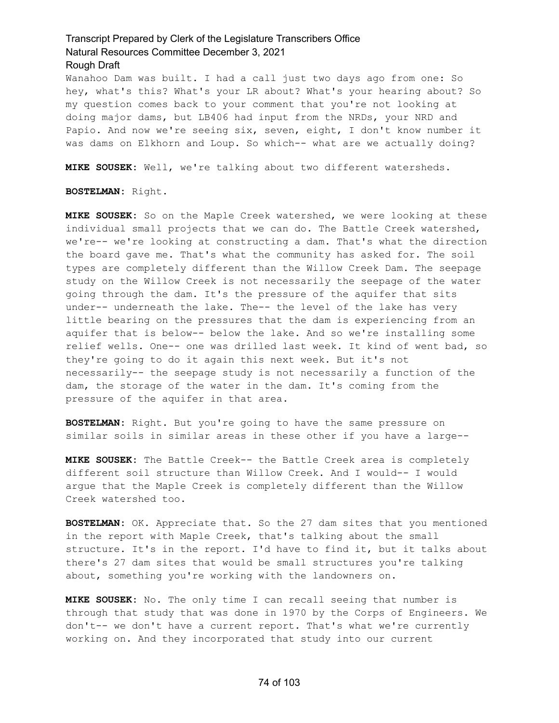Wanahoo Dam was built. I had a call just two days ago from one: So hey, what's this? What's your LR about? What's your hearing about? So my question comes back to your comment that you're not looking at doing major dams, but LB406 had input from the NRDs, your NRD and Papio. And now we're seeing six, seven, eight, I don't know number it was dams on Elkhorn and Loup. So which-- what are we actually doing?

**MIKE SOUSEK:** Well, we're talking about two different watersheds.

**BOSTELMAN:** Right.

**MIKE SOUSEK:** So on the Maple Creek watershed, we were looking at these individual small projects that we can do. The Battle Creek watershed, we're-- we're looking at constructing a dam. That's what the direction the board gave me. That's what the community has asked for. The soil types are completely different than the Willow Creek Dam. The seepage study on the Willow Creek is not necessarily the seepage of the water going through the dam. It's the pressure of the aquifer that sits under-- underneath the lake. The-- the level of the lake has very little bearing on the pressures that the dam is experiencing from an aquifer that is below-- below the lake. And so we're installing some relief wells. One-- one was drilled last week. It kind of went bad, so they're going to do it again this next week. But it's not necessarily-- the seepage study is not necessarily a function of the dam, the storage of the water in the dam. It's coming from the pressure of the aquifer in that area.

**BOSTELMAN:** Right. But you're going to have the same pressure on similar soils in similar areas in these other if you have a large--

**MIKE SOUSEK:** The Battle Creek-- the Battle Creek area is completely different soil structure than Willow Creek. And I would-- I would argue that the Maple Creek is completely different than the Willow Creek watershed too.

**BOSTELMAN:** OK. Appreciate that. So the 27 dam sites that you mentioned in the report with Maple Creek, that's talking about the small structure. It's in the report. I'd have to find it, but it talks about there's 27 dam sites that would be small structures you're talking about, something you're working with the landowners on.

**MIKE SOUSEK:** No. The only time I can recall seeing that number is through that study that was done in 1970 by the Corps of Engineers. We don't-- we don't have a current report. That's what we're currently working on. And they incorporated that study into our current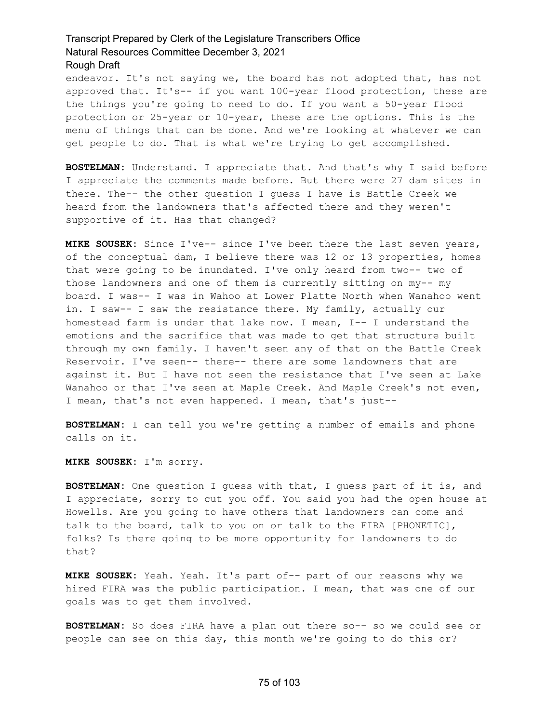endeavor. It's not saying we, the board has not adopted that, has not approved that. It's-- if you want 100-year flood protection, these are the things you're going to need to do. If you want a 50-year flood protection or 25-year or 10-year, these are the options. This is the menu of things that can be done. And we're looking at whatever we can get people to do. That is what we're trying to get accomplished.

**BOSTELMAN:** Understand. I appreciate that. And that's why I said before I appreciate the comments made before. But there were 27 dam sites in there. The-- the other question I guess I have is Battle Creek we heard from the landowners that's affected there and they weren't supportive of it. Has that changed?

**MIKE SOUSEK:** Since I've-- since I've been there the last seven years, of the conceptual dam, I believe there was 12 or 13 properties, homes that were going to be inundated. I've only heard from two-- two of those landowners and one of them is currently sitting on my-- my board. I was-- I was in Wahoo at Lower Platte North when Wanahoo went in. I saw-- I saw the resistance there. My family, actually our homestead farm is under that lake now. I mean, I-- I understand the emotions and the sacrifice that was made to get that structure built through my own family. I haven't seen any of that on the Battle Creek Reservoir. I've seen-- there-- there are some landowners that are against it. But I have not seen the resistance that I've seen at Lake Wanahoo or that I've seen at Maple Creek. And Maple Creek's not even, I mean, that's not even happened. I mean, that's just--

**BOSTELMAN:** I can tell you we're getting a number of emails and phone calls on it.

**MIKE SOUSEK:** I'm sorry.

**BOSTELMAN:** One question I guess with that, I guess part of it is, and I appreciate, sorry to cut you off. You said you had the open house at Howells. Are you going to have others that landowners can come and talk to the board, talk to you on or talk to the FIRA [PHONETIC], folks? Is there going to be more opportunity for landowners to do that?

**MIKE SOUSEK:** Yeah. Yeah. It's part of-- part of our reasons why we hired FIRA was the public participation. I mean, that was one of our goals was to get them involved.

**BOSTELMAN:** So does FIRA have a plan out there so-- so we could see or people can see on this day, this month we're going to do this or?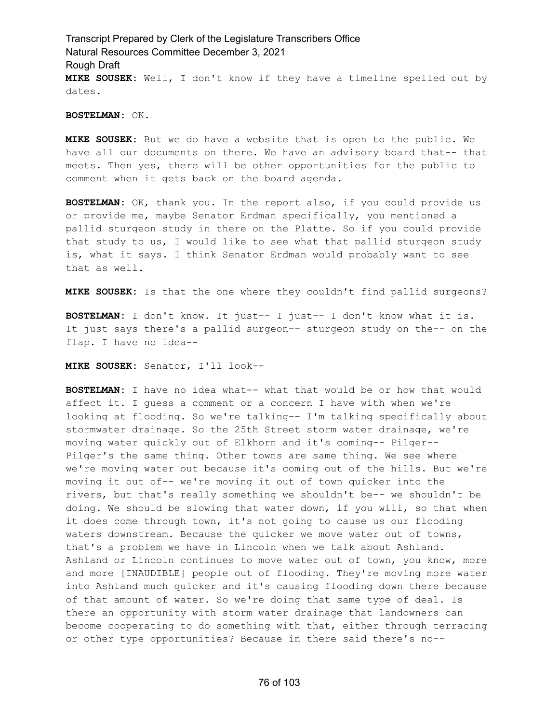Transcript Prepared by Clerk of the Legislature Transcribers Office Natural Resources Committee December 3, 2021 Rough Draft **MIKE SOUSEK:** Well, I don't know if they have a timeline spelled out by dates.

#### **BOSTELMAN:** OK.

**MIKE SOUSEK:** But we do have a website that is open to the public. We have all our documents on there. We have an advisory board that-- that meets. Then yes, there will be other opportunities for the public to comment when it gets back on the board agenda.

**BOSTELMAN:** OK, thank you. In the report also, if you could provide us or provide me, maybe Senator Erdman specifically, you mentioned a pallid sturgeon study in there on the Platte. So if you could provide that study to us, I would like to see what that pallid sturgeon study is, what it says. I think Senator Erdman would probably want to see that as well.

**MIKE SOUSEK:** Is that the one where they couldn't find pallid surgeons?

**BOSTELMAN:** I don't know. It just-- I just-- I don't know what it is. It just says there's a pallid surgeon-- sturgeon study on the-- on the flap. I have no idea--

**MIKE SOUSEK:** Senator, I'll look--

**BOSTELMAN:** I have no idea what-- what that would be or how that would affect it. I guess a comment or a concern I have with when we're looking at flooding. So we're talking-- I'm talking specifically about stormwater drainage. So the 25th Street storm water drainage, we're moving water quickly out of Elkhorn and it's coming-- Pilger-- Pilger's the same thing. Other towns are same thing. We see where we're moving water out because it's coming out of the hills. But we're moving it out of-- we're moving it out of town quicker into the rivers, but that's really something we shouldn't be-- we shouldn't be doing. We should be slowing that water down, if you will, so that when it does come through town, it's not going to cause us our flooding waters downstream. Because the quicker we move water out of towns, that's a problem we have in Lincoln when we talk about Ashland. Ashland or Lincoln continues to move water out of town, you know, more and more [INAUDIBLE] people out of flooding. They're moving more water into Ashland much quicker and it's causing flooding down there because of that amount of water. So we're doing that same type of deal. Is there an opportunity with storm water drainage that landowners can become cooperating to do something with that, either through terracing or other type opportunities? Because in there said there's no--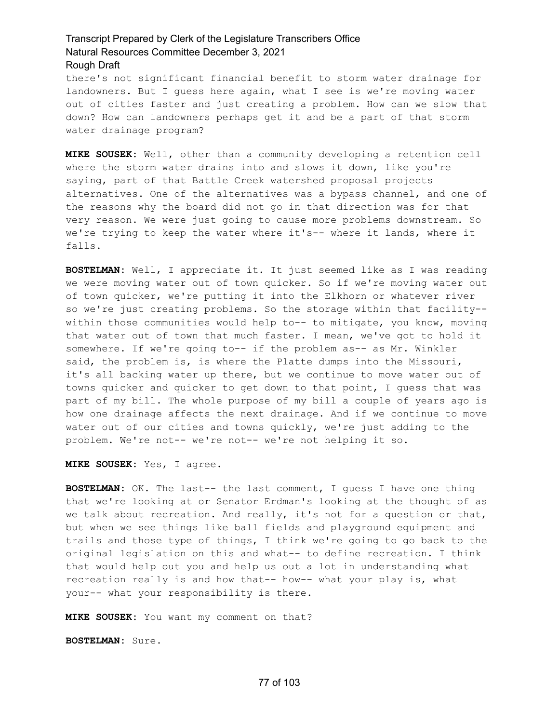there's not significant financial benefit to storm water drainage for landowners. But I guess here again, what I see is we're moving water out of cities faster and just creating a problem. How can we slow that down? How can landowners perhaps get it and be a part of that storm water drainage program?

**MIKE SOUSEK:** Well, other than a community developing a retention cell where the storm water drains into and slows it down, like you're saying, part of that Battle Creek watershed proposal projects alternatives. One of the alternatives was a bypass channel, and one of the reasons why the board did not go in that direction was for that very reason. We were just going to cause more problems downstream. So we're trying to keep the water where it's-- where it lands, where it falls.

**BOSTELMAN:** Well, I appreciate it. It just seemed like as I was reading we were moving water out of town quicker. So if we're moving water out of town quicker, we're putting it into the Elkhorn or whatever river so we're just creating problems. So the storage within that facility- within those communities would help to-- to mitigate, you know, moving that water out of town that much faster. I mean, we've got to hold it somewhere. If we're going to-- if the problem as-- as Mr. Winkler said, the problem is, is where the Platte dumps into the Missouri, it's all backing water up there, but we continue to move water out of towns quicker and quicker to get down to that point, I guess that was part of my bill. The whole purpose of my bill a couple of years ago is how one drainage affects the next drainage. And if we continue to move water out of our cities and towns quickly, we're just adding to the problem. We're not-- we're not-- we're not helping it so.

**MIKE SOUSEK:** Yes, I agree.

**BOSTELMAN:** OK. The last-- the last comment, I guess I have one thing that we're looking at or Senator Erdman's looking at the thought of as we talk about recreation. And really, it's not for a question or that, but when we see things like ball fields and playground equipment and trails and those type of things, I think we're going to go back to the original legislation on this and what-- to define recreation. I think that would help out you and help us out a lot in understanding what recreation really is and how that-- how-- what your play is, what your-- what your responsibility is there.

**MIKE SOUSEK:** You want my comment on that?

**BOSTELMAN:** Sure.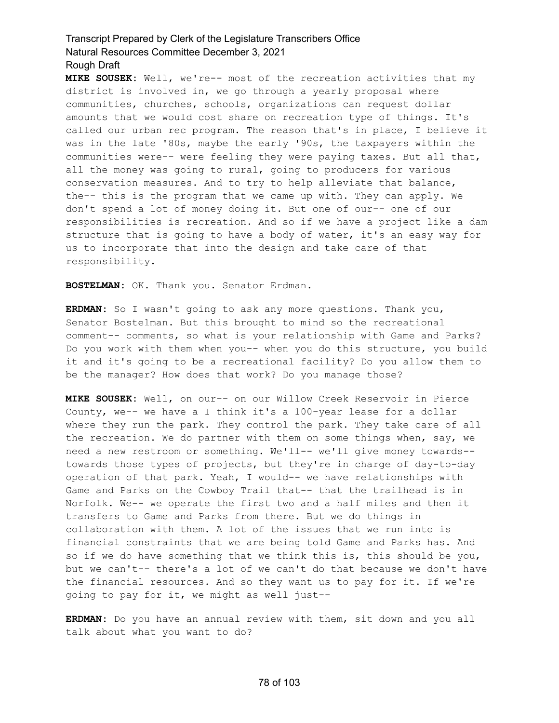**MIKE SOUSEK:** Well, we're-- most of the recreation activities that my district is involved in, we go through a yearly proposal where communities, churches, schools, organizations can request dollar amounts that we would cost share on recreation type of things. It's called our urban rec program. The reason that's in place, I believe it was in the late '80s, maybe the early '90s, the taxpayers within the communities were-- were feeling they were paying taxes. But all that, all the money was going to rural, going to producers for various conservation measures. And to try to help alleviate that balance, the-- this is the program that we came up with. They can apply. We don't spend a lot of money doing it. But one of our-- one of our responsibilities is recreation. And so if we have a project like a dam structure that is going to have a body of water, it's an easy way for us to incorporate that into the design and take care of that responsibility.

**BOSTELMAN:** OK. Thank you. Senator Erdman.

**ERDMAN:** So I wasn't going to ask any more questions. Thank you, Senator Bostelman. But this brought to mind so the recreational comment-- comments, so what is your relationship with Game and Parks? Do you work with them when you-- when you do this structure, you build it and it's going to be a recreational facility? Do you allow them to be the manager? How does that work? Do you manage those?

**MIKE SOUSEK:** Well, on our-- on our Willow Creek Reservoir in Pierce County, we-- we have a I think it's a 100-year lease for a dollar where they run the park. They control the park. They take care of all the recreation. We do partner with them on some things when, say, we need a new restroom or something. We'll-- we'll give money towards- towards those types of projects, but they're in charge of day-to-day operation of that park. Yeah, I would-- we have relationships with Game and Parks on the Cowboy Trail that-- that the trailhead is in Norfolk. We-- we operate the first two and a half miles and then it transfers to Game and Parks from there. But we do things in collaboration with them. A lot of the issues that we run into is financial constraints that we are being told Game and Parks has. And so if we do have something that we think this is, this should be you, but we can't-- there's a lot of we can't do that because we don't have the financial resources. And so they want us to pay for it. If we're going to pay for it, we might as well just--

**ERDMAN:** Do you have an annual review with them, sit down and you all talk about what you want to do?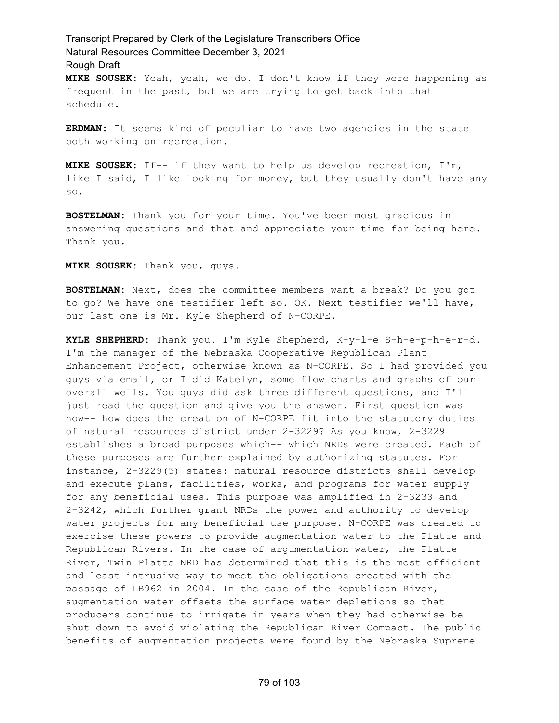# Transcript Prepared by Clerk of the Legislature Transcribers Office Natural Resources Committee December 3, 2021 Rough Draft **MIKE SOUSEK:** Yeah, yeah, we do. I don't know if they were happening as

frequent in the past, but we are trying to get back into that schedule.

**ERDMAN:** It seems kind of peculiar to have two agencies in the state both working on recreation.

**MIKE SOUSEK:** If-- if they want to help us develop recreation, I'm, like I said, I like looking for money, but they usually don't have any so.

**BOSTELMAN:** Thank you for your time. You've been most gracious in answering questions and that and appreciate your time for being here. Thank you.

**MIKE SOUSEK:** Thank you, guys.

**BOSTELMAN:** Next, does the committee members want a break? Do you got to go? We have one testifier left so. OK. Next testifier we'll have, our last one is Mr. Kyle Shepherd of N-CORPE.

**KYLE SHEPHERD:** Thank you. I'm Kyle Shepherd, K-y-l-e S-h-e-p-h-e-r-d. I'm the manager of the Nebraska Cooperative Republican Plant Enhancement Project, otherwise known as N-CORPE. So I had provided you guys via email, or I did Katelyn, some flow charts and graphs of our overall wells. You guys did ask three different questions, and I'll just read the question and give you the answer. First question was how-- how does the creation of N-CORPE fit into the statutory duties of natural resources district under 2-3229? As you know, 2-3229 establishes a broad purposes which-- which NRDs were created. Each of these purposes are further explained by authorizing statutes. For instance, 2-3229(5) states: natural resource districts shall develop and execute plans, facilities, works, and programs for water supply for any beneficial uses. This purpose was amplified in 2-3233 and 2-3242, which further grant NRDs the power and authority to develop water projects for any beneficial use purpose. N-CORPE was created to exercise these powers to provide augmentation water to the Platte and Republican Rivers. In the case of argumentation water, the Platte River, Twin Platte NRD has determined that this is the most efficient and least intrusive way to meet the obligations created with the passage of LB962 in 2004. In the case of the Republican River, augmentation water offsets the surface water depletions so that producers continue to irrigate in years when they had otherwise be shut down to avoid violating the Republican River Compact. The public benefits of augmentation projects were found by the Nebraska Supreme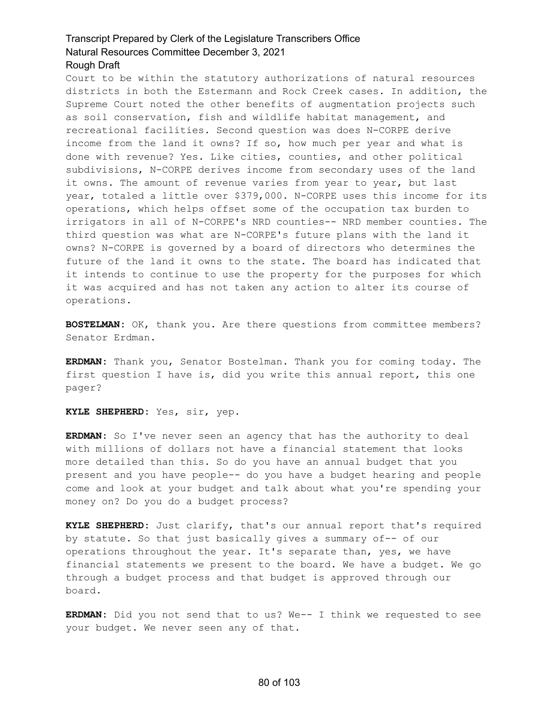Court to be within the statutory authorizations of natural resources districts in both the Estermann and Rock Creek cases. In addition, the Supreme Court noted the other benefits of augmentation projects such as soil conservation, fish and wildlife habitat management, and recreational facilities. Second question was does N-CORPE derive income from the land it owns? If so, how much per year and what is done with revenue? Yes. Like cities, counties, and other political subdivisions, N-CORPE derives income from secondary uses of the land it owns. The amount of revenue varies from year to year, but last year, totaled a little over \$379,000. N-CORPE uses this income for its operations, which helps offset some of the occupation tax burden to irrigators in all of N-CORPE's NRD counties-- NRD member counties. The third question was what are N-CORPE's future plans with the land it owns? N-CORPE is governed by a board of directors who determines the future of the land it owns to the state. The board has indicated that it intends to continue to use the property for the purposes for which it was acquired and has not taken any action to alter its course of operations.

**BOSTELMAN:** OK, thank you. Are there questions from committee members? Senator Erdman.

**ERDMAN:** Thank you, Senator Bostelman. Thank you for coming today. The first question I have is, did you write this annual report, this one pager?

**KYLE SHEPHERD:** Yes, sir, yep.

**ERDMAN:** So I've never seen an agency that has the authority to deal with millions of dollars not have a financial statement that looks more detailed than this. So do you have an annual budget that you present and you have people-- do you have a budget hearing and people come and look at your budget and talk about what you're spending your money on? Do you do a budget process?

**KYLE SHEPHERD:** Just clarify, that's our annual report that's required by statute. So that just basically gives a summary of-- of our operations throughout the year. It's separate than, yes, we have financial statements we present to the board. We have a budget. We go through a budget process and that budget is approved through our board.

**ERDMAN:** Did you not send that to us? We-- I think we requested to see your budget. We never seen any of that.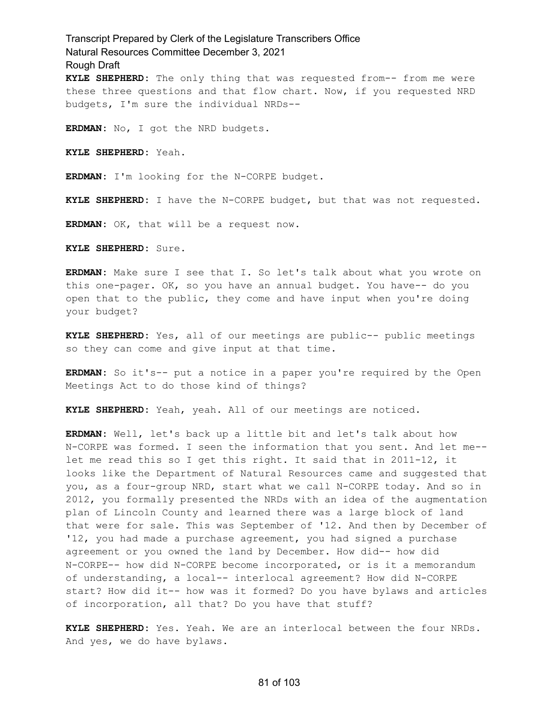Transcript Prepared by Clerk of the Legislature Transcribers Office Natural Resources Committee December 3, 2021 Rough Draft **KYLE SHEPHERD:** The only thing that was requested from-- from me were these three questions and that flow chart. Now, if you requested NRD budgets, I'm sure the individual NRDs--

**ERDMAN:** No, I got the NRD budgets.

**KYLE SHEPHERD:** Yeah.

**ERDMAN:** I'm looking for the N-CORPE budget.

**KYLE SHEPHERD:** I have the N-CORPE budget, but that was not requested.

**ERDMAN:** OK, that will be a request now.

**KYLE SHEPHERD:** Sure.

**ERDMAN:** Make sure I see that I. So let's talk about what you wrote on this one-pager. OK, so you have an annual budget. You have-- do you open that to the public, they come and have input when you're doing your budget?

**KYLE SHEPHERD:** Yes, all of our meetings are public-- public meetings so they can come and give input at that time.

**ERDMAN:** So it's-- put a notice in a paper you're required by the Open Meetings Act to do those kind of things?

**KYLE SHEPHERD:** Yeah, yeah. All of our meetings are noticed.

**ERDMAN:** Well, let's back up a little bit and let's talk about how N-CORPE was formed. I seen the information that you sent. And let me- let me read this so I get this right. It said that in 2011-12, it looks like the Department of Natural Resources came and suggested that you, as a four-group NRD, start what we call N-CORPE today. And so in 2012, you formally presented the NRDs with an idea of the augmentation plan of Lincoln County and learned there was a large block of land that were for sale. This was September of '12. And then by December of '12, you had made a purchase agreement, you had signed a purchase agreement or you owned the land by December. How did-- how did N-CORPE-- how did N-CORPE become incorporated, or is it a memorandum of understanding, a local-- interlocal agreement? How did N-CORPE start? How did it-- how was it formed? Do you have bylaws and articles of incorporation, all that? Do you have that stuff?

**KYLE SHEPHERD:** Yes. Yeah. We are an interlocal between the four NRDs. And yes, we do have bylaws.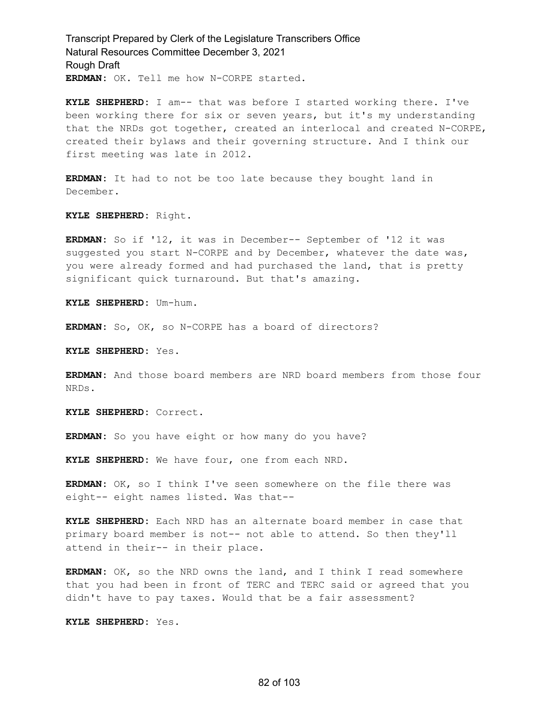Transcript Prepared by Clerk of the Legislature Transcribers Office Natural Resources Committee December 3, 2021 Rough Draft **ERDMAN:** OK. Tell me how N-CORPE started.

**KYLE SHEPHERD:** I am-- that was before I started working there. I've been working there for six or seven years, but it's my understanding that the NRDs got together, created an interlocal and created N-CORPE, created their bylaws and their governing structure. And I think our first meeting was late in 2012.

**ERDMAN:** It had to not be too late because they bought land in December.

**KYLE SHEPHERD:** Right.

**ERDMAN:** So if '12, it was in December-- September of '12 it was suggested you start N-CORPE and by December, whatever the date was, you were already formed and had purchased the land, that is pretty significant quick turnaround. But that's amazing.

**KYLE SHEPHERD:** Um-hum.

**ERDMAN:** So, OK, so N-CORPE has a board of directors?

**KYLE SHEPHERD:** Yes.

**ERDMAN:** And those board members are NRD board members from those four NRDs.

**KYLE SHEPHERD:** Correct.

**ERDMAN:** So you have eight or how many do you have?

**KYLE SHEPHERD:** We have four, one from each NRD.

**ERDMAN:** OK, so I think I've seen somewhere on the file there was eight-- eight names listed. Was that--

**KYLE SHEPHERD:** Each NRD has an alternate board member in case that primary board member is not-- not able to attend. So then they'll attend in their-- in their place.

**ERDMAN:** OK, so the NRD owns the land, and I think I read somewhere that you had been in front of TERC and TERC said or agreed that you didn't have to pay taxes. Would that be a fair assessment?

**KYLE SHEPHERD:** Yes.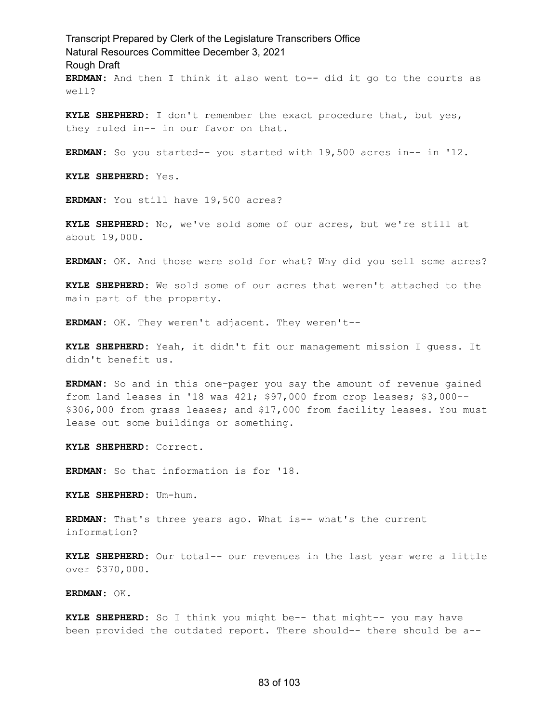Transcript Prepared by Clerk of the Legislature Transcribers Office Natural Resources Committee December 3, 2021 Rough Draft **ERDMAN:** And then I think it also went to-- did it go to the courts as well?

**KYLE SHEPHERD:** I don't remember the exact procedure that, but yes, they ruled in-- in our favor on that.

**ERDMAN:** So you started-- you started with 19,500 acres in-- in '12.

**KYLE SHEPHERD:** Yes.

**ERDMAN:** You still have 19,500 acres?

**KYLE SHEPHERD:** No, we've sold some of our acres, but we're still at about 19,000.

**ERDMAN:** OK. And those were sold for what? Why did you sell some acres?

**KYLE SHEPHERD:** We sold some of our acres that weren't attached to the main part of the property.

**ERDMAN:** OK. They weren't adjacent. They weren't--

**KYLE SHEPHERD:** Yeah, it didn't fit our management mission I guess. It didn't benefit us.

**ERDMAN:** So and in this one-pager you say the amount of revenue gained from land leases in '18 was 421; \$97,000 from crop leases; \$3,000-- \$306,000 from grass leases; and \$17,000 from facility leases. You must lease out some buildings or something.

**KYLE SHEPHERD:** Correct.

**ERDMAN:** So that information is for '18.

**KYLE SHEPHERD:** Um-hum.

**ERDMAN:** That's three years ago. What is-- what's the current information?

**KYLE SHEPHERD:** Our total-- our revenues in the last year were a little over \$370,000.

**ERDMAN:** OK.

**KYLE SHEPHERD:** So I think you might be-- that might-- you may have been provided the outdated report. There should-- there should be a--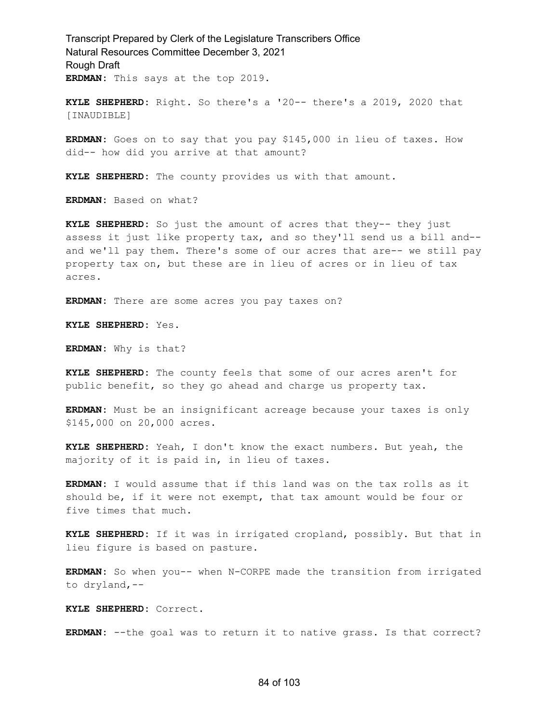Transcript Prepared by Clerk of the Legislature Transcribers Office Natural Resources Committee December 3, 2021 Rough Draft **ERDMAN:** This says at the top 2019.

**KYLE SHEPHERD:** Right. So there's a '20-- there's a 2019, 2020 that [INAUDIBLE]

**ERDMAN:** Goes on to say that you pay \$145,000 in lieu of taxes. How did-- how did you arrive at that amount?

**KYLE SHEPHERD:** The county provides us with that amount.

**ERDMAN:** Based on what?

**KYLE SHEPHERD:** So just the amount of acres that they-- they just assess it just like property tax, and so they'll send us a bill and- and we'll pay them. There's some of our acres that are-- we still pay property tax on, but these are in lieu of acres or in lieu of tax acres.

**ERDMAN:** There are some acres you pay taxes on?

**KYLE SHEPHERD:** Yes.

**ERDMAN:** Why is that?

**KYLE SHEPHERD:** The county feels that some of our acres aren't for public benefit, so they go ahead and charge us property tax.

**ERDMAN:** Must be an insignificant acreage because your taxes is only \$145,000 on 20,000 acres.

**KYLE SHEPHERD:** Yeah, I don't know the exact numbers. But yeah, the majority of it is paid in, in lieu of taxes.

**ERDMAN:** I would assume that if this land was on the tax rolls as it should be, if it were not exempt, that tax amount would be four or five times that much.

**KYLE SHEPHERD:** If it was in irrigated cropland, possibly. But that in lieu figure is based on pasture.

**ERDMAN:** So when you-- when N-CORPE made the transition from irrigated to dryland,--

**KYLE SHEPHERD:** Correct.

**ERDMAN:** --the goal was to return it to native grass. Is that correct?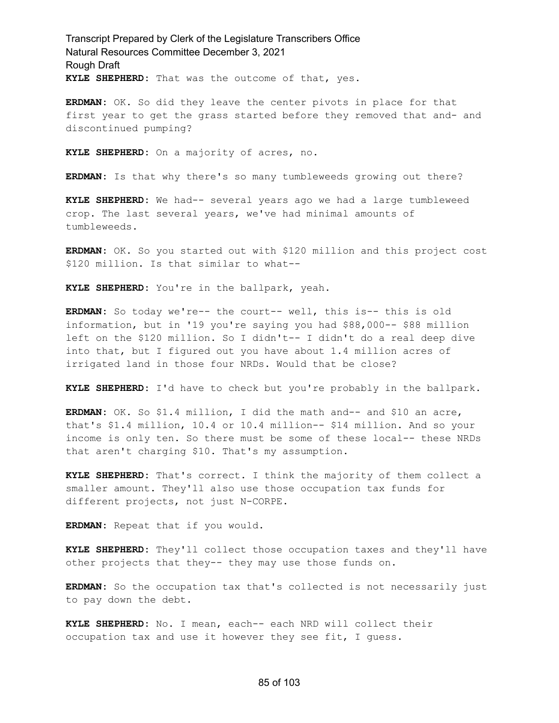Transcript Prepared by Clerk of the Legislature Transcribers Office Natural Resources Committee December 3, 2021 Rough Draft **KYLE SHEPHERD:** That was the outcome of that, yes.

**ERDMAN:** OK. So did they leave the center pivots in place for that first year to get the grass started before they removed that and- and discontinued pumping?

**KYLE SHEPHERD:** On a majority of acres, no.

**ERDMAN:** Is that why there's so many tumbleweeds growing out there?

**KYLE SHEPHERD:** We had-- several years ago we had a large tumbleweed crop. The last several years, we've had minimal amounts of tumbleweeds.

**ERDMAN:** OK. So you started out with \$120 million and this project cost \$120 million. Is that similar to what--

**KYLE SHEPHERD:** You're in the ballpark, yeah.

**ERDMAN:** So today we're-- the court-- well, this is-- this is old information, but in '19 you're saying you had \$88,000-- \$88 million left on the \$120 million. So I didn't-- I didn't do a real deep dive into that, but I figured out you have about 1.4 million acres of irrigated land in those four NRDs. Would that be close?

**KYLE SHEPHERD:** I'd have to check but you're probably in the ballpark.

**ERDMAN:** OK. So \$1.4 million, I did the math and-- and \$10 an acre, that's \$1.4 million, 10.4 or 10.4 million-- \$14 million. And so your income is only ten. So there must be some of these local-- these NRDs that aren't charging \$10. That's my assumption.

**KYLE SHEPHERD:** That's correct. I think the majority of them collect a smaller amount. They'll also use those occupation tax funds for different projects, not just N-CORPE.

**ERDMAN:** Repeat that if you would.

**KYLE SHEPHERD:** They'll collect those occupation taxes and they'll have other projects that they-- they may use those funds on.

**ERDMAN:** So the occupation tax that's collected is not necessarily just to pay down the debt.

**KYLE SHEPHERD:** No. I mean, each-- each NRD will collect their occupation tax and use it however they see fit, I guess.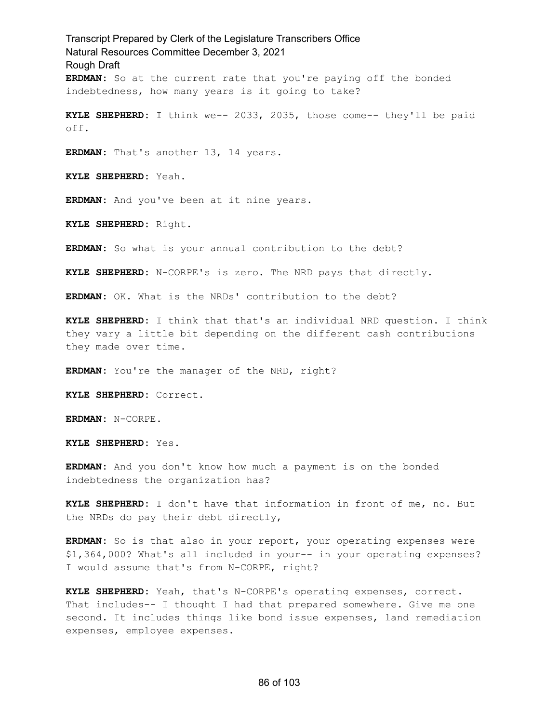Transcript Prepared by Clerk of the Legislature Transcribers Office Natural Resources Committee December 3, 2021 Rough Draft **ERDMAN:** So at the current rate that you're paying off the bonded indebtedness, how many years is it going to take? **KYLE SHEPHERD:** I think we-- 2033, 2035, those come-- they'll be paid off. **ERDMAN:** That's another 13, 14 years. **KYLE SHEPHERD:** Yeah. **ERDMAN:** And you've been at it nine years. **KYLE SHEPHERD:** Right. **ERDMAN:** So what is your annual contribution to the debt? **KYLE SHEPHERD:** N-CORPE's is zero. The NRD pays that directly. **ERDMAN:** OK. What is the NRDs' contribution to the debt? **KYLE SHEPHERD:** I think that that's an individual NRD question. I think they vary a little bit depending on the different cash contributions they made over time. **ERDMAN:** You're the manager of the NRD, right? **KYLE SHEPHERD:** Correct. **ERDMAN:** N-CORPE. **KYLE SHEPHERD:** Yes. **ERDMAN:** And you don't know how much a payment is on the bonded indebtedness the organization has? **KYLE SHEPHERD:** I don't have that information in front of me, no. But the NRDs do pay their debt directly, **ERDMAN:** So is that also in your report, your operating expenses were \$1,364,000? What's all included in your-- in your operating expenses? I would assume that's from N-CORPE, right?

**KYLE SHEPHERD:** Yeah, that's N-CORPE's operating expenses, correct. That includes-- I thought I had that prepared somewhere. Give me one second. It includes things like bond issue expenses, land remediation expenses, employee expenses.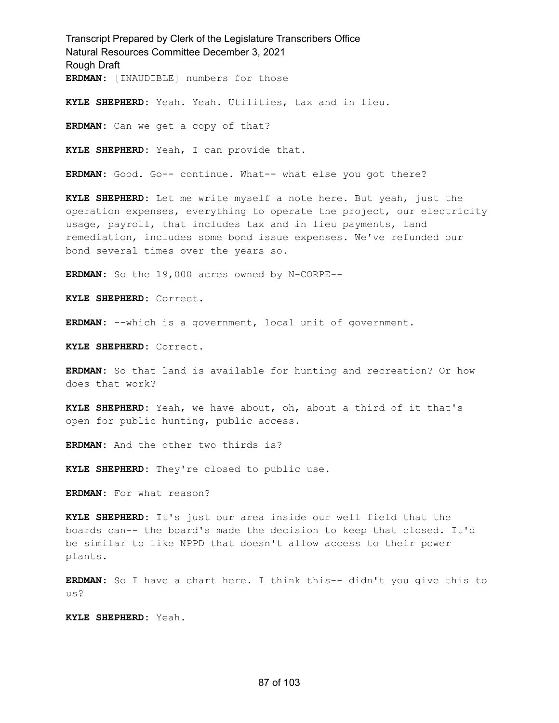Transcript Prepared by Clerk of the Legislature Transcribers Office Natural Resources Committee December 3, 2021 Rough Draft **ERDMAN:** [INAUDIBLE] numbers for those

**KYLE SHEPHERD:** Yeah. Yeah. Utilities, tax and in lieu.

**ERDMAN:** Can we get a copy of that?

**KYLE SHEPHERD:** Yeah, I can provide that.

**ERDMAN:** Good. Go-- continue. What-- what else you got there?

**KYLE SHEPHERD:** Let me write myself a note here. But yeah, just the operation expenses, everything to operate the project, our electricity usage, payroll, that includes tax and in lieu payments, land remediation, includes some bond issue expenses. We've refunded our bond several times over the years so.

**ERDMAN:** So the 19,000 acres owned by N-CORPE--

**KYLE SHEPHERD:** Correct.

**ERDMAN:** --which is a government, local unit of government.

**KYLE SHEPHERD:** Correct.

**ERDMAN:** So that land is available for hunting and recreation? Or how does that work?

**KYLE SHEPHERD:** Yeah, we have about, oh, about a third of it that's open for public hunting, public access.

**ERDMAN:** And the other two thirds is?

**KYLE SHEPHERD:** They're closed to public use.

**ERDMAN:** For what reason?

**KYLE SHEPHERD:** It's just our area inside our well field that the boards can-- the board's made the decision to keep that closed. It'd be similar to like NPPD that doesn't allow access to their power plants.

**ERDMAN:** So I have a chart here. I think this-- didn't you give this to us?

**KYLE SHEPHERD:** Yeah.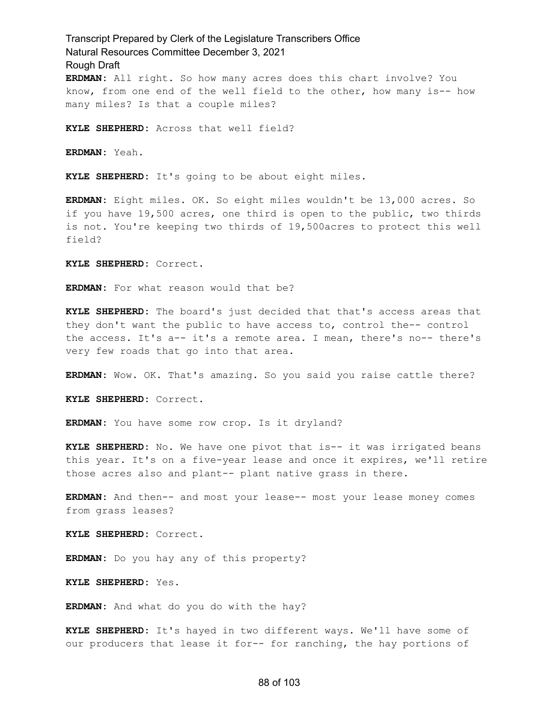Transcript Prepared by Clerk of the Legislature Transcribers Office Natural Resources Committee December 3, 2021 Rough Draft **ERDMAN:** All right. So how many acres does this chart involve? You know, from one end of the well field to the other, how many is-- how many miles? Is that a couple miles?

**KYLE SHEPHERD:** Across that well field?

**ERDMAN:** Yeah.

**KYLE SHEPHERD:** It's going to be about eight miles.

**ERDMAN:** Eight miles. OK. So eight miles wouldn't be 13,000 acres. So if you have 19,500 acres, one third is open to the public, two thirds is not. You're keeping two thirds of 19,500acres to protect this well field?

**KYLE SHEPHERD:** Correct.

**ERDMAN:** For what reason would that be?

**KYLE SHEPHERD:** The board's just decided that that's access areas that they don't want the public to have access to, control the-- control the access. It's a-- it's a remote area. I mean, there's no-- there's very few roads that go into that area.

**ERDMAN:** Wow. OK. That's amazing. So you said you raise cattle there?

**KYLE SHEPHERD:** Correct.

**ERDMAN:** You have some row crop. Is it dryland?

**KYLE SHEPHERD:** No. We have one pivot that is-- it was irrigated beans this year. It's on a five-year lease and once it expires, we'll retire those acres also and plant-- plant native grass in there.

**ERDMAN:** And then-- and most your lease-- most your lease money comes from grass leases?

**KYLE SHEPHERD:** Correct.

**ERDMAN:** Do you hay any of this property?

**KYLE SHEPHERD:** Yes.

**ERDMAN:** And what do you do with the hay?

**KYLE SHEPHERD:** It's hayed in two different ways. We'll have some of our producers that lease it for-- for ranching, the hay portions of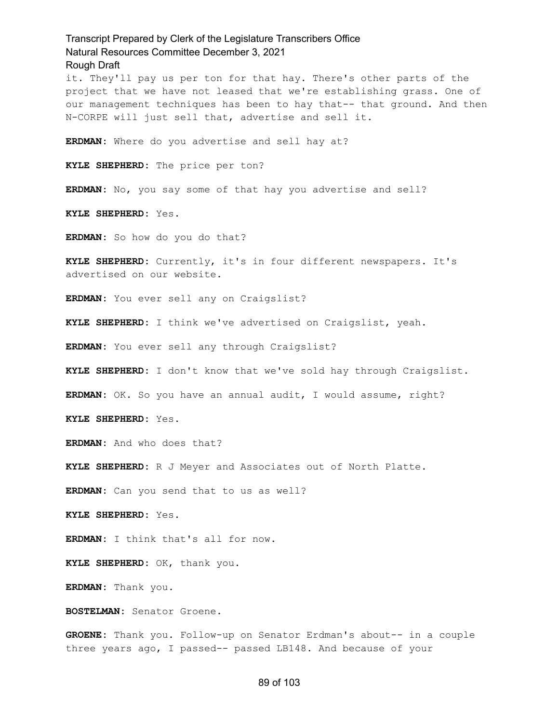Transcript Prepared by Clerk of the Legislature Transcribers Office Natural Resources Committee December 3, 2021 Rough Draft it. They'll pay us per ton for that hay. There's other parts of the project that we have not leased that we're establishing grass. One of our management techniques has been to hay that-- that ground. And then N-CORPE will just sell that, advertise and sell it. **ERDMAN:** Where do you advertise and sell hay at? **KYLE SHEPHERD:** The price per ton? **ERDMAN:** No, you say some of that hay you advertise and sell? **KYLE SHEPHERD:** Yes. **ERDMAN:** So how do you do that? **KYLE SHEPHERD:** Currently, it's in four different newspapers. It's advertised on our website. **ERDMAN:** You ever sell any on Craigslist? **KYLE SHEPHERD:** I think we've advertised on Craigslist, yeah. **ERDMAN:** You ever sell any through Craigslist? **KYLE SHEPHERD:** I don't know that we've sold hay through Craigslist. **ERDMAN:** OK. So you have an annual audit, I would assume, right? **KYLE SHEPHERD:** Yes. **ERDMAN:** And who does that? **KYLE SHEPHERD:** R J Meyer and Associates out of North Platte. **ERDMAN:** Can you send that to us as well? **KYLE SHEPHERD:** Yes. **ERDMAN:** I think that's all for now. **KYLE SHEPHERD:** OK, thank you. **ERDMAN:** Thank you. **BOSTELMAN:** Senator Groene.

**GROENE:** Thank you. Follow-up on Senator Erdman's about-- in a couple three years ago, I passed-- passed LB148. And because of your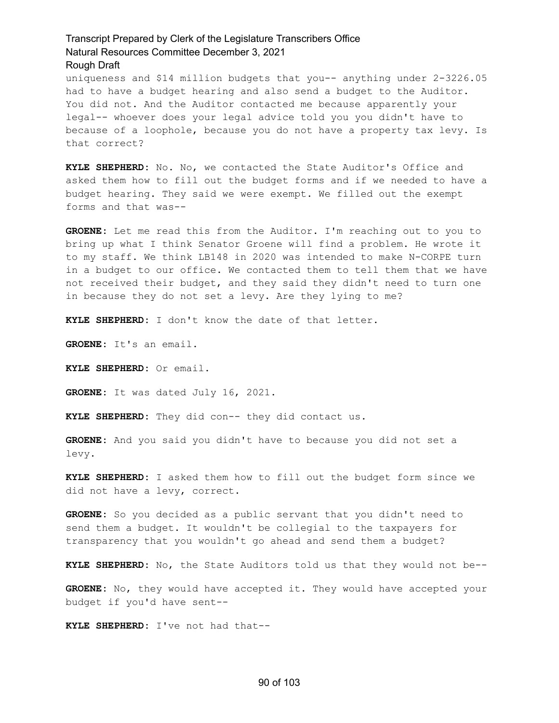uniqueness and \$14 million budgets that you-- anything under 2-3226.05 had to have a budget hearing and also send a budget to the Auditor. You did not. And the Auditor contacted me because apparently your legal-- whoever does your legal advice told you you didn't have to because of a loophole, because you do not have a property tax levy. Is that correct?

**KYLE SHEPHERD:** No. No, we contacted the State Auditor's Office and asked them how to fill out the budget forms and if we needed to have a budget hearing. They said we were exempt. We filled out the exempt forms and that was--

**GROENE:** Let me read this from the Auditor. I'm reaching out to you to bring up what I think Senator Groene will find a problem. He wrote it to my staff. We think LB148 in 2020 was intended to make N-CORPE turn in a budget to our office. We contacted them to tell them that we have not received their budget, and they said they didn't need to turn one in because they do not set a levy. Are they lying to me?

**KYLE SHEPHERD:** I don't know the date of that letter.

**GROENE:** It's an email.

**KYLE SHEPHERD:** Or email.

**GROENE:** It was dated July 16, 2021.

**KYLE SHEPHERD:** They did con-- they did contact us.

**GROENE:** And you said you didn't have to because you did not set a levy.

**KYLE SHEPHERD:** I asked them how to fill out the budget form since we did not have a levy, correct.

**GROENE:** So you decided as a public servant that you didn't need to send them a budget. It wouldn't be collegial to the taxpayers for transparency that you wouldn't go ahead and send them a budget?

**KYLE SHEPHERD:** No, the State Auditors told us that they would not be--

**GROENE:** No, they would have accepted it. They would have accepted your budget if you'd have sent--

**KYLE SHEPHERD:** I've not had that--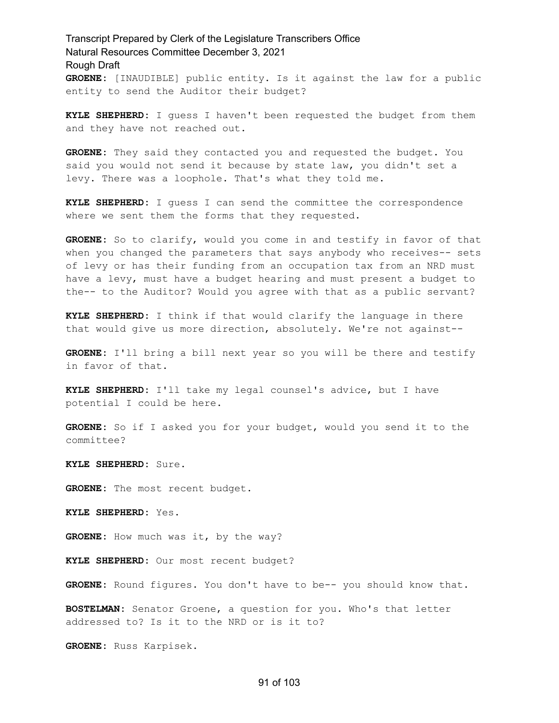## Transcript Prepared by Clerk of the Legislature Transcribers Office Natural Resources Committee December 3, 2021 Rough Draft **GROENE:** [INAUDIBLE] public entity. Is it against the law for a public entity to send the Auditor their budget?

**KYLE SHEPHERD:** I guess I haven't been requested the budget from them and they have not reached out.

**GROENE:** They said they contacted you and requested the budget. You said you would not send it because by state law, you didn't set a levy. There was a loophole. That's what they told me.

**KYLE SHEPHERD:** I guess I can send the committee the correspondence where we sent them the forms that they requested.

**GROENE:** So to clarify, would you come in and testify in favor of that when you changed the parameters that says anybody who receives-- sets of levy or has their funding from an occupation tax from an NRD must have a levy, must have a budget hearing and must present a budget to the-- to the Auditor? Would you agree with that as a public servant?

**KYLE SHEPHERD:** I think if that would clarify the language in there that would give us more direction, absolutely. We're not against--

**GROENE:** I'll bring a bill next year so you will be there and testify in favor of that.

**KYLE SHEPHERD:** I'll take my legal counsel's advice, but I have potential I could be here.

**GROENE:** So if I asked you for your budget, would you send it to the committee?

**KYLE SHEPHERD:** Sure.

**GROENE:** The most recent budget.

**KYLE SHEPHERD:** Yes.

**GROENE:** How much was it, by the way?

**KYLE SHEPHERD:** Our most recent budget?

**GROENE:** Round figures. You don't have to be-- you should know that.

**BOSTELMAN:** Senator Groene, a question for you. Who's that letter addressed to? Is it to the NRD or is it to?

**GROENE:** Russ Karpisek.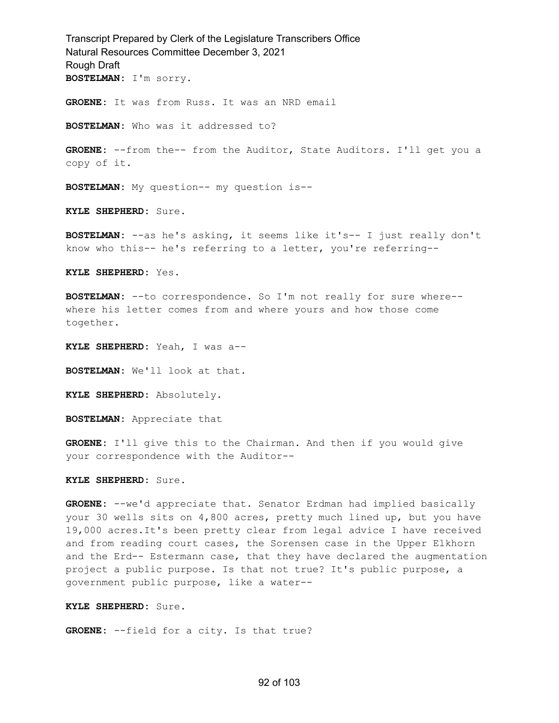Transcript Prepared by Clerk of the Legislature Transcribers Office Natural Resources Committee December 3, 2021 Rough Draft **BOSTELMAN:** I'm sorry. **GROENE:** It was from Russ. It was an NRD email **BOSTELMAN:** Who was it addressed to? **GROENE:** --from the-- from the Auditor, State Auditors. I'll get you a copy of it. **BOSTELMAN:** My question-- my question is-- **KYLE SHEPHERD:** Sure. **BOSTELMAN:** --as he's asking, it seems like it's-- I just really don't know who this-- he's referring to a letter, you're referring-- **KYLE SHEPHERD:** Yes. **BOSTELMAN:** --to correspondence. So I'm not really for sure where- where his letter comes from and where yours and how those come together. **KYLE SHEPHERD:** Yeah, I was a-- **BOSTELMAN:** We'll look at that. **KYLE SHEPHERD:** Absolutely. **BOSTELMAN:** Appreciate that **GROENE:** I'll give this to the Chairman. And then if you would give your correspondence with the Auditor-- **KYLE SHEPHERD:** Sure. **GROENE:** --we'd appreciate that. Senator Erdman had implied basically your 30 wells sits on 4,800 acres, pretty much lined up, but you have 19,000 acres.It's been pretty clear from legal advice I have received and from reading court cases, the Sorensen case in the Upper Elkhorn and the Erd-- Estermann case, that they have declared the augmentation

**KYLE SHEPHERD:** Sure.

**GROENE:** --field for a city. Is that true?

government public purpose, like a water--

project a public purpose. Is that not true? It's public purpose, a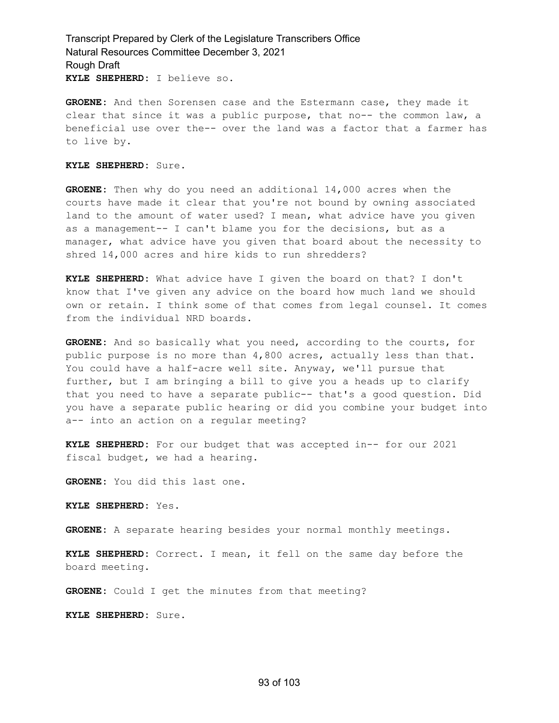Transcript Prepared by Clerk of the Legislature Transcribers Office Natural Resources Committee December 3, 2021 Rough Draft **KYLE SHEPHERD:** I believe so.

**GROENE:** And then Sorensen case and the Estermann case, they made it clear that since it was a public purpose, that no-- the common law, a beneficial use over the-- over the land was a factor that a farmer has to live by.

#### **KYLE SHEPHERD:** Sure.

**GROENE:** Then why do you need an additional 14,000 acres when the courts have made it clear that you're not bound by owning associated land to the amount of water used? I mean, what advice have you given as a management-- I can't blame you for the decisions, but as a manager, what advice have you given that board about the necessity to shred 14,000 acres and hire kids to run shredders?

**KYLE SHEPHERD:** What advice have I given the board on that? I don't know that I've given any advice on the board how much land we should own or retain. I think some of that comes from legal counsel. It comes from the individual NRD boards.

**GROENE:** And so basically what you need, according to the courts, for public purpose is no more than 4,800 acres, actually less than that. You could have a half-acre well site. Anyway, we'll pursue that further, but I am bringing a bill to give you a heads up to clarify that you need to have a separate public-- that's a good question. Did you have a separate public hearing or did you combine your budget into a-- into an action on a regular meeting?

**KYLE SHEPHERD:** For our budget that was accepted in-- for our 2021 fiscal budget, we had a hearing.

**GROENE:** You did this last one.

**KYLE SHEPHERD:** Yes.

**GROENE:** A separate hearing besides your normal monthly meetings.

**KYLE SHEPHERD:** Correct. I mean, it fell on the same day before the board meeting.

**GROENE:** Could I get the minutes from that meeting?

**KYLE SHEPHERD:** Sure.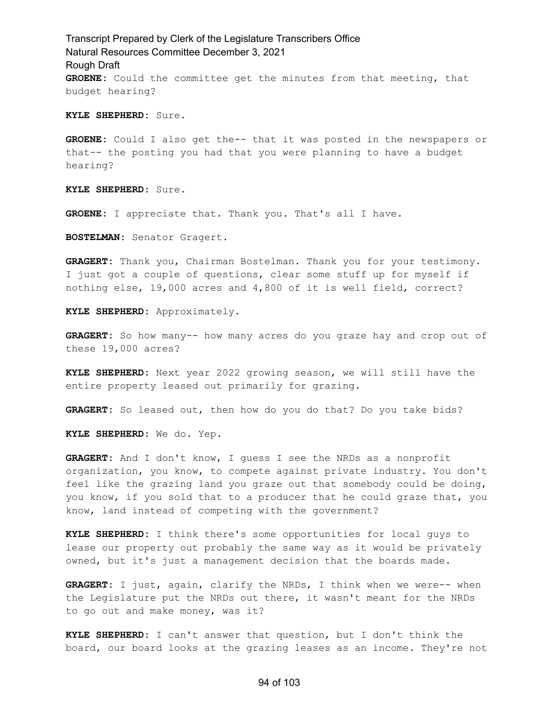Transcript Prepared by Clerk of the Legislature Transcribers Office Natural Resources Committee December 3, 2021 Rough Draft **GROENE:** Could the committee get the minutes from that meeting, that budget hearing?

**KYLE SHEPHERD:** Sure.

**GROENE:** Could I also get the-- that it was posted in the newspapers or that-- the posting you had that you were planning to have a budget hearing?

**KYLE SHEPHERD:** Sure.

**GROENE:** I appreciate that. Thank you. That's all I have.

**BOSTELMAN:** Senator Gragert.

**GRAGERT:** Thank you, Chairman Bostelman. Thank you for your testimony. I just got a couple of questions, clear some stuff up for myself if nothing else, 19,000 acres and 4,800 of it is well field, correct?

**KYLE SHEPHERD:** Approximately.

**GRAGERT:** So how many-- how many acres do you graze hay and crop out of these 19,000 acres?

**KYLE SHEPHERD:** Next year 2022 growing season, we will still have the entire property leased out primarily for grazing.

GRAGERT: So leased out, then how do you do that? Do you take bids?

**KYLE SHEPHERD:** We do. Yep.

**GRAGERT:** And I don't know, I guess I see the NRDs as a nonprofit organization, you know, to compete against private industry. You don't feel like the grazing land you graze out that somebody could be doing, you know, if you sold that to a producer that he could graze that, you know, land instead of competing with the government?

**KYLE SHEPHERD:** I think there's some opportunities for local guys to lease our property out probably the same way as it would be privately owned, but it's just a management decision that the boards made.

**GRAGERT:** I just, again, clarify the NRDs, I think when we were-- when the Legislature put the NRDs out there, it wasn't meant for the NRDs to go out and make money, was it?

**KYLE SHEPHERD:** I can't answer that question, but I don't think the board, our board looks at the grazing leases as an income. They're not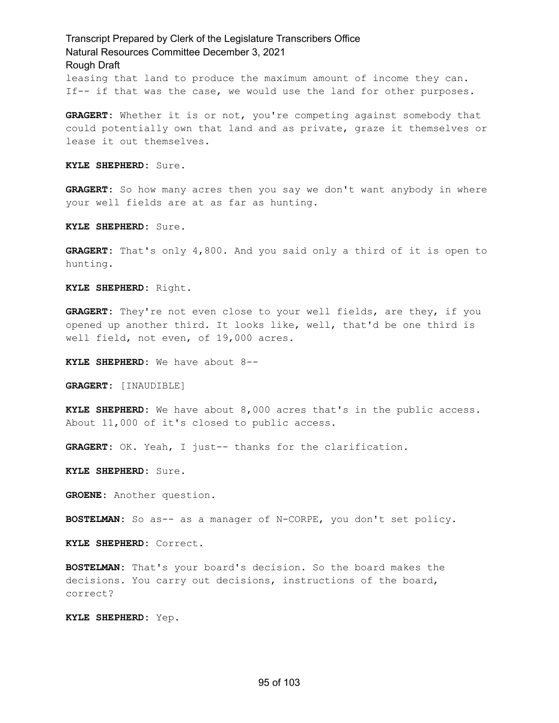leasing that land to produce the maximum amount of income they can. If-- if that was the case, we would use the land for other purposes.

**GRAGERT:** Whether it is or not, you're competing against somebody that could potentially own that land and as private, graze it themselves or lease it out themselves.

**KYLE SHEPHERD:** Sure.

**GRAGERT:** So how many acres then you say we don't want anybody in where your well fields are at as far as hunting.

**KYLE SHEPHERD:** Sure.

**GRAGERT:** That's only 4,800. And you said only a third of it is open to hunting.

**KYLE SHEPHERD:** Right.

**GRAGERT:** They're not even close to your well fields, are they, if you opened up another third. It looks like, well, that'd be one third is well field, not even, of 19,000 acres.

**KYLE SHEPHERD:** We have about 8--

**GRAGERT:** [INAUDIBLE]

**KYLE SHEPHERD:** We have about 8,000 acres that's in the public access. About 11,000 of it's closed to public access.

**GRAGERT:** OK. Yeah, I just-- thanks for the clarification.

**KYLE SHEPHERD:** Sure.

**GROENE:** Another question.

**BOSTELMAN:** So as-- as a manager of N-CORPE, you don't set policy.

**KYLE SHEPHERD:** Correct.

**BOSTELMAN:** That's your board's decision. So the board makes the decisions. You carry out decisions, instructions of the board, correct?

**KYLE SHEPHERD:** Yep.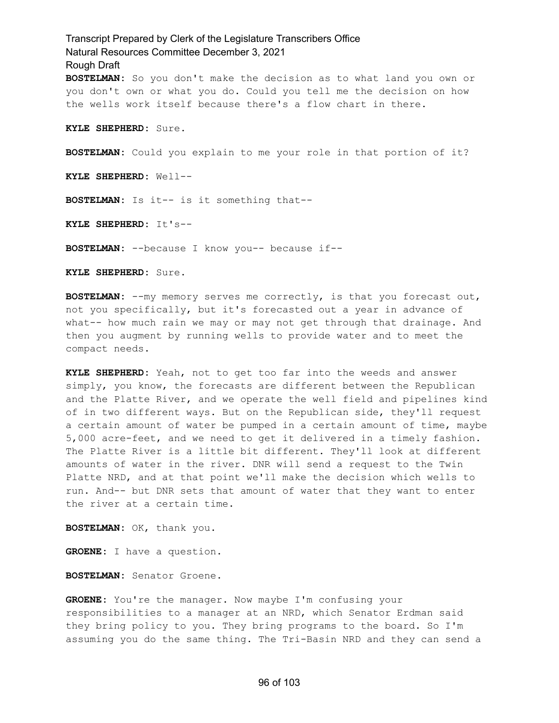Transcript Prepared by Clerk of the Legislature Transcribers Office Natural Resources Committee December 3, 2021 Rough Draft **BOSTELMAN:** So you don't make the decision as to what land you own or you don't own or what you do. Could you tell me the decision on how the wells work itself because there's a flow chart in there. **KYLE SHEPHERD:** Sure. **BOSTELMAN:** Could you explain to me your role in that portion of it? **KYLE SHEPHERD:** Well-- **BOSTELMAN:** Is it-- is it something that--

**KYLE SHEPHERD:** It's--

**BOSTELMAN:** --because I know you-- because if--

**KYLE SHEPHERD:** Sure.

**BOSTELMAN:** --my memory serves me correctly, is that you forecast out, not you specifically, but it's forecasted out a year in advance of what-- how much rain we may or may not get through that drainage. And then you augment by running wells to provide water and to meet the compact needs.

**KYLE SHEPHERD:** Yeah, not to get too far into the weeds and answer simply, you know, the forecasts are different between the Republican and the Platte River, and we operate the well field and pipelines kind of in two different ways. But on the Republican side, they'll request a certain amount of water be pumped in a certain amount of time, maybe 5,000 acre-feet, and we need to get it delivered in a timely fashion. The Platte River is a little bit different. They'll look at different amounts of water in the river. DNR will send a request to the Twin Platte NRD, and at that point we'll make the decision which wells to run. And-- but DNR sets that amount of water that they want to enter the river at a certain time.

**BOSTELMAN:** OK, thank you.

**GROENE:** I have a question.

**BOSTELMAN:** Senator Groene.

**GROENE:** You're the manager. Now maybe I'm confusing your responsibilities to a manager at an NRD, which Senator Erdman said they bring policy to you. They bring programs to the board. So I'm assuming you do the same thing. The Tri-Basin NRD and they can send a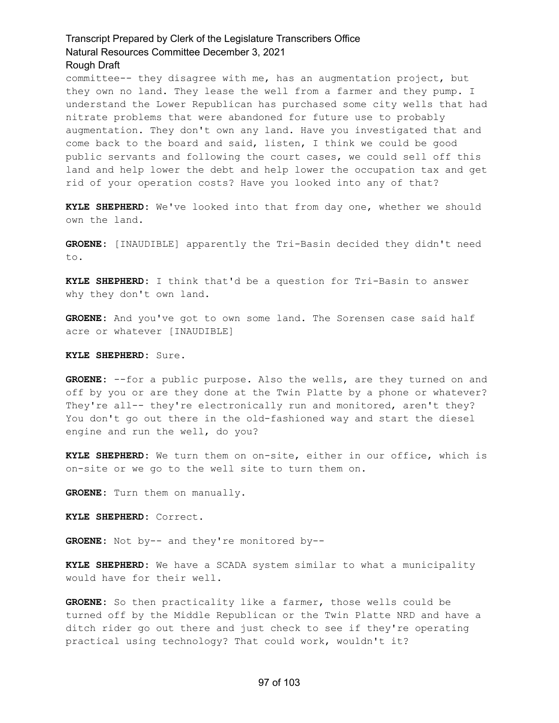committee-- they disagree with me, has an augmentation project, but they own no land. They lease the well from a farmer and they pump. I understand the Lower Republican has purchased some city wells that had nitrate problems that were abandoned for future use to probably augmentation. They don't own any land. Have you investigated that and come back to the board and said, listen, I think we could be good public servants and following the court cases, we could sell off this land and help lower the debt and help lower the occupation tax and get rid of your operation costs? Have you looked into any of that?

**KYLE SHEPHERD:** We've looked into that from day one, whether we should own the land.

**GROENE:** [INAUDIBLE] apparently the Tri-Basin decided they didn't need to.

**KYLE SHEPHERD:** I think that'd be a question for Tri-Basin to answer why they don't own land.

**GROENE:** And you've got to own some land. The Sorensen case said half acre or whatever [INAUDIBLE]

**KYLE SHEPHERD:** Sure.

**GROENE:** --for a public purpose. Also the wells, are they turned on and off by you or are they done at the Twin Platte by a phone or whatever? They're all-- they're electronically run and monitored, aren't they? You don't go out there in the old-fashioned way and start the diesel engine and run the well, do you?

**KYLE SHEPHERD:** We turn them on on-site, either in our office, which is on-site or we go to the well site to turn them on.

**GROENE:** Turn them on manually.

**KYLE SHEPHERD:** Correct.

**GROENE:** Not by-- and they're monitored by--

**KYLE SHEPHERD:** We have a SCADA system similar to what a municipality would have for their well.

**GROENE:** So then practicality like a farmer, those wells could be turned off by the Middle Republican or the Twin Platte NRD and have a ditch rider go out there and just check to see if they're operating practical using technology? That could work, wouldn't it?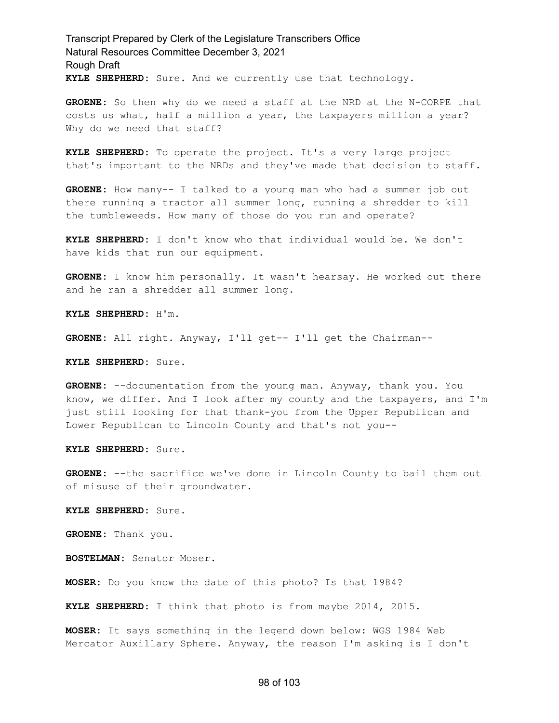Transcript Prepared by Clerk of the Legislature Transcribers Office Natural Resources Committee December 3, 2021 Rough Draft **KYLE SHEPHERD:** Sure. And we currently use that technology.

**GROENE:** So then why do we need a staff at the NRD at the N-CORPE that costs us what, half a million a year, the taxpayers million a year? Why do we need that staff?

**KYLE SHEPHERD:** To operate the project. It's a very large project that's important to the NRDs and they've made that decision to staff.

**GROENE:** How many-- I talked to a young man who had a summer job out there running a tractor all summer long, running a shredder to kill the tumbleweeds. How many of those do you run and operate?

**KYLE SHEPHERD:** I don't know who that individual would be. We don't have kids that run our equipment.

**GROENE:** I know him personally. It wasn't hearsay. He worked out there and he ran a shredder all summer long.

**KYLE SHEPHERD:** H'm.

**GROENE:** All right. Anyway, I'll get-- I'll get the Chairman--

**KYLE SHEPHERD:** Sure.

**GROENE:** --documentation from the young man. Anyway, thank you. You know, we differ. And I look after my county and the taxpayers, and I'm just still looking for that thank-you from the Upper Republican and Lower Republican to Lincoln County and that's not you--

**KYLE SHEPHERD:** Sure.

**GROENE:** --the sacrifice we've done in Lincoln County to bail them out of misuse of their groundwater.

**KYLE SHEPHERD:** Sure.

**GROENE:** Thank you.

**BOSTELMAN:** Senator Moser.

**MOSER:** Do you know the date of this photo? Is that 1984?

**KYLE SHEPHERD:** I think that photo is from maybe 2014, 2015.

**MOSER:** It says something in the legend down below: WGS 1984 Web Mercator Auxillary Sphere. Anyway, the reason I'm asking is I don't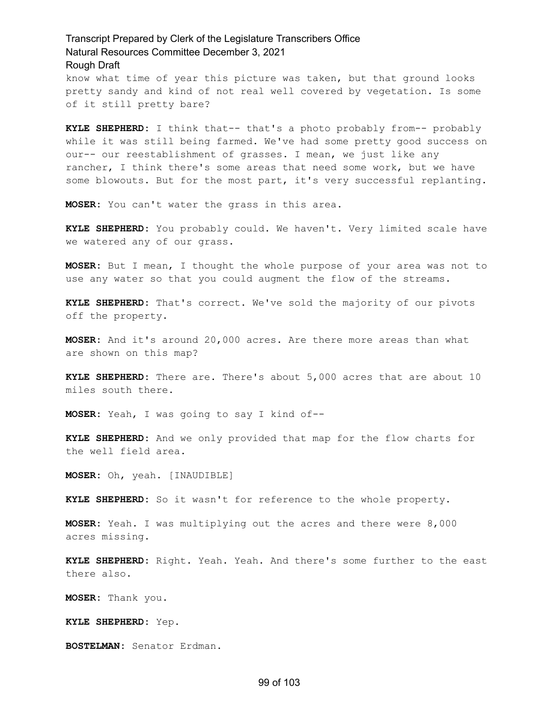know what time of year this picture was taken, but that ground looks pretty sandy and kind of not real well covered by vegetation. Is some of it still pretty bare?

**KYLE SHEPHERD:** I think that-- that's a photo probably from-- probably while it was still being farmed. We've had some pretty good success on our-- our reestablishment of grasses. I mean, we just like any rancher, I think there's some areas that need some work, but we have some blowouts. But for the most part, it's very successful replanting.

**MOSER:** You can't water the grass in this area.

**KYLE SHEPHERD:** You probably could. We haven't. Very limited scale have we watered any of our grass.

**MOSER:** But I mean, I thought the whole purpose of your area was not to use any water so that you could augment the flow of the streams.

**KYLE SHEPHERD:** That's correct. We've sold the majority of our pivots off the property.

**MOSER:** And it's around 20,000 acres. Are there more areas than what are shown on this map?

**KYLE SHEPHERD:** There are. There's about 5,000 acres that are about 10 miles south there.

**MOSER:** Yeah, I was going to say I kind of--

**KYLE SHEPHERD:** And we only provided that map for the flow charts for the well field area.

**MOSER:** Oh, yeah. [INAUDIBLE]

**KYLE SHEPHERD:** So it wasn't for reference to the whole property.

**MOSER:** Yeah. I was multiplying out the acres and there were 8,000 acres missing.

**KYLE SHEPHERD:** Right. Yeah. Yeah. And there's some further to the east there also.

**MOSER:** Thank you.

**KYLE SHEPHERD:** Yep.

**BOSTELMAN:** Senator Erdman.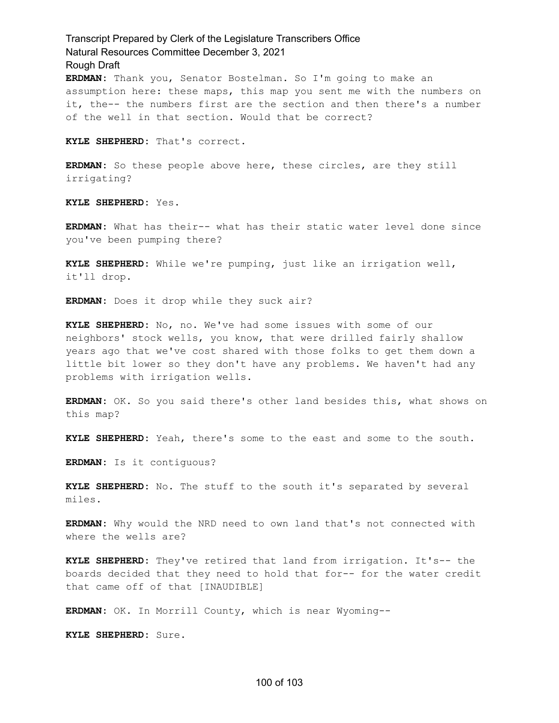**ERDMAN:** Thank you, Senator Bostelman. So I'm going to make an assumption here: these maps, this map you sent me with the numbers on it, the-- the numbers first are the section and then there's a number of the well in that section. Would that be correct?

**KYLE SHEPHERD:** That's correct.

**ERDMAN:** So these people above here, these circles, are they still irrigating?

**KYLE SHEPHERD:** Yes.

**ERDMAN:** What has their-- what has their static water level done since you've been pumping there?

**KYLE SHEPHERD:** While we're pumping, just like an irrigation well, it'll drop.

**ERDMAN:** Does it drop while they suck air?

**KYLE SHEPHERD:** No, no. We've had some issues with some of our neighbors' stock wells, you know, that were drilled fairly shallow years ago that we've cost shared with those folks to get them down a little bit lower so they don't have any problems. We haven't had any problems with irrigation wells.

**ERDMAN:** OK. So you said there's other land besides this, what shows on this map?

**KYLE SHEPHERD:** Yeah, there's some to the east and some to the south.

**ERDMAN:** Is it contiguous?

**KYLE SHEPHERD:** No. The stuff to the south it's separated by several miles.

**ERDMAN:** Why would the NRD need to own land that's not connected with where the wells are?

**KYLE SHEPHERD:** They've retired that land from irrigation. It's-- the boards decided that they need to hold that for-- for the water credit that came off of that [INAUDIBLE]

**ERDMAN:** OK. In Morrill County, which is near Wyoming--

**KYLE SHEPHERD:** Sure.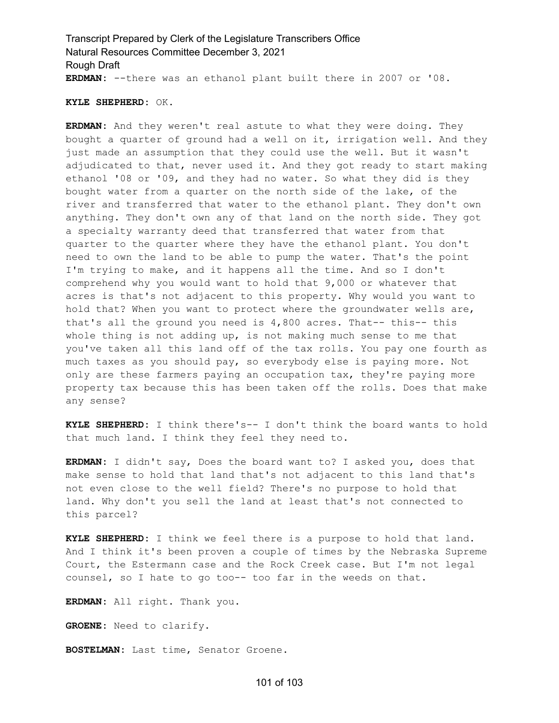Transcript Prepared by Clerk of the Legislature Transcribers Office Natural Resources Committee December 3, 2021 Rough Draft **ERDMAN:** --there was an ethanol plant built there in 2007 or '08.

#### **KYLE SHEPHERD:** OK.

**ERDMAN:** And they weren't real astute to what they were doing. They bought a quarter of ground had a well on it, irrigation well. And they just made an assumption that they could use the well. But it wasn't adjudicated to that, never used it. And they got ready to start making ethanol '08 or '09, and they had no water. So what they did is they bought water from a quarter on the north side of the lake, of the river and transferred that water to the ethanol plant. They don't own anything. They don't own any of that land on the north side. They got a specialty warranty deed that transferred that water from that quarter to the quarter where they have the ethanol plant. You don't need to own the land to be able to pump the water. That's the point I'm trying to make, and it happens all the time. And so I don't comprehend why you would want to hold that 9,000 or whatever that acres is that's not adjacent to this property. Why would you want to hold that? When you want to protect where the groundwater wells are, that's all the ground you need is 4,800 acres. That-- this-- this whole thing is not adding up, is not making much sense to me that you've taken all this land off of the tax rolls. You pay one fourth as much taxes as you should pay, so everybody else is paying more. Not only are these farmers paying an occupation tax, they're paying more property tax because this has been taken off the rolls. Does that make any sense?

**KYLE SHEPHERD:** I think there's-- I don't think the board wants to hold that much land. I think they feel they need to.

**ERDMAN:** I didn't say, Does the board want to? I asked you, does that make sense to hold that land that's not adjacent to this land that's not even close to the well field? There's no purpose to hold that land. Why don't you sell the land at least that's not connected to this parcel?

**KYLE SHEPHERD:** I think we feel there is a purpose to hold that land. And I think it's been proven a couple of times by the Nebraska Supreme Court, the Estermann case and the Rock Creek case. But I'm not legal counsel, so I hate to go too-- too far in the weeds on that.

**ERDMAN:** All right. Thank you.

**GROENE:** Need to clarify.

**BOSTELMAN:** Last time, Senator Groene.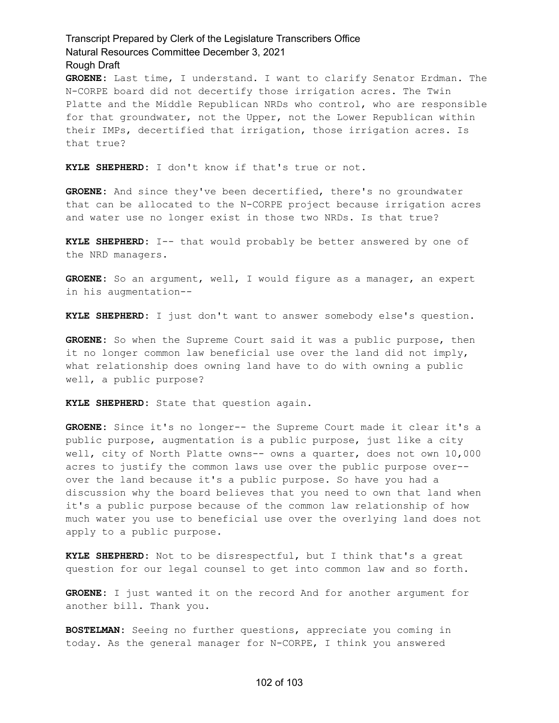**GROENE:** Last time, I understand. I want to clarify Senator Erdman. The N-CORPE board did not decertify those irrigation acres. The Twin Platte and the Middle Republican NRDs who control, who are responsible for that groundwater, not the Upper, not the Lower Republican within their IMPs, decertified that irrigation, those irrigation acres. Is that true?

**KYLE SHEPHERD:** I don't know if that's true or not.

**GROENE:** And since they've been decertified, there's no groundwater that can be allocated to the N-CORPE project because irrigation acres and water use no longer exist in those two NRDs. Is that true?

**KYLE SHEPHERD:** I-- that would probably be better answered by one of the NRD managers.

**GROENE:** So an argument, well, I would figure as a manager, an expert in his augmentation--

**KYLE SHEPHERD:** I just don't want to answer somebody else's question.

**GROENE:** So when the Supreme Court said it was a public purpose, then it no longer common law beneficial use over the land did not imply, what relationship does owning land have to do with owning a public well, a public purpose?

**KYLE SHEPHERD:** State that question again.

**GROENE:** Since it's no longer-- the Supreme Court made it clear it's a public purpose, augmentation is a public purpose, just like a city well, city of North Platte owns-- owns a quarter, does not own 10,000 acres to justify the common laws use over the public purpose over- over the land because it's a public purpose. So have you had a discussion why the board believes that you need to own that land when it's a public purpose because of the common law relationship of how much water you use to beneficial use over the overlying land does not apply to a public purpose.

**KYLE SHEPHERD:** Not to be disrespectful, but I think that's a great question for our legal counsel to get into common law and so forth.

**GROENE:** I just wanted it on the record And for another argument for another bill. Thank you.

**BOSTELMAN:** Seeing no further questions, appreciate you coming in today. As the general manager for N-CORPE, I think you answered

#### 102 of 103